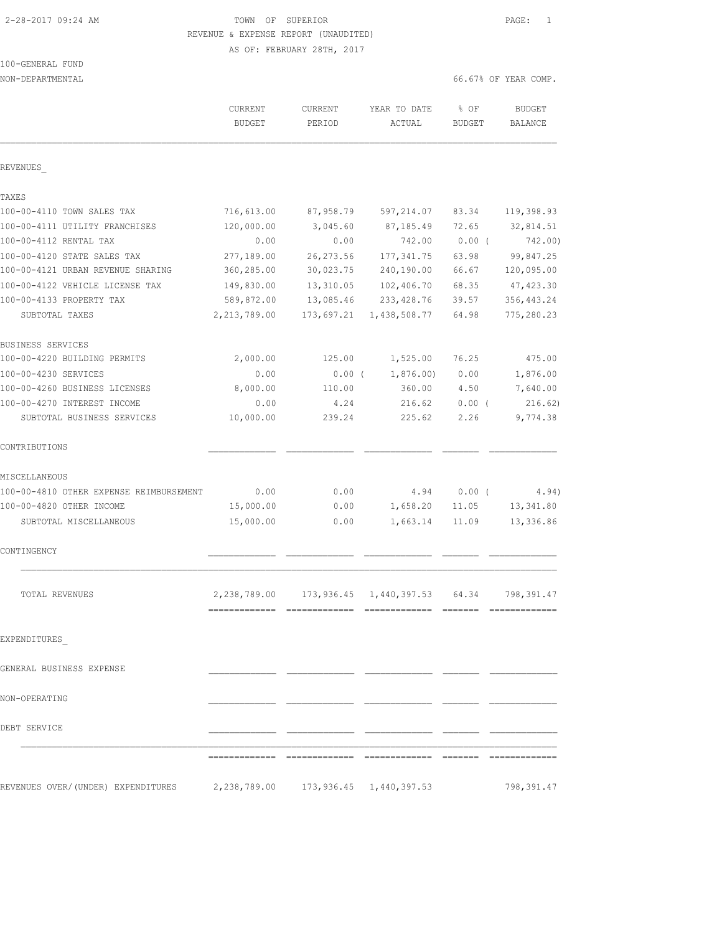100-GENERAL FUND

 2-28-2017 09:24 AM TOWN OF SUPERIOR PAGE: 1 REVENUE & EXPENSE REPORT (UNAUDITED) AS OF: FEBRUARY 28TH, 2017

NON-DEPARTMENTAL 66.67% OF YEAR COMP.

|                                                                         | <b>CURRENT</b><br><b>BUDGET</b> | <b>CURRENT</b><br>PERIOD | YEAR TO DATE<br>ACTUAL  | $8$ OF<br><b>BUDGET</b> | <b>BUDGET</b><br>BALANCE |
|-------------------------------------------------------------------------|---------------------------------|--------------------------|-------------------------|-------------------------|--------------------------|
| REVENUES                                                                |                                 |                          |                         |                         |                          |
| TAXES                                                                   |                                 |                          |                         |                         |                          |
| 100-00-4110 TOWN SALES TAX                                              | 716,613.00                      | 87,958.79                | 597,214.07              | 83.34                   | 119,398.93               |
| 100-00-4111 UTILITY FRANCHISES                                          | 120,000.00                      | 3,045.60                 | 87,185.49               | 72.65                   | 32,814.51                |
| 100-00-4112 RENTAL TAX                                                  | 0.00                            | 0.00                     | 742.00                  | $0.00$ (                | 742.00)                  |
| 100-00-4120 STATE SALES TAX                                             | 277,189.00                      | 26, 273.56               | 177, 341.75             | 63.98                   | 99,847.25                |
| 100-00-4121 URBAN REVENUE SHARING                                       | 360,285.00                      | 30,023.75                | 240,190.00              | 66.67                   | 120,095.00               |
| 100-00-4122 VEHICLE LICENSE TAX                                         | 149,830.00                      | 13,310.05                | 102,406.70              | 68.35                   | 47, 423.30               |
| 100-00-4133 PROPERTY TAX                                                | 589,872.00                      | 13,085.46                | 233, 428.76             | 39.57                   | 356, 443.24              |
| SUBTOTAL TAXES                                                          | 2, 213, 789.00                  | 173,697.21               | 1,438,508.77            | 64.98                   | 775,280.23               |
| BUSINESS SERVICES                                                       |                                 |                          |                         |                         |                          |
| 100-00-4220 BUILDING PERMITS                                            | 2,000.00                        | 125.00                   | 1,525.00                | 76.25                   | 475.00                   |
| 100-00-4230 SERVICES                                                    | 0.00                            | $0.00$ (                 | 1,876.00                | 0.00                    | 1,876.00                 |
| 100-00-4260 BUSINESS LICENSES                                           | 8,000.00                        | 110.00                   | 360.00                  | 4.50                    | 7,640.00                 |
| 100-00-4270 INTEREST INCOME                                             | 0.00                            | 4.24                     | 216.62                  | $0.00$ (                | 216.62)                  |
| SUBTOTAL BUSINESS SERVICES                                              | 10,000.00                       | 239.24                   | 225.62                  | 2.26                    | 9,774.38                 |
| CONTRIBUTIONS                                                           |                                 |                          |                         |                         |                          |
| MISCELLANEOUS                                                           |                                 |                          |                         |                         |                          |
| 100-00-4810 OTHER EXPENSE REIMBURSEMENT                                 | 0.00                            | 0.00                     | 4.94                    | $0.00$ (                | 4.94)                    |
| 100-00-4820 OTHER INCOME                                                | 15,000.00                       | 0.00                     | 1,658.20                | 11.05                   | 13,341.80                |
| SUBTOTAL MISCELLANEOUS                                                  | 15,000.00                       | 0.00                     | 1,663.14                | 11.09                   | 13,336.86                |
| CONTINGENCY                                                             |                                 |                          |                         |                         |                          |
| TOTAL REVENUES                                                          | 2,238,789.00                    |                          | 173,936.45 1,440,397.53 | 64.34                   | 798,391.47               |
|                                                                         |                                 |                          |                         |                         |                          |
| EXPENDITURES                                                            |                                 |                          |                         |                         |                          |
| GENERAL BUSINESS EXPENSE                                                |                                 |                          |                         |                         |                          |
| NON-OPERATING                                                           |                                 |                          |                         |                         |                          |
| DEBT SERVICE                                                            |                                 |                          |                         |                         |                          |
|                                                                         |                                 |                          |                         |                         |                          |
|                                                                         |                                 |                          |                         |                         |                          |
| REVENUES OVER/(UNDER) EXPENDITURES 2,238,789.00 173,936.45 1,440,397.53 |                                 |                          |                         |                         | 798,391.47               |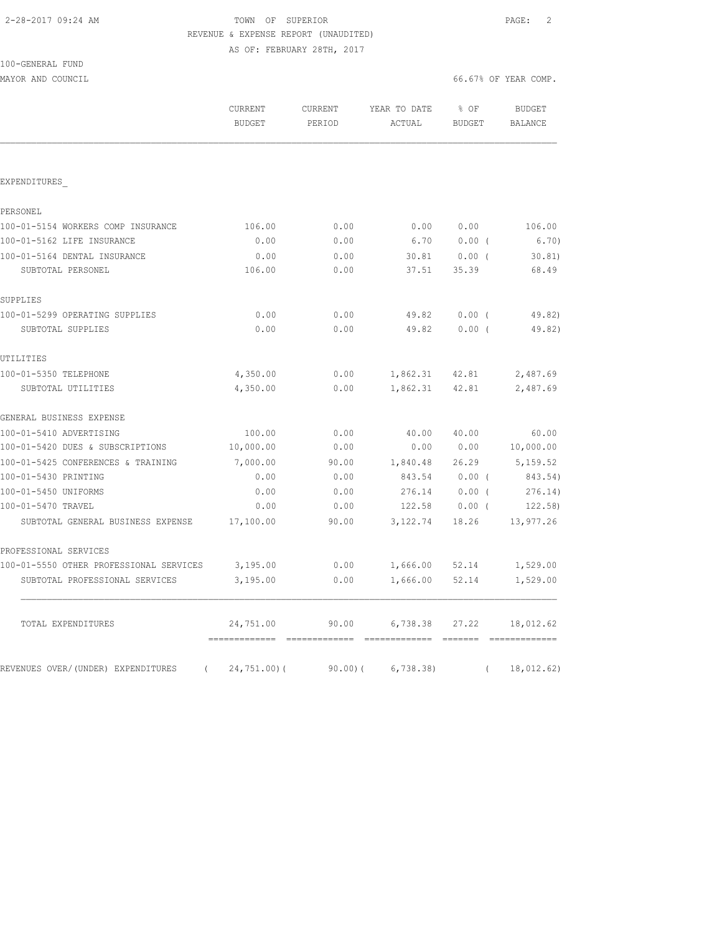|  | 2-28-2017 09:24 AM |  |  |
|--|--------------------|--|--|
|--|--------------------|--|--|

## TOWN OF SUPERIOR **Example 2017** PAGE: 2 REVENUE & EXPENSE REPORT (UNAUDITED) AS OF: FEBRUARY 28TH, 2017

MAYOR AND COUNCIL COUNCIL COUNCIL COMP.

100-GENERAL FUND

|                                                | <b>CURRENT</b><br><b>BUDGET</b>                 | CURRENT<br>PERIOD | YEAR TO DATE<br>ACTUAL           | % OF<br><b>BUDGET</b> | <b>BUDGET</b><br><b>BALANCE</b> |
|------------------------------------------------|-------------------------------------------------|-------------------|----------------------------------|-----------------------|---------------------------------|
|                                                |                                                 |                   |                                  |                       |                                 |
| EXPENDITURES                                   |                                                 |                   |                                  |                       |                                 |
| PERSONEL                                       |                                                 |                   |                                  |                       |                                 |
| 100-01-5154 WORKERS COMP INSURANCE             | 106.00                                          | 0.00              | 0.00                             | 0.00                  | 106.00                          |
| 100-01-5162 LIFE INSURANCE                     | 0.00                                            | 0.00              | 6.70                             | 0.00(                 | 6.70)                           |
| 100-01-5164 DENTAL INSURANCE                   | 0.00                                            | 0.00              | 30.81                            | $0.00$ (              | 30.81)                          |
| SUBTOTAL PERSONEL                              | 106.00                                          | 0.00              | 37.51                            | 35.39                 | 68.49                           |
| SUPPLIES                                       |                                                 |                   |                                  |                       |                                 |
| 100-01-5299 OPERATING SUPPLIES                 | 0.00                                            | 0.00              | 49.82                            | $0.00$ (              | 49.82)                          |
| SUBTOTAL SUPPLIES                              | 0.00                                            | 0.00              | 49.82                            | $0.00$ (              | 49.82)                          |
| UTILITIES                                      |                                                 |                   |                                  |                       |                                 |
| 100-01-5350 TELEPHONE                          | 4,350.00                                        | 0.00              | 1,862.31 42.81                   |                       | 2,487.69                        |
| SUBTOTAL UTILITIES                             | 4,350.00                                        | 0.00              | 1,862.31                         | 42.81                 | 2,487.69                        |
| GENERAL BUSINESS EXPENSE                       |                                                 |                   |                                  |                       |                                 |
| 100-01-5410 ADVERTISING                        | 100.00                                          | 0.00              | 40.00                            | 40.00                 | 60.00                           |
| 100-01-5420 DUES & SUBSCRIPTIONS               | 10,000.00                                       | 0.00              | 0.00                             | 0.00                  | 10,000.00                       |
| 100-01-5425 CONFERENCES & TRAINING             | 7,000.00                                        | 90.00             | 1,840.48                         | 26.29                 | 5,159.52                        |
| 100-01-5430 PRINTING                           | 0.00                                            | 0.00              | 843.54                           | $0.00$ (              | 843.54)                         |
| 100-01-5450 UNIFORMS                           | 0.00                                            | 0.00              | 276.14                           | $0.00$ (              | 276.14)                         |
| 100-01-5470 TRAVEL                             | 0.00                                            | 0.00              | 122.58                           | $0.00$ (              | 122.58)                         |
| SUBTOTAL GENERAL BUSINESS EXPENSE              | 17,100.00                                       | 90.00             | 3,122.74                         | 18.26                 | 13,977.26                       |
| PROFESSIONAL SERVICES                          |                                                 |                   |                                  |                       |                                 |
| 100-01-5550 OTHER PROFESSIONAL SERVICES        | 3,195.00                                        | 0.00              | 1,666.00                         | 52.14                 | 1,529.00                        |
| SUBTOTAL PROFESSIONAL SERVICES                 | 3,195.00                                        | 0.00              | 1,666.00                         | 52.14                 | 1,529.00                        |
| TOTAL EXPENDITURES                             | 24,751.00                                       | 90.00             | 6,738.38                         | 27.22                 | 18,012.62                       |
| REVENUES OVER/(UNDER) EXPENDITURES<br>$\left($ | ==============================<br>$24,751.00$ ( | 90.00(            | ------------- -----<br>6,738.38) | $\left($              | 18,012.62)                      |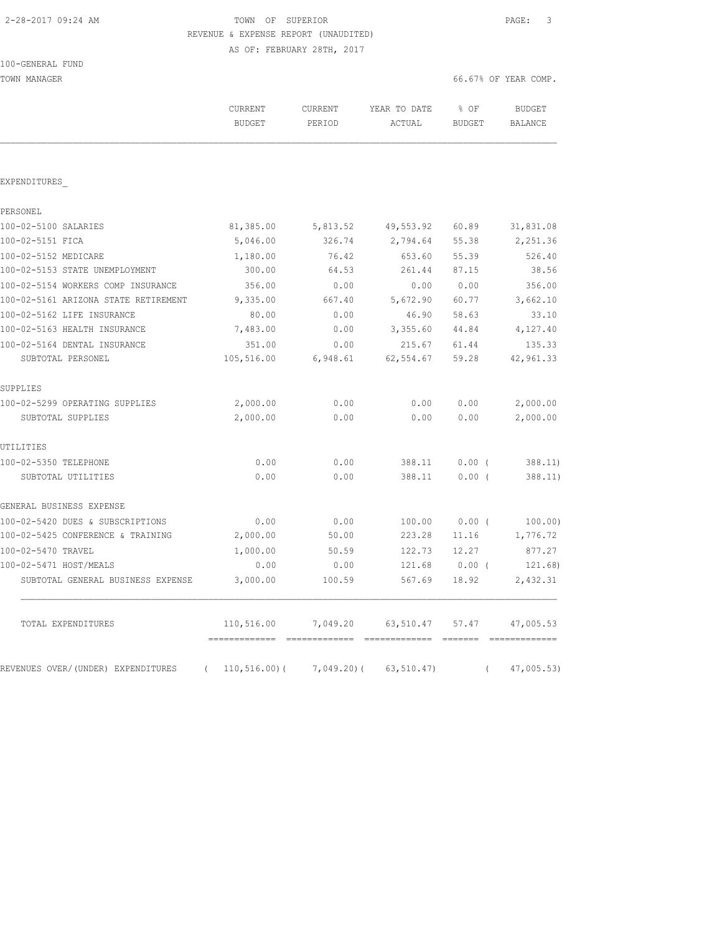100-GENERAL FUND

### 2-28-2017 09:24 AM TOWN OF SUPERIOR PAGE: 3 REVENUE & EXPENSE REPORT (UNAUDITED) AS OF: FEBRUARY 28TH, 2017

TOWN MANAGER 66.67% OF YEAR COMP.

|                                      | CURRENT<br><b>BUDGET</b>                     | <b>CURRENT</b><br>PERIOD | YEAR TO DATE<br>ACTUAL             | $8$ OF<br>BUDGET | <b>BUDGET</b><br>BALANCE |
|--------------------------------------|----------------------------------------------|--------------------------|------------------------------------|------------------|--------------------------|
| EXPENDITURES                         |                                              |                          |                                    |                  |                          |
| PERSONEL                             |                                              |                          |                                    |                  |                          |
| 100-02-5100 SALARIES                 | 81,385.00                                    | 5,813.52                 | 49,553.92                          | 60.89            | 31,831.08                |
| 100-02-5151 FICA                     | 5,046.00                                     | 326.74                   | 2,794.64                           | 55.38            | 2,251.36                 |
| 100-02-5152 MEDICARE                 | 1,180.00                                     | 76.42                    | 653.60                             | 55.39            | 526.40                   |
| 100-02-5153 STATE UNEMPLOYMENT       | 300.00                                       | 64.53                    | 261.44                             | 87.15            | 38.56                    |
| 100-02-5154 WORKERS COMP INSURANCE   | 356.00                                       | 0.00                     | 0.00                               | 0.00             | 356.00                   |
| 100-02-5161 ARIZONA STATE RETIREMENT | 9,335.00                                     | 667.40                   | 5,672.90                           | 60.77            | 3,662.10                 |
| 100-02-5162 LIFE INSURANCE           | 80.00                                        | 0.00                     | 46.90                              | 58.63            | 33.10                    |
| 100-02-5163 HEALTH INSURANCE         | 7,483.00                                     | 0.00                     | 3,355.60                           | 44.84            | 4,127.40                 |
| 100-02-5164 DENTAL INSURANCE         | 351.00                                       | 0.00                     | 215.67                             | 61.44            | 135.33                   |
| SUBTOTAL PERSONEL                    | 105,516.00                                   | 6,948.61                 | 62,554.67                          | 59.28            | 42,961.33                |
| SUPPLIES                             |                                              |                          |                                    |                  |                          |
| 100-02-5299 OPERATING SUPPLIES       | 2,000.00                                     | 0.00                     | 0.00                               | 0.00             | 2,000.00                 |
| SUBTOTAL SUPPLIES                    | 2,000.00                                     | 0.00                     | 0.00                               | 0.00             | 2,000.00                 |
| UTILITIES                            |                                              |                          |                                    |                  |                          |
| 100-02-5350 TELEPHONE                | 0.00                                         | 0.00                     | 388.11                             | $0.00$ (         | 388.11                   |
| SUBTOTAL UTILITIES                   | 0.00                                         | 0.00                     | 388.11                             | 0.00(            | 388.11)                  |
| GENERAL BUSINESS EXPENSE             |                                              |                          |                                    |                  |                          |
| 100-02-5420 DUES & SUBSCRIPTIONS     | 0.00                                         | 0.00                     | 100.00                             | $0.00$ (         | 100.00)                  |
| 100-02-5425 CONFERENCE & TRAINING    | 2,000.00                                     | 50.00                    | 223.28                             | 11.16            | 1,776.72                 |
| 100-02-5470 TRAVEL                   | 1,000.00                                     | 50.59                    | 122.73                             | 12.27            | 877.27                   |
| 100-02-5471 HOST/MEALS               | 0.00                                         | 0.00                     | 121.68                             | 0.00(            | 121.68)                  |
| SUBTOTAL GENERAL BUSINESS EXPENSE    | 3,000.00                                     | 100.59                   | 567.69                             | 18.92            | 2,432.31                 |
| TOTAL EXPENDITURES                   | 110,516.00                                   | 7,049.20                 | 63,510.47                          | 57.47            | 47,005.53                |
| REVENUES OVER/(UNDER) EXPENDITURES   | =============<br>$110, 516.00$ (<br>$\left($ | $7,049.20$ (             | eccessessess eccess<br>63, 510.47) |                  | 47,005.53)               |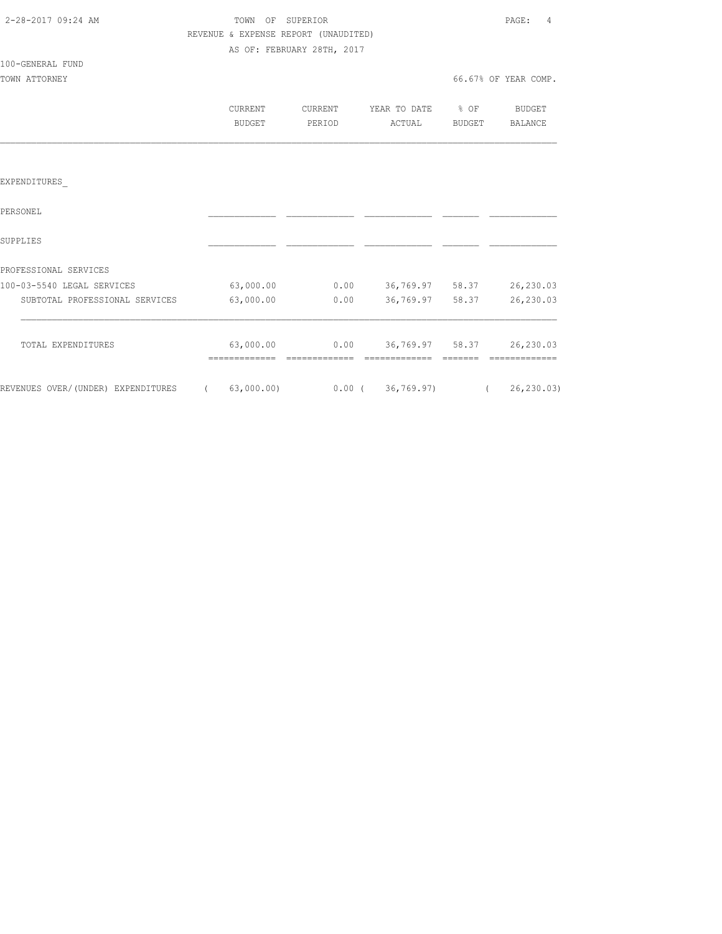| 2-28-2017 09:24 AM |  |
|--------------------|--|

100-GENERAL FUND

# TOWN OF SUPERIOR **PAGE:** 4 REVENUE & EXPENSE REPORT (UNAUDITED) AS OF: FEBRUARY 28TH, 2017

| TOWN ATTORNEY |         |         |              |        | 66.67% OF YEAR COMP. |
|---------------|---------|---------|--------------|--------|----------------------|
|               | CURRENT | CURRENT | YEAR TO DATE | % OF   | BUDGET               |
|               | BUDGET  | PERIOD  | ACTUAL       | BUDGET | BALANCE              |
|               |         |         |              |        |                      |

### EXPENDITURES\_

| PERSONEL                           |            |       |             |       |            |
|------------------------------------|------------|-------|-------------|-------|------------|
| SUPPLIES                           |            |       |             |       |            |
| PROFESSIONAL SERVICES              |            |       |             |       |            |
| 100-03-5540 LEGAL SERVICES         | 63,000.00  | 0.00  | 36,769.97   | 58.37 | 26,230.03  |
| SUBTOTAL PROFESSIONAL SERVICES     | 63,000.00  | 0.00  | 36,769.97   | 58.37 | 26,230.03  |
| TOTAL EXPENDITURES                 | 63,000.00  | 0.00  | 36,769.97   | 58.37 | 26,230.03  |
| REVENUES OVER/(UNDER) EXPENDITURES | 63,000.00) | 0.00( | 36, 769.97) |       | 26, 230.03 |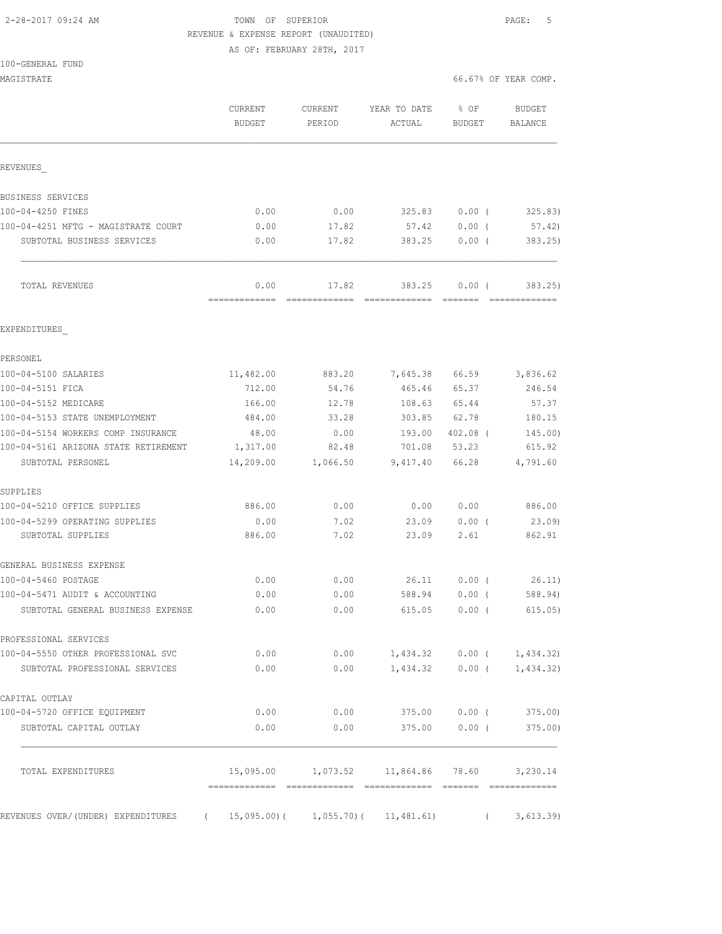# 2-28-2017 09:24 AM TOWN OF SUPERIOR PAGE: 5 REVENUE & EXPENSE REPORT (UNAUDITED)

AS OF: FEBRUARY 28TH, 2017

| MAGISTRATE                                                          |                          |                                             |                                  |                       |            | 66.67% OF YEAR COMP.            |
|---------------------------------------------------------------------|--------------------------|---------------------------------------------|----------------------------------|-----------------------|------------|---------------------------------|
|                                                                     | CURRENT<br><b>BUDGET</b> | CURRENT<br>PERIOD                           | YEAR TO DATE<br>ACTUAL           | % OF<br><b>BUDGET</b> |            | <b>BUDGET</b><br><b>BALANCE</b> |
| REVENUES                                                            |                          |                                             |                                  |                       |            |                                 |
| BUSINESS SERVICES                                                   |                          |                                             |                                  |                       |            |                                 |
| 100-04-4250 FINES                                                   | 0.00                     | 0.00                                        | 325.83                           | $0.00$ (              |            | 325.83)                         |
| 100-04-4251 MFTG - MAGISTRATE COURT                                 | 0.00                     | 17.82                                       | 57.42                            | 0.00(                 |            | 57.42)                          |
| SUBTOTAL BUSINESS SERVICES                                          | 0.00                     | 17.82                                       | 383.25                           | $0.00$ (              |            | 383.25                          |
| TOTAL REVENUES                                                      | 0.00                     | 17.82                                       | 383.25                           | 0.00(                 |            | 383.25)                         |
| EXPENDITURES                                                        |                          |                                             |                                  |                       |            |                                 |
| PERSONEL                                                            |                          |                                             |                                  |                       |            |                                 |
| 100-04-5100 SALARIES                                                | 11,482.00                | 883.20                                      | 7,645.38                         | 66.59                 |            | 3,836.62                        |
| 100-04-5151 FICA                                                    | 712.00                   | 54.76                                       | 465.46                           | 65.37                 |            | 246.54                          |
| 100-04-5152 MEDICARE                                                | 166.00                   | 12.78                                       | 108.63                           | 65.44                 |            | 57.37                           |
| 100-04-5153 STATE UNEMPLOYMENT                                      | 484.00                   | 33.28                                       | 303.85                           | 62.78                 |            | 180.15                          |
| 100-04-5154 WORKERS COMP INSURANCE                                  | 48.00                    | 0.00                                        | 193.00                           | $402.08$ (            |            | 145.00)                         |
| 100-04-5161 ARIZONA STATE RETIREMENT<br>SUBTOTAL PERSONEL           | 1,317.00<br>14,209.00    | 82.48<br>1,066.50                           | 701.08<br>9,417.40               | 53.23<br>66.28        |            | 615.92<br>4,791.60              |
| SUPPLIES                                                            |                          |                                             |                                  |                       |            |                                 |
| 100-04-5210 OFFICE SUPPLIES                                         | 886.00                   | 0.00                                        | 0.00                             | 0.00                  |            | 886.00                          |
| 100-04-5299 OPERATING SUPPLIES                                      | 0.00                     | 7.02                                        | 23.09                            | 0.00(                 |            | 23.09)                          |
| SUBTOTAL SUPPLIES                                                   | 886.00                   | 7.02                                        | 23.09                            | 2.61                  |            | 862.91                          |
| GENERAL BUSINESS EXPENSE                                            |                          |                                             |                                  |                       |            |                                 |
| 100-04-5460 POSTAGE                                                 | 0.00                     | 0.00                                        | 26.11                            | $0.00$ (              |            | 26.11)                          |
| 100-04-5471 AUDIT & ACCOUNTING                                      | 0.00                     | 0.00                                        | 588.94                           | 0.00(                 |            | 588.94)                         |
| SUBTOTAL GENERAL BUSINESS EXPENSE                                   | 0.00                     | 0.00                                        | 615.05 0.00 (                    |                       |            | 615.05)                         |
| PROFESSIONAL SERVICES                                               |                          |                                             |                                  |                       |            |                                 |
| 100-04-5550 OTHER PROFESSIONAL SVC                                  | 0.00                     |                                             | $0.00$ 1,434.32 0.00 ( 1,434.32) |                       |            |                                 |
| SUBTOTAL PROFESSIONAL SERVICES                                      | 0.00                     |                                             | $0.00$ 1,434.32 0.00 ( 1,434.32) |                       |            |                                 |
| CAPITAL OUTLAY                                                      |                          |                                             |                                  |                       |            |                                 |
| 100-04-5720 OFFICE EQUIPMENT                                        | 0.00                     | 0.00                                        |                                  |                       |            |                                 |
| SUBTOTAL CAPITAL OUTLAY                                             | 0.00                     | 0.00                                        | 375.00 0.00 (                    |                       |            | 375.00)                         |
| TOTAL EXPENDITURES                                                  |                          | 15,095.00 1,073.52 11,864.86 78.60 3,230.14 |                                  |                       |            |                                 |
| REVENUES OVER/(UNDER) EXPENDITURES (15,095.00)(1,055.70)(11,481.61) |                          |                                             |                                  |                       | $\sqrt{2}$ | 3,613.39                        |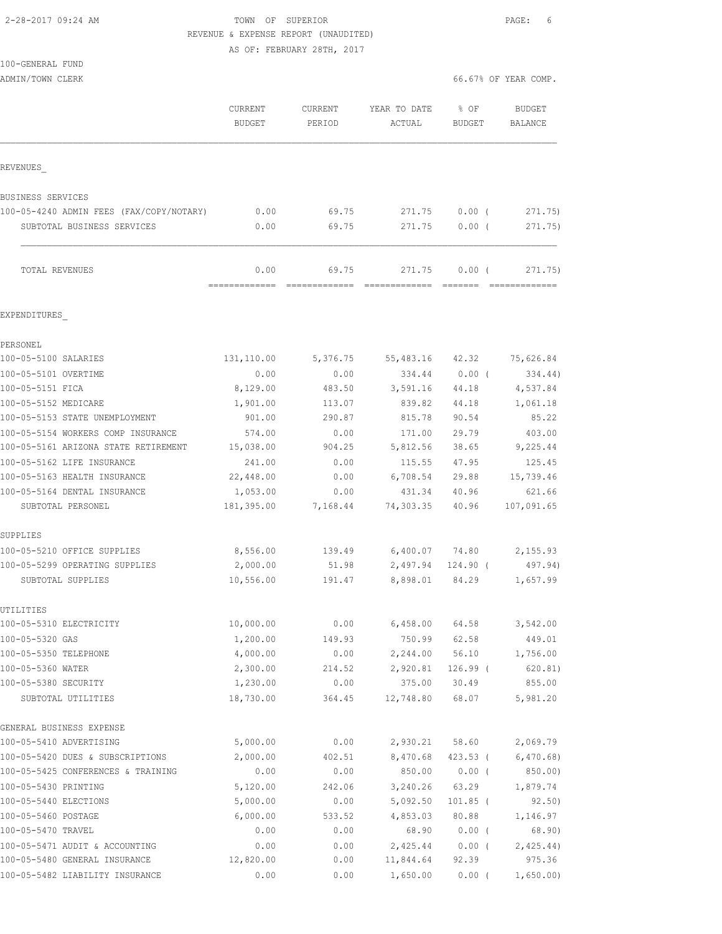2-28-2017 09:24 AM TOWN OF SUPERIOR PAGE: 6 REVENUE & EXPENSE REPORT (UNAUDITED)

AS OF: FEBRUARY 28TH, 2017

| $100 - GENERAI.$ | FUND |
|------------------|------|
|------------------|------|

| ADMIN/TOWN CLERK                                  |                          |                        |                         |                        | 66.67% OF YEAR COMP. |
|---------------------------------------------------|--------------------------|------------------------|-------------------------|------------------------|----------------------|
|                                                   | CURRENT<br><b>BUDGET</b> | CURRENT<br>PERIOD      | YEAR TO DATE<br>ACTUAL  | % OF<br><b>BUDGET</b>  | BUDGET<br>BALANCE    |
| REVENUES                                          |                          |                        |                         |                        |                      |
| BUSINESS SERVICES                                 |                          |                        |                         |                        |                      |
| 100-05-4240 ADMIN FEES (FAX/COPY/NOTARY)          | 0.00                     | 69.75                  | 271.75                  | $0.00$ (               | 271.75)              |
| SUBTOTAL BUSINESS SERVICES                        | 0.00                     | 69.75                  | 271.75                  | $0.00$ (               | 271.75)              |
| TOTAL REVENUES                                    | 0.00<br>=============    | 69.75<br>============= | 271.75<br>============= | 0.00(<br><b>BEECEE</b> | 271.75)              |
| EXPENDITURES                                      |                          |                        |                         |                        |                      |
| PERSONEL                                          |                          |                        |                         |                        |                      |
| 100-05-5100 SALARIES                              | 131,110.00               | 5,376.75               | 55,483.16               | 42.32                  | 75,626.84            |
| 100-05-5101 OVERTIME                              | 0.00                     | 0.00                   | 334.44                  | $0.00$ (               | 334.44)              |
| 100-05-5151 FICA                                  | 8,129.00                 | 483.50                 | 3,591.16                | 44.18                  | 4,537.84             |
| 100-05-5152 MEDICARE                              | 1,901.00                 | 113.07                 | 839.82                  | 44.18                  | 1,061.18             |
| 100-05-5153 STATE UNEMPLOYMENT                    | 901.00                   | 290.87                 | 815.78                  | 90.54                  | 85.22                |
| 100-05-5154 WORKERS COMP INSURANCE                | 574.00                   | 0.00                   | 171.00                  | 29.79                  | 403.00               |
| 100-05-5161 ARIZONA STATE RETIREMENT              | 15,038.00                | 904.25                 | 5,812.56                | 38.65                  | 9,225.44             |
| 100-05-5162 LIFE INSURANCE                        | 241.00                   | 0.00                   | 115.55                  | 47.95                  | 125.45               |
| 100-05-5163 HEALTH INSURANCE                      | 22,448.00                | 0.00                   | 6,708.54                | 29.88                  | 15,739.46            |
| 100-05-5164 DENTAL INSURANCE<br>SUBTOTAL PERSONEL | 1,053.00<br>181,395.00   | 0.00<br>7,168.44       | 431.34<br>74,303.35     | 40.96<br>40.96         | 621.66<br>107,091.65 |
| SUPPLIES                                          |                          |                        |                         |                        |                      |
| 100-05-5210 OFFICE SUPPLIES                       | 8,556.00                 | 139.49                 | 6,400.07 74.80          |                        | 2,155.93             |
| 100-05-5299 OPERATING SUPPLIES                    | 2,000.00                 | 51.98                  | 2,497.94                | 124.90 (               | 497.94)              |
| SUBTOTAL SUPPLIES                                 | 10,556.00                | 191.47                 | 8,898.01                | 84.29                  | 1,657.99             |
| UTILITIES<br>100-05-5310 ELECTRICITY              | 10,000.00                | 0.00                   | 6,458.00                | 64.58                  | 3,542.00             |
| 100-05-5320 GAS                                   | 1,200.00                 | 149.93                 | 750.99                  | 62.58                  | 449.01               |
| 100-05-5350 TELEPHONE                             | 4,000.00                 | 0.00                   | 2,244.00                | 56.10                  | 1,756.00             |
| 100-05-5360 WATER                                 | 2,300.00                 | 214.52                 | 2,920.81                | $126.99$ (             | 620.81)              |
| 100-05-5380 SECURITY                              | 1,230.00                 | 0.00                   | 375.00                  | 30.49                  | 855.00               |
| SUBTOTAL UTILITIES                                | 18,730.00                | 364.45                 | 12,748.80               | 68.07                  | 5,981.20             |
| GENERAL BUSINESS EXPENSE                          |                          |                        |                         |                        |                      |
| 100-05-5410 ADVERTISING                           | 5,000.00                 | 0.00                   | 2,930.21                | 58.60                  | 2,069.79             |
| 100-05-5420 DUES & SUBSCRIPTIONS                  | 2,000.00                 | 402.51                 | 8,470.68                | 423.53(                | 6,470.68)            |
| 100-05-5425 CONFERENCES & TRAINING                | 0.00                     | 0.00                   | 850.00                  | $0.00$ (               | 850.00)              |
| 100-05-5430 PRINTING                              | 5,120.00                 | 242.06                 | 3,240.26                | 63.29                  | 1,879.74             |
| 100-05-5440 ELECTIONS                             | 5,000.00                 | 0.00                   | 5,092.50                | 101.85 (               | 92.50)               |

100-05-5460 POSTAGE 6,000.00 533.52 4,853.03 80.88 1,146.97 100-05-5470 TRAVEL 0.00 0.00 68.90 0.00 ( 68.90) 100-05-5471 AUDIT & ACCOUNTING 0.00 0.00 2,425.44 0.00 ( 2,425.44) 100-05-5480 GENERAL INSURANCE 12,820.00 0.00 11,844.64 92.39 975.36 100-05-5482 LIABILITY INSURANCE 0.00 0.00 1,650.00 0.00 ( 1,650.00)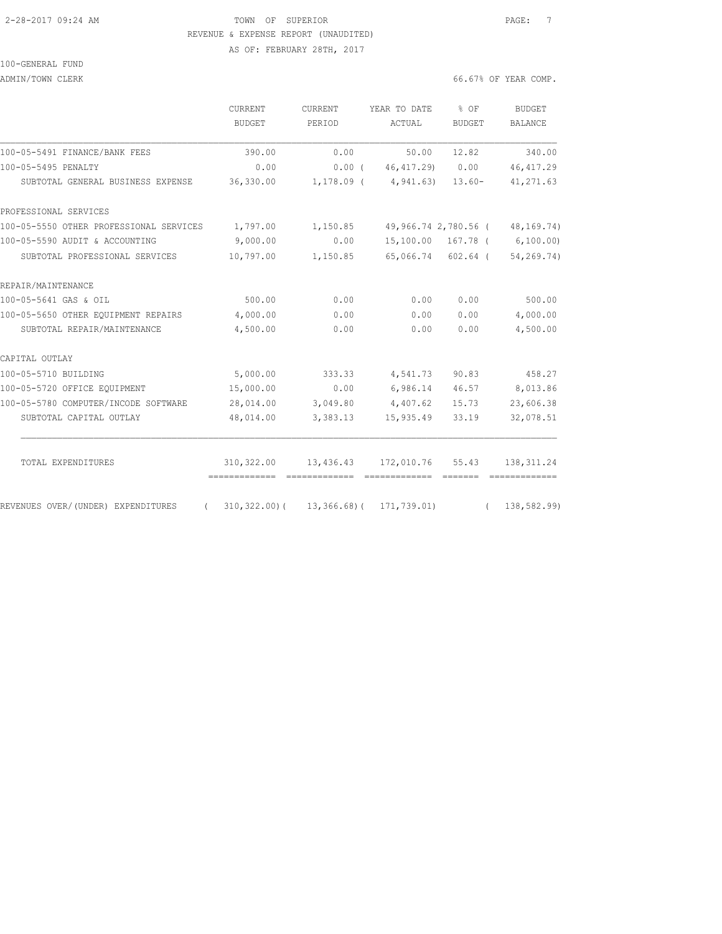# 2-28-2017 09:24 AM TOWN OF SUPERIOR PAGE: 7 REVENUE & EXPENSE REPORT (UNAUDITED) AS OF: FEBRUARY 28TH, 2017

#### 100-GENERAL FUND

ADMIN/TOWN CLERK 66

| 6.67% OF YEAR COMP. |  |  |  |  |
|---------------------|--|--|--|--|
|---------------------|--|--|--|--|

|                                         | <b>CURRENT</b><br><b>BUDGET</b> | CURRENT<br>PERIOD | YEAR TO DATE<br>ACTUAL                      | % OF<br><b>BUDGET</b> | BUDGET<br>BALANCE              |
|-----------------------------------------|---------------------------------|-------------------|---------------------------------------------|-----------------------|--------------------------------|
|                                         |                                 |                   |                                             |                       |                                |
| 100-05-5491 FINANCE/BANK FEES           | 390.00                          | 0.00              | 50.00                                       | 12.82                 | 340.00                         |
| 100-05-5495 PENALTY                     | 0.00                            | $0.00$ (          | 46,417.29) 0.00                             |                       | 46, 417.29                     |
| SUBTOTAL GENERAL BUSINESS EXPENSE       | 36,330.00                       |                   | $1, 178.09$ ( $4, 941.63$ )                 | $13.60-$              | 41, 271.63                     |
| PROFESSIONAL SERVICES                   |                                 |                   |                                             |                       |                                |
| 100-05-5550 OTHER PROFESSIONAL SERVICES | 1,797.00                        | 1,150.85          |                                             |                       | 49,966.74 2,780.56 (48,169.74) |
| 100-05-5590 AUDIT & ACCOUNTING          | 9,000.00                        | 0.00              |                                             |                       | 15,100.00 167.78 ( 6,100.00)   |
| SUBTOTAL PROFESSIONAL SERVICES          | 10,797.00                       | 1,150.85          | 65,066.74 602.64 (                          |                       | 54,269.74)                     |
| REPAIR/MAINTENANCE                      |                                 |                   |                                             |                       |                                |
| 100-05-5641 GAS & OIL                   | 500.00                          | 0.00              | 0.00                                        | 0.00                  | 500.00                         |
| 100-05-5650 OTHER EQUIPMENT REPAIRS     | 4,000.00                        | 0.00              | 0.00                                        | 0.00                  | 4,000.00                       |
| SUBTOTAL REPAIR/MAINTENANCE             | 4,500.00                        | 0.00              | 0.00                                        | 0.00                  | 4,500.00                       |
| CAPITAL OUTLAY                          |                                 |                   |                                             |                       |                                |
| 100-05-5710 BUILDING                    | 5,000.00                        | 333.33            | 4,541.73                                    | 90.83                 | 458.27                         |
| 100-05-5720 OFFICE EQUIPMENT            | 15,000.00                       | 0.00              | 6,986.14                                    | 46.57                 | 8,013.86                       |
| 100-05-5780 COMPUTER/INCODE SOFTWARE    | 28,014.00                       |                   | 3,049.80 4,407.62                           | 15.73                 | 23,606.38                      |
| SUBTOTAL CAPITAL OUTLAY                 | 48,014.00                       | 3,383.13          | 15,935.49                                   | 33.19                 | 32,078.51                      |
| TOTAL EXPENDITURES                      |                                 |                   | 310,322.00   13,436.43   172,010.76   55.43 |                       | 138, 311.24                    |
| REVENUES OVER/(UNDER) EXPENDITURES      | $310, 322.00$ (                 | $13,366.68$ ) (   | 171,739.01)                                 | =======               | =============<br>138,582.99)   |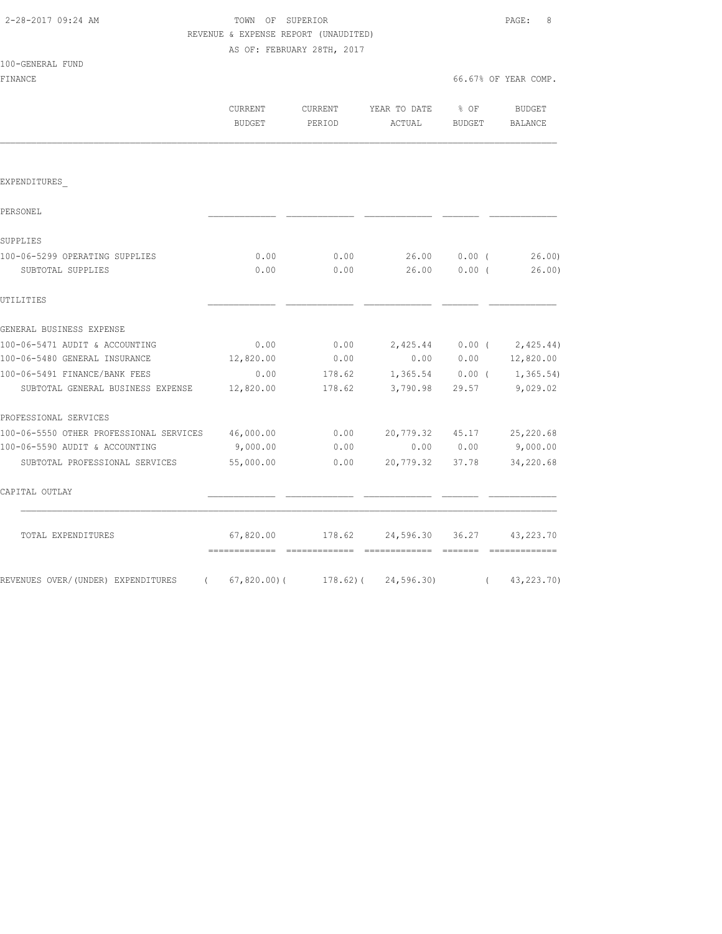100-GENERAL FUND

## TOWN OF SUPERIOR **PAGE:** 8 REVENUE & EXPENSE REPORT (UNAUDITED) AS OF: FEBRUARY 28TH, 2017

FINANCE 66.67% OF YEAR COMP.

|                                                   | CURRENT<br><b>BUDGET</b> | CURRENT<br>PERIOD | YEAR TO DATE<br>ACTUAL   | $8$ OF<br>BUDGET  | BUDGET<br><b>BALANCE</b>    |
|---------------------------------------------------|--------------------------|-------------------|--------------------------|-------------------|-----------------------------|
|                                                   |                          |                   |                          |                   |                             |
| EXPENDITURES                                      |                          |                   |                          |                   |                             |
| PERSONEL                                          |                          |                   |                          |                   |                             |
| SUPPLIES                                          |                          |                   |                          |                   |                             |
| 100-06-5299 OPERATING SUPPLIES                    | 0.00                     | 0.00              | 26.00                    | $0.00$ (          | 26.00                       |
| SUBTOTAL SUPPLIES                                 | 0.00                     | 0.00              | 26.00                    | $0.00$ (          | 26.00                       |
| UTILITIES                                         |                          |                   |                          |                   |                             |
| GENERAL BUSINESS EXPENSE                          |                          |                   |                          |                   |                             |
| 100-06-5471 AUDIT & ACCOUNTING                    | 0.00                     | 0.00              |                          | $2,425.44$ 0.00 ( | 2,425.44)                   |
| 100-06-5480 GENERAL INSURANCE                     | 12,820.00                | 0.00              |                          | 0.00 0.00         | 12,820.00                   |
| 100-06-5491 FINANCE/BANK FEES                     | 0.00                     | 178.62            |                          |                   | $1,365.54$ 0.00 ( 1,365.54) |
| SUBTOTAL GENERAL BUSINESS EXPENSE                 | 12,820.00                | 178.62            | 3,790.98                 |                   | 29.57 9,029.02              |
| PROFESSIONAL SERVICES                             |                          |                   |                          |                   |                             |
| 100-06-5550 OTHER PROFESSIONAL SERVICES 46,000.00 |                          | 0.00              | 20,779.32 45.17          |                   | 25,220.68                   |
| 100-06-5590 AUDIT & ACCOUNTING                    | 9,000.00                 | 0.00              |                          | 0.00 0.00         | 9,000.00                    |
| SUBTOTAL PROFESSIONAL SERVICES                    | 55,000.00                | 0.00              | 20,779.32 37.78          |                   | 34,220.68                   |
| CAPITAL OUTLAY                                    |                          |                   |                          |                   |                             |
| TOTAL EXPENDITURES                                | 67,820.00                | 178.62            | 24,596.30                | 36.27             | 43, 223, 70                 |
| REVENUES OVER/(UNDER) EXPENDITURES<br>$\left($    | $67,820.00$ ) (          |                   | $178.62$ ( $24,596.30$ ) | $\left($          | 43,223.70)                  |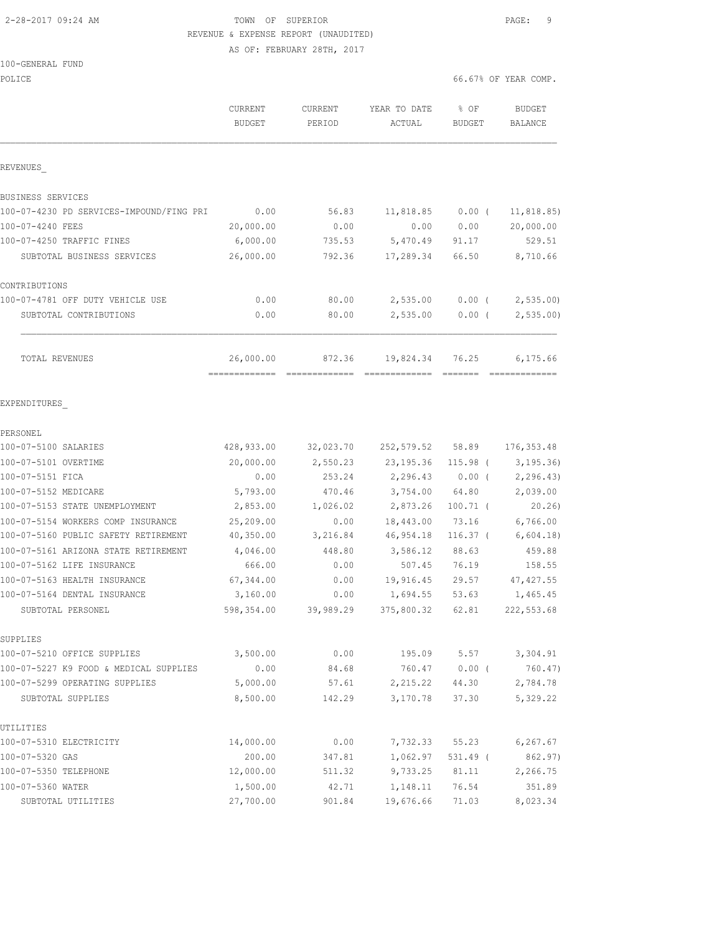# 2-28-2017 09:24 AM TOWN OF SUPERIOR PAGE: 9 REVENUE & EXPENSE REPORT (UNAUDITED)

AS OF: FEBRUARY 28TH, 2017

#### 100-GENERAL FUND

| POLICE                                   |                                |                   |                            |                       | 66.67% OF YEAR COMP.     |
|------------------------------------------|--------------------------------|-------------------|----------------------------|-----------------------|--------------------------|
|                                          | CURRENT<br><b>BUDGET</b>       | CURRENT<br>PERIOD | YEAR TO DATE<br>ACTUAL     | % OF<br><b>BUDGET</b> | <b>BUDGET</b><br>BALANCE |
| REVENUES                                 |                                |                   |                            |                       |                          |
| BUSINESS SERVICES                        |                                |                   |                            |                       |                          |
| 100-07-4230 PD SERVICES-IMPOUND/FING PRI | 0.00                           | 56.83             | 11,818.85                  | $0.00$ (              | 11, 818.85)              |
| 100-07-4240 FEES                         | 20,000.00                      | 0.00              | 0.00                       | 0.00                  | 20,000.00                |
| 100-07-4250 TRAFFIC FINES                | 6,000.00                       | 735.53            | 5,470.49                   | 91.17                 | 529.51                   |
| SUBTOTAL BUSINESS SERVICES               | 26,000.00                      | 792.36            | 17,289.34                  | 66.50                 | 8,710.66                 |
| CONTRIBUTIONS                            |                                |                   |                            |                       |                          |
| 100-07-4781 OFF DUTY VEHICLE USE         | 0.00                           | 80.00             | 2,535.00                   | $0.00$ (              | 2,535.00                 |
| SUBTOTAL CONTRIBUTIONS                   | 0.00                           | 80.00             | 2,535.00                   | $0.00$ (              | 2,535.00                 |
| TOTAL REVENUES                           | 26,000.00                      | 872.36            | 19,824.34                  | 76.25                 | 6,175.66                 |
| EXPENDITURES                             | ============================== |                   |                            |                       |                          |
| PERSONEL                                 |                                |                   |                            |                       |                          |
| 100-07-5100 SALARIES                     | 428,933.00                     | 32,023.70         | 252,579.52 58.89           |                       | 176, 353.48              |
| 100-07-5101 OVERTIME                     | 20,000.00                      | 2,550.23          | 23, 195.36                 | $115.98$ (            | 3, 195.36                |
| 100-07-5151 FICA                         | 0.00                           | 253.24            | 2,296.43                   | $0.00$ (              | 2, 296.43)               |
| 100-07-5152 MEDICARE                     | 5,793.00                       | 470.46            | 3,754.00                   | 64.80                 | 2,039.00                 |
| 100-07-5153 STATE UNEMPLOYMENT           | 2,853.00                       | 1,026.02          | 2,873.26                   | $100.71$ (            | 20.26)                   |
| 100-07-5154 WORKERS COMP INSURANCE       | 25,209.00                      | 0.00              | 18,443.00                  | 73.16                 | 6,766.00                 |
| 100-07-5160 PUBLIC SAFETY RETIREMENT     | 40,350.00                      | 3,216.84          | 46,954.18                  | $116.37$ (            | 6,604.18                 |
| 100-07-5161 ARIZONA STATE RETIREMENT     | 4,046.00                       | 448.80            | 3,586.12                   | 88.63                 | 459.88                   |
| 100-07-5162 LIFE INSURANCE               | 666.00                         | 0.00              | 507.45                     | 76.19                 | 158.55                   |
| 100-07-5163 HEALTH INSURANCE             | 67,344.00                      | 0.00              | 19,916.45                  | 29.57                 | 47, 427.55               |
| 100-07-5164 DENTAL INSURANCE             | 3,160.00                       | 0.00              | 1,694.55                   | 53.63                 | 1,465.45                 |
| SUBTOTAL PERSONEL                        | 598,354.00                     |                   | 39,989.29 375,800.32 62.81 |                       | 222, 553.68              |
| SUPPLIES                                 |                                |                   |                            |                       |                          |
| 100-07-5210 OFFICE SUPPLIES              | 3,500.00                       | 0.00              | 195.09                     |                       | $5.57$ $3,304.91$        |
| 100-07-5227 K9 FOOD & MEDICAL SUPPLIES   | 0.00                           | 84.68             | 760.47                     | $0.00$ (              | 760.47)                  |
| 100-07-5299 OPERATING SUPPLIES           | 5,000.00                       | 57.61             | 2,215.22                   | 44.30                 | 2,784.78                 |
| SUBTOTAL SUPPLIES                        | 8,500.00                       | 142.29            | 3,170.78                   | 37.30                 | 5,329.22                 |
| UTILITIES                                |                                |                   |                            |                       |                          |
| 100-07-5310 ELECTRICITY                  | 14,000.00                      | 0.00              | 7,732.33                   | 55.23                 | 6, 267.67                |
| 100-07-5320 GAS                          | 200.00                         | 347.81            | 1,062.97                   | $531.49$ (            | 862.97)                  |
| 100-07-5350 TELEPHONE                    | 12,000.00                      | 511.32            | 9,733.25                   | 81.11                 | 2,266.75                 |
| 100-07-5360 WATER                        | 1,500.00                       | 42.71             | 1,148.11                   | 76.54                 | 351.89                   |
| SUBTOTAL UTILITIES                       | 27,700.00                      | 901.84            | 19,676.66                  | 71.03                 | 8,023.34                 |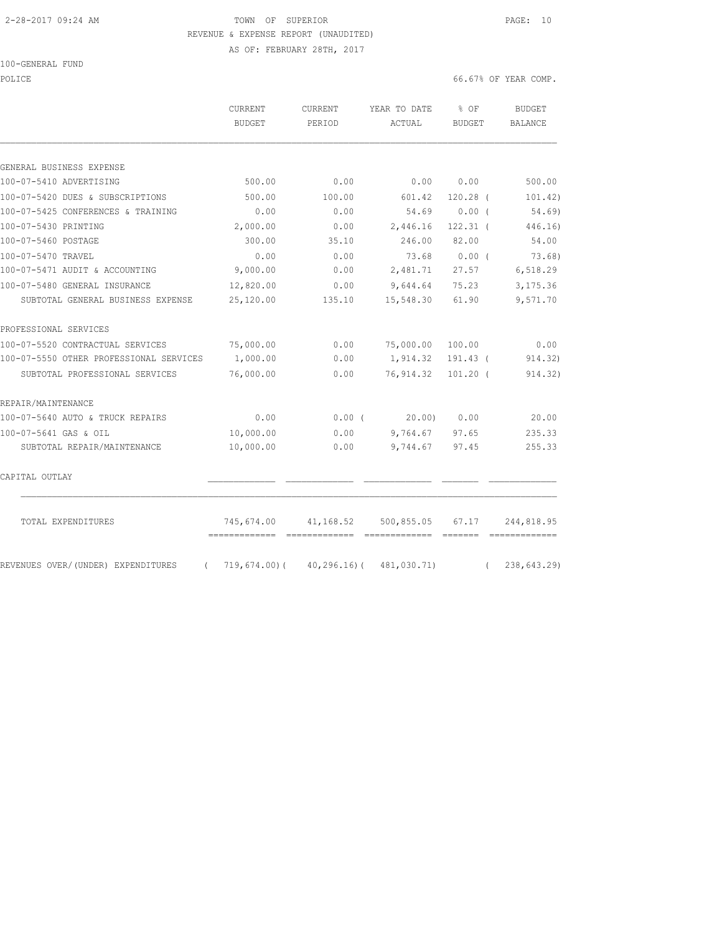## 2-28-2017 09:24 AM TOWN OF SUPERIOR PAGE: 10 REVENUE & EXPENSE REPORT (UNAUDITED)

AS OF: FEBRUARY 28TH, 2017

100-GENERAL FUND

POLICE 66.67% OF YEAR COMP.

|                                                | CURRENT<br><b>BUDGET</b>                     | CURRENT<br>PERIOD | YEAR TO DATE<br>ACTUAL                                                                                                                                                                                                                                                                                                                                                                                                                                                                               | $8$ OF<br><b>BUDGET</b>                                    | BUDGET<br><b>BALANCE</b> |
|------------------------------------------------|----------------------------------------------|-------------------|------------------------------------------------------------------------------------------------------------------------------------------------------------------------------------------------------------------------------------------------------------------------------------------------------------------------------------------------------------------------------------------------------------------------------------------------------------------------------------------------------|------------------------------------------------------------|--------------------------|
| GENERAL BUSINESS EXPENSE                       |                                              |                   |                                                                                                                                                                                                                                                                                                                                                                                                                                                                                                      |                                                            |                          |
| 100-07-5410 ADVERTISING                        | 500.00                                       | 0.00              | 0.00                                                                                                                                                                                                                                                                                                                                                                                                                                                                                                 | 0.00                                                       | 500.00                   |
| 100-07-5420 DUES & SUBSCRIPTIONS               | 500.00                                       | 100.00            | 601.42                                                                                                                                                                                                                                                                                                                                                                                                                                                                                               | $120.28$ (                                                 | 101.42)                  |
| 100-07-5425 CONFERENCES & TRAINING             | 0.00                                         | 0.00              | 54.69                                                                                                                                                                                                                                                                                                                                                                                                                                                                                                | $0.00$ (                                                   | 54.69)                   |
| 100-07-5430 PRINTING                           | 2,000.00                                     | 0.00              | 2,446.16                                                                                                                                                                                                                                                                                                                                                                                                                                                                                             | $122.31$ (                                                 | 446.16)                  |
| 100-07-5460 POSTAGE                            | 300.00                                       | 35.10             | 246.00                                                                                                                                                                                                                                                                                                                                                                                                                                                                                               | 82.00                                                      | 54.00                    |
| 100-07-5470 TRAVEL                             | 0.00                                         | 0.00              | 73.68                                                                                                                                                                                                                                                                                                                                                                                                                                                                                                | 0.00(                                                      | 73.68)                   |
| 100-07-5471 AUDIT & ACCOUNTING                 | 9,000.00                                     | 0.00              | 2,481.71                                                                                                                                                                                                                                                                                                                                                                                                                                                                                             | 27.57                                                      | 6,518.29                 |
| 100-07-5480 GENERAL INSURANCE                  | 12,820.00                                    | 0.00              | 9,644.64                                                                                                                                                                                                                                                                                                                                                                                                                                                                                             | 75.23                                                      | 3,175.36                 |
| SUBTOTAL GENERAL BUSINESS EXPENSE              | 25,120.00                                    | 135.10            | 15,548.30                                                                                                                                                                                                                                                                                                                                                                                                                                                                                            | 61.90                                                      | 9,571.70                 |
| PROFESSIONAL SERVICES                          |                                              |                   |                                                                                                                                                                                                                                                                                                                                                                                                                                                                                                      |                                                            |                          |
| 100-07-5520 CONTRACTUAL SERVICES               | 75,000.00                                    | 0.00              | 75,000.00                                                                                                                                                                                                                                                                                                                                                                                                                                                                                            | 100.00                                                     | 0.00                     |
| 100-07-5550 OTHER PROFESSIONAL SERVICES        | 1,000.00                                     | 0.00              | 1,914.32                                                                                                                                                                                                                                                                                                                                                                                                                                                                                             | 191.43 (                                                   | 914.32)                  |
| SUBTOTAL PROFESSIONAL SERVICES                 | 76,000.00                                    | 0.00              | 76, 914.32                                                                                                                                                                                                                                                                                                                                                                                                                                                                                           | $101.20$ (                                                 | 914.32)                  |
| REPAIR/MAINTENANCE                             |                                              |                   |                                                                                                                                                                                                                                                                                                                                                                                                                                                                                                      |                                                            |                          |
| 100-07-5640 AUTO & TRUCK REPAIRS               | 0.00                                         | 0.00(             | 20.00                                                                                                                                                                                                                                                                                                                                                                                                                                                                                                | 0.00                                                       | 20.00                    |
| 100-07-5641 GAS & OIL                          | 10,000.00                                    | 0.00              | 9,764.67                                                                                                                                                                                                                                                                                                                                                                                                                                                                                             | 97.65                                                      | 235.33                   |
| SUBTOTAL REPAIR/MAINTENANCE                    | 10,000.00                                    | 0.00              | 9,744.67                                                                                                                                                                                                                                                                                                                                                                                                                                                                                             | 97.45                                                      | 255.33                   |
| CAPITAL OUTLAY                                 |                                              |                   |                                                                                                                                                                                                                                                                                                                                                                                                                                                                                                      |                                                            |                          |
| TOTAL EXPENDITURES                             | 745,674.00<br>============================== | 41,168.52         | 500,855.05<br>$\begin{array}{cccccccccc} \multicolumn{2}{c}{} & \multicolumn{2}{c}{} & \multicolumn{2}{c}{} & \multicolumn{2}{c}{} & \multicolumn{2}{c}{} & \multicolumn{2}{c}{} & \multicolumn{2}{c}{} & \multicolumn{2}{c}{} & \multicolumn{2}{c}{} & \multicolumn{2}{c}{} & \multicolumn{2}{c}{} & \multicolumn{2}{c}{} & \multicolumn{2}{c}{} & \multicolumn{2}{c}{} & \multicolumn{2}{c}{} & \multicolumn{2}{c}{} & \multicolumn{2}{c}{} & \multicolumn{2}{c}{} & \multicolumn{2}{c}{} & \mult$ | 67.17<br>$\qquad \qquad \overline{\qquad \qquad }==-=-=-1$ | 244,818.95               |
| REVENUES OVER/(UNDER) EXPENDITURES<br>$\left($ | 719,674.00)(                                 |                   | $40, 296.16$ ( $481, 030.71$ )                                                                                                                                                                                                                                                                                                                                                                                                                                                                       | $\sqrt{2}$                                                 | 238,643.29)              |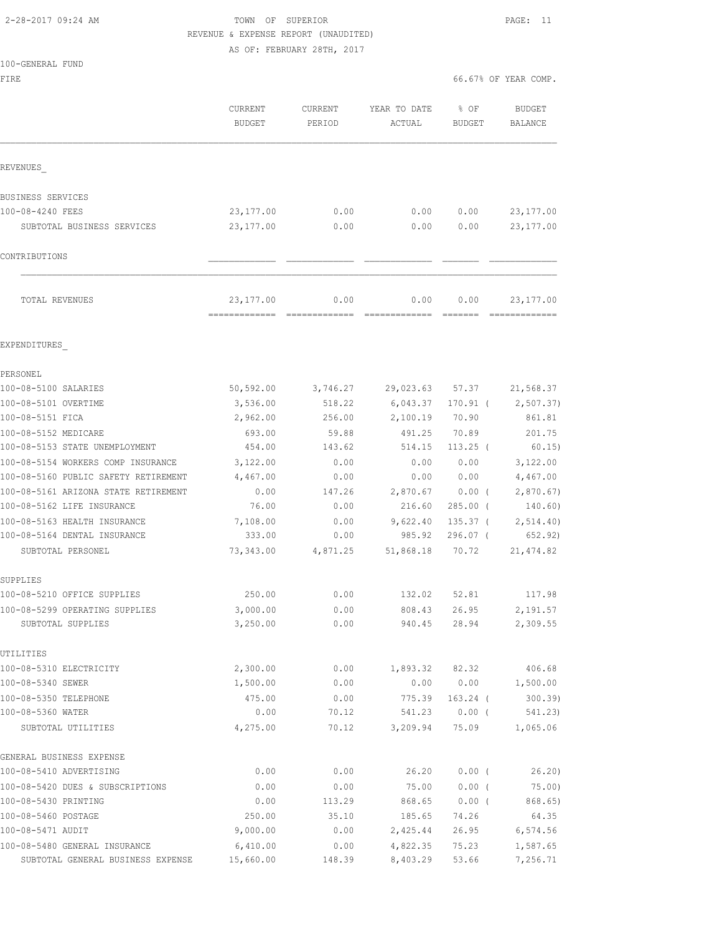# 2-28-2017 09:24 AM TOWN OF SUPERIOR PAGE: 11 REVENUE & EXPENSE REPORT (UNAUDITED)

AS OF: FEBRUARY 28TH, 2017

| 100-GENERAL FUND |  |
|------------------|--|
|------------------|--|

FIRE  $\sim$  66.67% OF YEAR COMP.

|                                      | <b>CURRENT</b><br><b>BUDGET</b>             | CURRENT<br>PERIOD | YEAR TO DATE<br>ACTUAL        | % OF<br><b>BUDGET</b> | <b>BUDGET</b><br>BALANCE                                                                                                                                                                                                                                                                                                                                                                                                                                                                             |
|--------------------------------------|---------------------------------------------|-------------------|-------------------------------|-----------------------|------------------------------------------------------------------------------------------------------------------------------------------------------------------------------------------------------------------------------------------------------------------------------------------------------------------------------------------------------------------------------------------------------------------------------------------------------------------------------------------------------|
| REVENUES                             |                                             |                   |                               |                       |                                                                                                                                                                                                                                                                                                                                                                                                                                                                                                      |
| BUSINESS SERVICES                    |                                             |                   |                               |                       |                                                                                                                                                                                                                                                                                                                                                                                                                                                                                                      |
| 100-08-4240 FEES                     | 23, 177.00                                  | 0.00              | 0.00                          | 0.00                  | 23, 177.00                                                                                                                                                                                                                                                                                                                                                                                                                                                                                           |
| SUBTOTAL BUSINESS SERVICES           | 23,177.00                                   | 0.00              | 0.00                          | 0.00                  | 23, 177.00                                                                                                                                                                                                                                                                                                                                                                                                                                                                                           |
| CONTRIBUTIONS                        |                                             |                   |                               |                       |                                                                                                                                                                                                                                                                                                                                                                                                                                                                                                      |
|                                      |                                             |                   |                               |                       |                                                                                                                                                                                                                                                                                                                                                                                                                                                                                                      |
| TOTAL REVENUES                       | 23, 177.00<br>-------------- -------------- | 0.00              | 0.00<br>-------------- ------ | 0.00                  | 23, 177.00<br>$\begin{array}{cccccccccccccc} \multicolumn{2}{c}{} & \multicolumn{2}{c}{} & \multicolumn{2}{c}{} & \multicolumn{2}{c}{} & \multicolumn{2}{c}{} & \multicolumn{2}{c}{} & \multicolumn{2}{c}{} & \multicolumn{2}{c}{} & \multicolumn{2}{c}{} & \multicolumn{2}{c}{} & \multicolumn{2}{c}{} & \multicolumn{2}{c}{} & \multicolumn{2}{c}{} & \multicolumn{2}{c}{} & \multicolumn{2}{c}{} & \multicolumn{2}{c}{} & \multicolumn{2}{c}{} & \multicolumn{2}{c}{} & \multicolumn{2}{c}{} & \$ |
| EXPENDITURES                         |                                             |                   |                               |                       |                                                                                                                                                                                                                                                                                                                                                                                                                                                                                                      |
| PERSONEL                             |                                             |                   |                               |                       |                                                                                                                                                                                                                                                                                                                                                                                                                                                                                                      |
| 100-08-5100 SALARIES                 | 50, 592.00                                  | 3,746.27          | 29,023.63                     | 57.37                 | 21,568.37                                                                                                                                                                                                                                                                                                                                                                                                                                                                                            |
| 100-08-5101 OVERTIME                 | 3,536.00                                    | 518.22            | 6,043.37                      | $170.91$ (            | 2,507.37)                                                                                                                                                                                                                                                                                                                                                                                                                                                                                            |
| 100-08-5151 FICA                     | 2,962.00                                    | 256.00            | 2,100.19                      | 70.90                 | 861.81                                                                                                                                                                                                                                                                                                                                                                                                                                                                                               |
| 100-08-5152 MEDICARE                 | 693.00                                      | 59.88             | 491.25                        | 70.89                 | 201.75                                                                                                                                                                                                                                                                                                                                                                                                                                                                                               |
| 100-08-5153 STATE UNEMPLOYMENT       | 454.00                                      | 143.62            | 514.15                        | $113.25$ (            | 60.15)                                                                                                                                                                                                                                                                                                                                                                                                                                                                                               |
| 100-08-5154 WORKERS COMP INSURANCE   | 3,122.00                                    | 0.00              | 0.00                          | 0.00                  | 3,122.00                                                                                                                                                                                                                                                                                                                                                                                                                                                                                             |
| 100-08-5160 PUBLIC SAFETY RETIREMENT | 4,467.00                                    | 0.00              | 0.00                          | 0.00                  | 4,467.00                                                                                                                                                                                                                                                                                                                                                                                                                                                                                             |
| 100-08-5161 ARIZONA STATE RETIREMENT | 0.00                                        | 147.26            | 2,870.67                      | $0.00$ (              | 2,870.67                                                                                                                                                                                                                                                                                                                                                                                                                                                                                             |
| 100-08-5162 LIFE INSURANCE           | 76.00                                       | 0.00              | 216.60                        | $285.00$ (            | 140.60)                                                                                                                                                                                                                                                                                                                                                                                                                                                                                              |
| 100-08-5163 HEALTH INSURANCE         | 7,108.00                                    | 0.00              | 9,622.40                      | $135.37$ (            | 2, 514.40)                                                                                                                                                                                                                                                                                                                                                                                                                                                                                           |
| 100-08-5164 DENTAL INSURANCE         | 333.00                                      | 0.00              | 985.92                        | $296.07$ (            | 652.92)                                                                                                                                                                                                                                                                                                                                                                                                                                                                                              |
| SUBTOTAL PERSONEL                    | 73,343.00                                   | 4,871.25          | 51,868.18                     | 70.72                 | 21, 474.82                                                                                                                                                                                                                                                                                                                                                                                                                                                                                           |
| SUPPLIES                             |                                             |                   |                               |                       |                                                                                                                                                                                                                                                                                                                                                                                                                                                                                                      |
| 100-08-5210 OFFICE SUPPLIES          | 250.00                                      | 0.00              | 132.02                        | 52.81                 | 117.98                                                                                                                                                                                                                                                                                                                                                                                                                                                                                               |
| 100-08-5299 OPERATING SUPPLIES       | 3,000.00                                    | 0.00              | 808.43                        | 26.95                 | 2,191.57                                                                                                                                                                                                                                                                                                                                                                                                                                                                                             |
| SUBTOTAL SUPPLIES                    | 3,250.00                                    | 0.00              | 940.45                        | 28.94                 | 2,309.55                                                                                                                                                                                                                                                                                                                                                                                                                                                                                             |
| UTILITIES                            |                                             |                   |                               |                       |                                                                                                                                                                                                                                                                                                                                                                                                                                                                                                      |
| 100-08-5310 ELECTRICITY              | 2,300.00                                    | 0.00              |                               | 1,893.32 82.32        | 406.68                                                                                                                                                                                                                                                                                                                                                                                                                                                                                               |
| 100-08-5340 SEWER                    | 1,500.00                                    | 0.00              | 0.00                          | 0.00                  | 1,500.00                                                                                                                                                                                                                                                                                                                                                                                                                                                                                             |
| 100-08-5350 TELEPHONE                | 475.00                                      | 0.00              | 775.39                        | $163.24$ (            | 300.39                                                                                                                                                                                                                                                                                                                                                                                                                                                                                               |
| 100-08-5360 WATER                    | 0.00                                        | 70.12             | 541.23                        | $0.00$ (              | 541.23)                                                                                                                                                                                                                                                                                                                                                                                                                                                                                              |
| SUBTOTAL UTILITIES                   | 4,275.00                                    | 70.12             | 3,209.94                      | 75.09                 | 1,065.06                                                                                                                                                                                                                                                                                                                                                                                                                                                                                             |
| GENERAL BUSINESS EXPENSE             |                                             |                   |                               |                       |                                                                                                                                                                                                                                                                                                                                                                                                                                                                                                      |
| 100-08-5410 ADVERTISING              | 0.00                                        | 0.00              | 26.20                         | 0.00(                 | 26.20)                                                                                                                                                                                                                                                                                                                                                                                                                                                                                               |
| 100-08-5420 DUES & SUBSCRIPTIONS     | 0.00                                        | 0.00              | 75.00                         | $0.00$ (              | 75.00)                                                                                                                                                                                                                                                                                                                                                                                                                                                                                               |
| 100-08-5430 PRINTING                 | 0.00                                        | 113.29            | 868.65                        | $0.00$ (              | 868.65)                                                                                                                                                                                                                                                                                                                                                                                                                                                                                              |
| 100-08-5460 POSTAGE                  | 250.00                                      | 35.10             | 185.65                        | 74.26                 | 64.35                                                                                                                                                                                                                                                                                                                                                                                                                                                                                                |
| 100-08-5471 AUDIT                    | 9,000.00                                    | 0.00              | 2,425.44                      | 26.95                 | 6,574.56                                                                                                                                                                                                                                                                                                                                                                                                                                                                                             |
| 100-08-5480 GENERAL INSURANCE        | 6,410.00                                    | 0.00              | 4,822.35                      | 75.23                 | 1,587.65                                                                                                                                                                                                                                                                                                                                                                                                                                                                                             |
| SUBTOTAL GENERAL BUSINESS EXPENSE    | 15,660.00                                   | 148.39            | 8,403.29                      | 53.66                 | 7,256.71                                                                                                                                                                                                                                                                                                                                                                                                                                                                                             |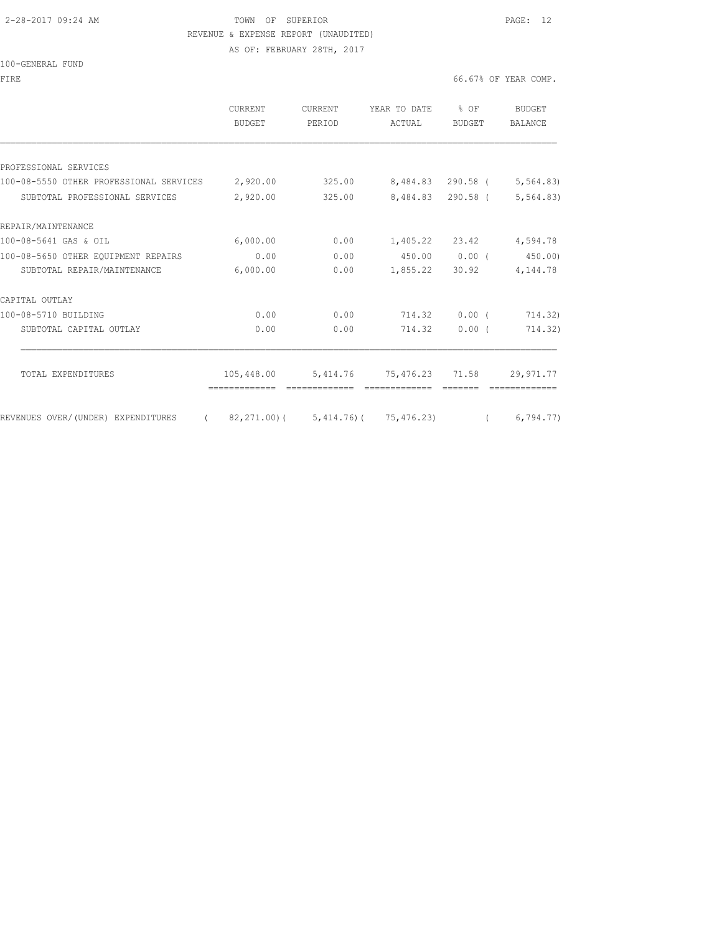# 2-28-2017 09:24 AM TOWN OF SUPERIOR PAGE: 12 REVENUE & EXPENSE REPORT (UNAUDITED)

AS OF: FEBRUARY 28TH, 2017

|  | 100-GENERAL FUND |  |
|--|------------------|--|
|  |                  |  |

|                                                  | CURRENT<br><b>BUDGET</b> | CURRENT<br>PERIOD | YEAR TO DATE<br>ACTUAL                 | $8$ OF<br>BUDGET  | <b>BUDGET</b><br><b>BALANCE</b> |
|--------------------------------------------------|--------------------------|-------------------|----------------------------------------|-------------------|---------------------------------|
|                                                  |                          |                   |                                        |                   |                                 |
| PROFESSIONAL SERVICES                            |                          |                   |                                        |                   |                                 |
| 100-08-5550 OTHER PROFESSIONAL SERVICES 2,920.00 |                          | 325.00            |                                        | 8,484.83 290.58 ( | 5, 564.83                       |
| SUBTOTAL PROFESSIONAL SERVICES                   | 2,920.00                 | 325.00            |                                        | 8,484.83 290.58 ( | 5, 564.83)                      |
| REPAIR/MAINTENANCE                               |                          |                   |                                        |                   |                                 |
| 100-08-5641 GAS & OIL                            | 6,000.00                 | 0.00              |                                        | 1,405.22 23.42    | 4,594.78                        |
| 100-08-5650 OTHER EQUIPMENT REPAIRS              | 0.00                     | 0.00              | 450.00                                 | $0.00$ (          | 450.00)                         |
| SUBTOTAL REPAIR/MAINTENANCE                      | 6,000.00                 | 0.00              | 1,855.22                               | 30.92             | 4,144.78                        |
| CAPITAL OUTLAY                                   |                          |                   |                                        |                   |                                 |
| 100-08-5710 BUILDING                             | 0.00                     | 0.00              | 714.32                                 | 0.00(             | 714.32)                         |
| SUBTOTAL CAPITAL OUTLAY                          | 0.00                     | 0.00              | 714.32                                 | 0.00(             | 714.32)                         |
| TOTAL EXPENDITURES                               | 105,448.00               | 5,414.76          | 75,476.23 71.58                        |                   | 29, 971.77                      |
|                                                  | =============            |                   |                                        |                   |                                 |
| REVENUES OVER/(UNDER) EXPENDITURES<br>$\sqrt{2}$ |                          |                   | 82, 271.00) ( 5, 414.76) ( 75, 476.23) | $\sqrt{2}$        | 6,794,77                        |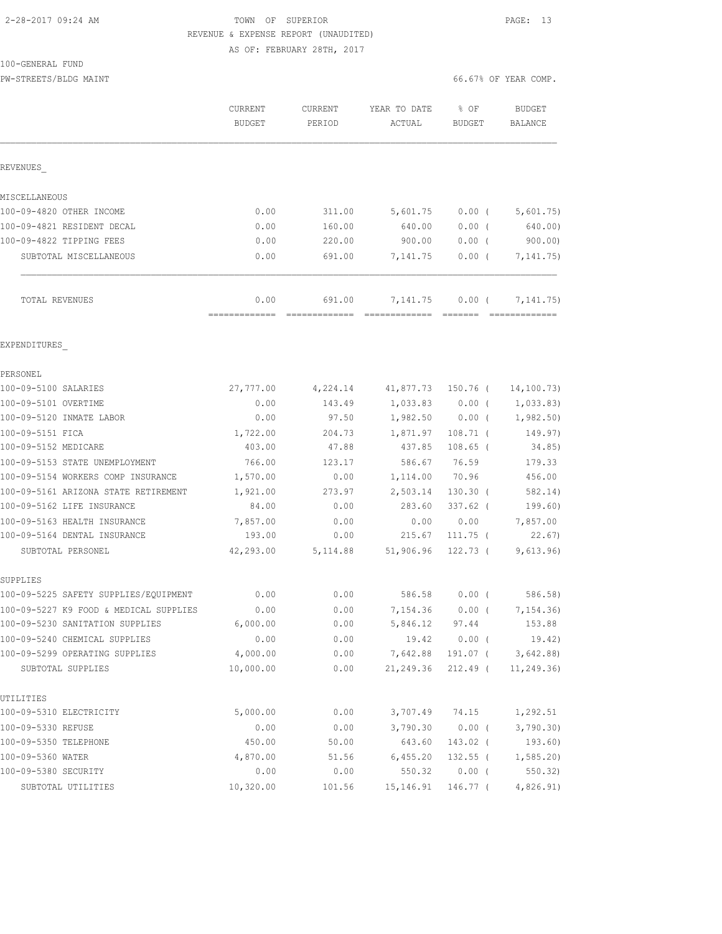# 2-28-2017 09:24 AM TOWN OF SUPERIOR PAGE: 13 REVENUE & EXPENSE REPORT (UNAUDITED)

AS OF: FEBRUARY 28TH, 2017

| 100-GENERAL FUND |  |
|------------------|--|
|------------------|--|

PW-STREETS/BLDG MAINT **1999** MAINT 66.67% OF YEAR COMP.

|                                                                           | <b>CURRENT</b><br>BUDGET | <b>CURRENT</b><br>PERIOD | YEAR TO DATE<br>ACTUAL | % OF<br>BUDGET    | <b>BUDGET</b><br>BALANCE |
|---------------------------------------------------------------------------|--------------------------|--------------------------|------------------------|-------------------|--------------------------|
| REVENUES                                                                  |                          |                          |                        |                   |                          |
| MISCELLANEOUS                                                             |                          |                          |                        |                   |                          |
| 100-09-4820 OTHER INCOME                                                  | 0.00                     | 311.00                   | 5,601.75               | $0.00$ (          | 5,601.75)                |
| 100-09-4821 RESIDENT DECAL                                                | 0.00                     | 160.00                   | 640.00                 | 0.00(             | 640.00)                  |
| 100-09-4822 TIPPING FEES                                                  | 0.00                     | 220.00                   | 900.00                 | $0.00$ (          | 900.00                   |
| SUBTOTAL MISCELLANEOUS                                                    | 0.00                     | 691.00                   | 7,141.75               | $0.00$ (          | 7, 141. 75)              |
| TOTAL REVENUES                                                            | 0.00                     | 691.00                   | 7,141.75               | $0.00$ (          | 7, 141. 75)              |
| EXPENDITURES                                                              |                          |                          |                        |                   |                          |
| PERSONEL                                                                  |                          |                          |                        |                   |                          |
| 100-09-5100 SALARIES                                                      | 27,777.00                | 4,224.14                 | 41,877.73              | 150.76 (          | 14, 100.73)              |
| 100-09-5101 OVERTIME                                                      | 0.00                     | 143.49                   | 1,033.83               | 0.00(             | 1,033.83)                |
| 100-09-5120 INMATE LABOR                                                  | 0.00                     | 97.50                    | 1,982.50               | $0.00$ (          | 1,982.50)                |
| 100-09-5151 FICA                                                          | 1,722.00                 | 204.73                   | 1,871.97               | $108.71$ (        | 149.97)                  |
| 100-09-5152 MEDICARE                                                      | 403.00                   | 47.88                    | 437.85                 | $108.65$ (        | 34.85)                   |
| 100-09-5153 STATE UNEMPLOYMENT                                            | 766.00                   | 123.17                   | 586.67                 | 76.59             | 179.33                   |
| 100-09-5154 WORKERS COMP INSURANCE                                        | 1,570.00                 | 0.00                     | 1,114.00               | 70.96             | 456.00                   |
| 100-09-5161 ARIZONA STATE RETIREMENT                                      | 1,921.00                 | 273.97                   | 2,503.14               | $130.30$ (        | 582.14)                  |
| 100-09-5162 LIFE INSURANCE                                                | 84.00                    | 0.00                     | 283.60                 | $337.62$ (        | 199.60)                  |
| 100-09-5163 HEALTH INSURANCE                                              | 7,857.00                 | 0.00                     | 0.00                   | 0.00              | 7,857.00                 |
| 100-09-5164 DENTAL INSURANCE                                              | 193.00                   | 0.00                     | 215.67                 | $111.75$ (        | 22.67                    |
| SUBTOTAL PERSONEL                                                         | 42,293.00                | 5, 114.88                | 51,906.96              | 122.73 (          | 9,613.96)                |
| SUPPLIES                                                                  |                          |                          |                        |                   |                          |
| 100-09-5225 SAFETY SUPPLIES/EQUIPMENT                                     | 0.00                     | 0.00                     | 586.58                 | $0.00$ (          | 586.58)                  |
| 100-09-5227 K9 FOOD & MEDICAL SUPPLIES<br>100-09-5230 SANITATION SUPPLIES | 0.00<br>6,000.00         | 0.00<br>0.00             | 7,154.36<br>5,846.12   | $0.00$ (<br>97.44 | 7,154.36)<br>153.88      |
| 100-09-5240 CHEMICAL SUPPLIES                                             | 0.00                     | 0.00                     | 19.42                  | $0.00$ (          | 19.42)                   |
| 100-09-5299 OPERATING SUPPLIES                                            | 4,000.00                 | 0.00                     | 7,642.88               | 191.07 (          | 3,642.88                 |
| SUBTOTAL SUPPLIES                                                         | 10,000.00                | 0.00                     | 21,249.36              | $212.49$ (        | 11, 249.36)              |
| UTILITIES                                                                 |                          |                          |                        |                   |                          |
| 100-09-5310 ELECTRICITY                                                   | 5,000.00                 | 0.00                     | 3,707.49               | 74.15             | 1,292.51                 |
| 100-09-5330 REFUSE                                                        | 0.00                     | 0.00                     | 3,790.30               | $0.00$ (          | 3,790.30)                |
| 100-09-5350 TELEPHONE                                                     | 450.00                   | 50.00                    | 643.60                 | 143.02 (          | 193.60)                  |
| 100-09-5360 WATER                                                         | 4,870.00                 | 51.56                    | 6,455.20               | $132.55$ (        | 1, 585.20                |
| 100-09-5380 SECURITY                                                      | 0.00                     | 0.00                     | 550.32                 | $0.00$ (          | 550.32)                  |
| SUBTOTAL UTILITIES                                                        | 10,320.00                | 101.56                   | 15,146.91              | 146.77 (          | 4,826.91)                |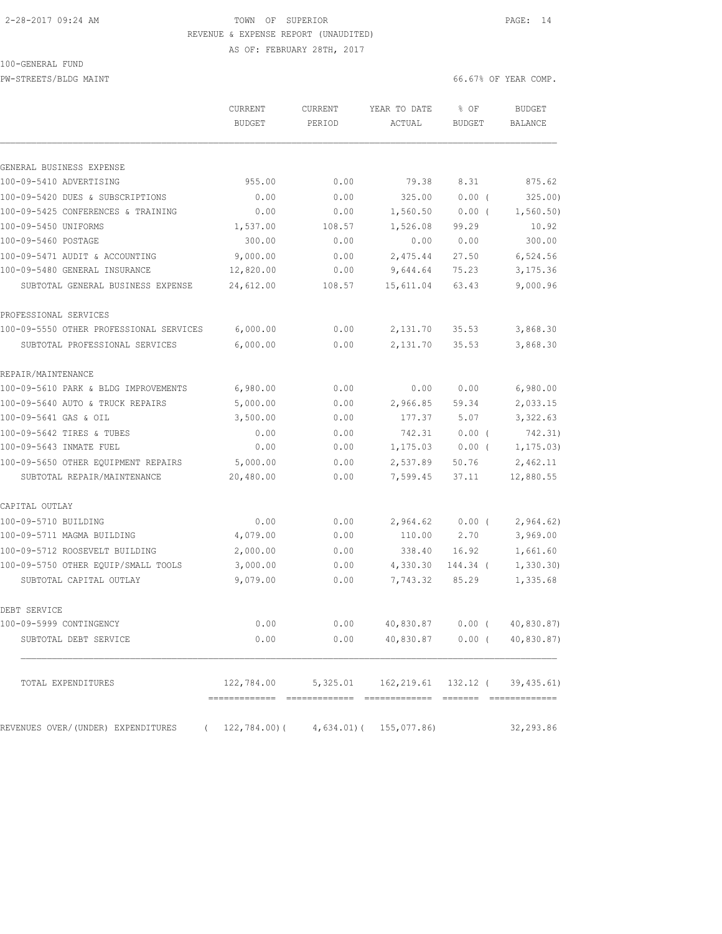# 2-28-2017 09:24 AM TOWN OF SUPERIOR PAGE: 14 REVENUE & EXPENSE REPORT (UNAUDITED)

AS OF: FEBRUARY 28TH, 2017

#### 100-GENERAL FUND

PW-STREETS/BLDG MAINT 66.67% OF YEAR COMP.

| GENERAL BUSINESS EXPENSE<br>0.00<br>79.38<br>955.00<br>325.00<br>0.00<br>0.00<br>0.00<br>1,560.50<br>0.00<br>1,537.00<br>108.57<br>1,526.08<br>300.00<br>0.00<br>0.00<br>9,000.00<br>0.00<br>2,475.44<br>12,820.00<br>9,644.64<br>0.00<br>SUBTOTAL GENERAL BUSINESS EXPENSE<br>24,612.00<br>15,611.04<br>108.57<br>6,000.00<br>0.00<br>2,131.70<br>SUBTOTAL PROFESSIONAL SERVICES<br>6,000.00<br>2,131.70<br>0.00<br>0.00<br>0.00<br>6,980.00<br>5,000.00<br>0.00<br>2,966.85<br>177.37<br>3,500.00<br>0.00<br>0.00<br>0.00<br>742.31<br>0.00<br>0.00<br>1,175.03<br>5,000.00<br>2,537.89<br>0.00<br>SUBTOTAL REPAIR/MAINTENANCE<br>20,480.00<br>7,599.45<br>0.00<br>0.00<br>0.00<br>2,964.62<br>4,079.00<br>0.00<br>110.00 | 8.31<br>0.00(<br>$0.00$ (<br>99.29<br>0.00<br>27.50<br>75.23<br>63.43 | 875.62<br>10.92<br>300.00<br>6,524.56<br>3,175.36<br>9,000.96 |
|-----------------------------------------------------------------------------------------------------------------------------------------------------------------------------------------------------------------------------------------------------------------------------------------------------------------------------------------------------------------------------------------------------------------------------------------------------------------------------------------------------------------------------------------------------------------------------------------------------------------------------------------------------------------------------------------------------------------------------|-----------------------------------------------------------------------|---------------------------------------------------------------|
| 100-09-5410 ADVERTISING<br>100-09-5420 DUES & SUBSCRIPTIONS<br>100-09-5425 CONFERENCES & TRAINING<br>100-09-5450 UNIFORMS<br>100-09-5460 POSTAGE<br>100-09-5471 AUDIT & ACCOUNTING<br>100-09-5480 GENERAL INSURANCE<br>PROFESSIONAL SERVICES<br>100-09-5550 OTHER PROFESSIONAL SERVICES<br>REPAIR/MAINTENANCE<br>100-09-5610 PARK & BLDG IMPROVEMENTS<br>100-09-5640 AUTO & TRUCK REPAIRS<br>100-09-5641 GAS & OIL<br>100-09-5642 TIRES & TUBES<br>100-09-5643 INMATE FUEL<br>100-09-5650 OTHER EOUIPMENT REPAIRS<br>CAPITAL OUTLAY<br>100-09-5710 BUILDING<br>100-09-5711 MAGMA BUILDING                                                                                                                                   |                                                                       |                                                               |
|                                                                                                                                                                                                                                                                                                                                                                                                                                                                                                                                                                                                                                                                                                                             |                                                                       | 325.00<br>1,560.50)                                           |
|                                                                                                                                                                                                                                                                                                                                                                                                                                                                                                                                                                                                                                                                                                                             |                                                                       |                                                               |
|                                                                                                                                                                                                                                                                                                                                                                                                                                                                                                                                                                                                                                                                                                                             |                                                                       |                                                               |
|                                                                                                                                                                                                                                                                                                                                                                                                                                                                                                                                                                                                                                                                                                                             |                                                                       |                                                               |
|                                                                                                                                                                                                                                                                                                                                                                                                                                                                                                                                                                                                                                                                                                                             |                                                                       |                                                               |
|                                                                                                                                                                                                                                                                                                                                                                                                                                                                                                                                                                                                                                                                                                                             |                                                                       |                                                               |
|                                                                                                                                                                                                                                                                                                                                                                                                                                                                                                                                                                                                                                                                                                                             |                                                                       |                                                               |
|                                                                                                                                                                                                                                                                                                                                                                                                                                                                                                                                                                                                                                                                                                                             |                                                                       |                                                               |
|                                                                                                                                                                                                                                                                                                                                                                                                                                                                                                                                                                                                                                                                                                                             |                                                                       |                                                               |
|                                                                                                                                                                                                                                                                                                                                                                                                                                                                                                                                                                                                                                                                                                                             | 35.53                                                                 | 3,868.30                                                      |
|                                                                                                                                                                                                                                                                                                                                                                                                                                                                                                                                                                                                                                                                                                                             | 35.53                                                                 | 3,868.30                                                      |
|                                                                                                                                                                                                                                                                                                                                                                                                                                                                                                                                                                                                                                                                                                                             |                                                                       |                                                               |
|                                                                                                                                                                                                                                                                                                                                                                                                                                                                                                                                                                                                                                                                                                                             | 0.00                                                                  | 6,980.00                                                      |
|                                                                                                                                                                                                                                                                                                                                                                                                                                                                                                                                                                                                                                                                                                                             | 59.34                                                                 | 2,033.15                                                      |
|                                                                                                                                                                                                                                                                                                                                                                                                                                                                                                                                                                                                                                                                                                                             | 5.07                                                                  | 3,322.63                                                      |
|                                                                                                                                                                                                                                                                                                                                                                                                                                                                                                                                                                                                                                                                                                                             | 0.00(                                                                 | 742.31)                                                       |
|                                                                                                                                                                                                                                                                                                                                                                                                                                                                                                                                                                                                                                                                                                                             | $0.00$ (                                                              | 1, 175.03)                                                    |
|                                                                                                                                                                                                                                                                                                                                                                                                                                                                                                                                                                                                                                                                                                                             | 50.76                                                                 | 2,462.11                                                      |
|                                                                                                                                                                                                                                                                                                                                                                                                                                                                                                                                                                                                                                                                                                                             | 37.11                                                                 | 12,880.55                                                     |
|                                                                                                                                                                                                                                                                                                                                                                                                                                                                                                                                                                                                                                                                                                                             |                                                                       |                                                               |
|                                                                                                                                                                                                                                                                                                                                                                                                                                                                                                                                                                                                                                                                                                                             | 0.00(                                                                 | 2,964.62)                                                     |
|                                                                                                                                                                                                                                                                                                                                                                                                                                                                                                                                                                                                                                                                                                                             | 2.70                                                                  | 3,969.00                                                      |
| 100-09-5712 ROOSEVELT BUILDING<br>338.40<br>2,000.00<br>0.00                                                                                                                                                                                                                                                                                                                                                                                                                                                                                                                                                                                                                                                                | 16.92                                                                 | 1,661.60                                                      |
| 100-09-5750 OTHER EQUIP/SMALL TOOLS<br>3,000.00<br>0.00<br>4,330.30                                                                                                                                                                                                                                                                                                                                                                                                                                                                                                                                                                                                                                                         | 144.34 (                                                              | 1, 330.30)                                                    |
| 9,079.00<br>SUBTOTAL CAPITAL OUTLAY<br>0.00<br>7,743.32                                                                                                                                                                                                                                                                                                                                                                                                                                                                                                                                                                                                                                                                     | 85.29                                                                 | 1,335.68                                                      |
| DEBT SERVICE                                                                                                                                                                                                                                                                                                                                                                                                                                                                                                                                                                                                                                                                                                                |                                                                       |                                                               |
| 100-09-5999 CONTINGENCY<br>0.00<br>0.00<br>40,830.87                                                                                                                                                                                                                                                                                                                                                                                                                                                                                                                                                                                                                                                                        | 0.00(                                                                 | 40,830.87)                                                    |
| 0.00<br>0.00<br>40,830.87<br>SUBTOTAL DEBT SERVICE                                                                                                                                                                                                                                                                                                                                                                                                                                                                                                                                                                                                                                                                          | 0.00(                                                                 | 40,830.87)                                                    |
| 122,784.00<br>162, 219.61<br>TOTAL EXPENDITURES<br>5,325.01                                                                                                                                                                                                                                                                                                                                                                                                                                                                                                                                                                                                                                                                 | 132.12 (                                                              |                                                               |

REVENUES OVER/(UNDER) EXPENDITURES ( 122,784.00)( 4,634.01)( 155,077.86) 32,293.86

============= ============= ============= ======= =============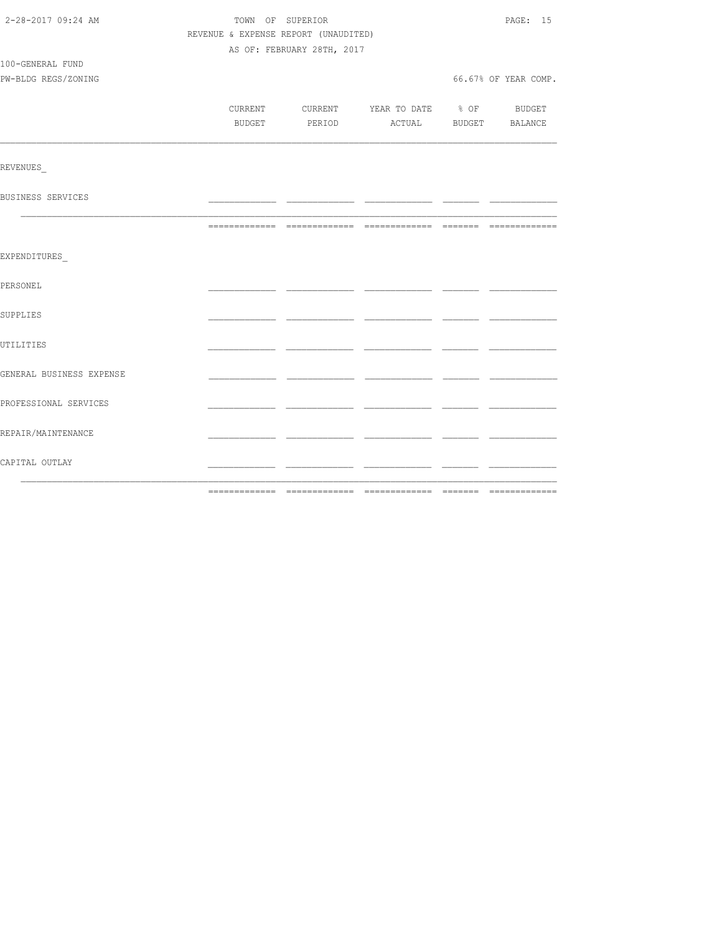| 2-28-2017 09:24 AM       |                                      | TOWN OF SUPERIOR                         |  | PAGE: 15             |
|--------------------------|--------------------------------------|------------------------------------------|--|----------------------|
|                          | REVENUE & EXPENSE REPORT (UNAUDITED) |                                          |  |                      |
|                          |                                      | AS OF: FEBRUARY 28TH, 2017               |  |                      |
| 100-GENERAL FUND         |                                      |                                          |  |                      |
| PW-BLDG REGS/ZONING      |                                      |                                          |  | 66.67% OF YEAR COMP. |
|                          |                                      |                                          |  |                      |
|                          |                                      | CURRENT CURRENT YEAR TO DATE % OF BUDGET |  |                      |
|                          | BUDGET                               | PERIOD ACTUAL BUDGET BALANCE             |  |                      |
|                          |                                      |                                          |  |                      |
|                          |                                      |                                          |  |                      |
| REVENUES                 |                                      |                                          |  |                      |
| BUSINESS SERVICES        |                                      |                                          |  |                      |
|                          |                                      |                                          |  |                      |
|                          |                                      |                                          |  |                      |
|                          |                                      |                                          |  |                      |
| EXPENDITURES             |                                      |                                          |  |                      |
|                          |                                      |                                          |  |                      |
| PERSONEL                 |                                      |                                          |  |                      |
|                          |                                      |                                          |  |                      |
| SUPPLIES                 |                                      |                                          |  |                      |
|                          |                                      |                                          |  |                      |
| UTILITIES                |                                      |                                          |  |                      |
|                          |                                      |                                          |  |                      |
| GENERAL BUSINESS EXPENSE |                                      |                                          |  |                      |
| PROFESSIONAL SERVICES    |                                      |                                          |  |                      |
|                          |                                      |                                          |  |                      |
| REPAIR/MAINTENANCE       |                                      |                                          |  |                      |
|                          |                                      |                                          |  |                      |
| CAPITAL OUTLAY           |                                      |                                          |  |                      |
|                          |                                      |                                          |  |                      |
|                          |                                      |                                          |  |                      |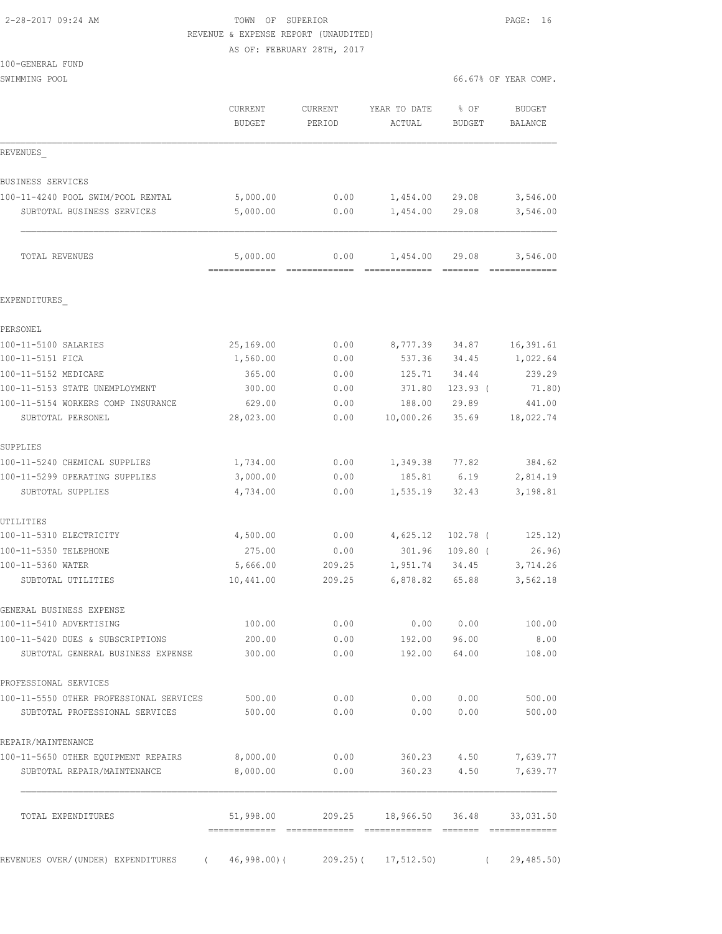# 2-28-2017 09:24 AM TOWN OF SUPERIOR PAGE: 16 REVENUE & EXPENSE REPORT (UNAUDITED)

AS OF: FEBRUARY 28TH, 2017

| SWIMMING POOL                           |                                           |                   |                                    | 66.67% OF YEAR COMP.  |                                 |  |
|-----------------------------------------|-------------------------------------------|-------------------|------------------------------------|-----------------------|---------------------------------|--|
|                                         | CURRENT<br><b>BUDGET</b>                  | CURRENT<br>PERIOD | YEAR TO DATE<br>ACTUAL             | % OF<br><b>BUDGET</b> | <b>BUDGET</b><br><b>BALANCE</b> |  |
| REVENUES                                |                                           |                   |                                    |                       |                                 |  |
| BUSINESS SERVICES                       |                                           |                   |                                    |                       |                                 |  |
| 100-11-4240 POOL SWIM/POOL RENTAL       | 5,000.00                                  | 0.00              | 1,454.00                           | 29.08                 | 3,546.00                        |  |
| SUBTOTAL BUSINESS SERVICES              | 5,000.00                                  | 0.00              | 1,454.00                           | 29.08                 | 3,546.00                        |  |
| TOTAL REVENUES                          | 5,000.00<br>-------------- -------------- | 0.00              | 1,454.00                           | 29.08<br>--------     | 3,546.00                        |  |
| EXPENDITURES                            |                                           |                   |                                    |                       |                                 |  |
| PERSONEL                                |                                           |                   |                                    |                       |                                 |  |
| 100-11-5100 SALARIES                    | 25,169.00                                 | 0.00              | 8,777.39                           | 34.87                 | 16,391.61                       |  |
| 100-11-5151 FICA                        | 1,560.00                                  | 0.00              | 537.36                             | 34.45                 | 1,022.64                        |  |
| 100-11-5152 MEDICARE                    | 365.00                                    | 0.00              | 125.71                             | 34.44                 | 239.29                          |  |
| 100-11-5153 STATE UNEMPLOYMENT          | 300.00                                    | 0.00              | 371.80                             | $123.93$ (            | 71.80)                          |  |
| 100-11-5154 WORKERS COMP INSURANCE      | 629.00                                    | 0.00              | 188.00                             | 29.89                 | 441.00                          |  |
| SUBTOTAL PERSONEL                       | 28,023.00                                 | 0.00              | 10,000.26                          | 35.69                 | 18,022.74                       |  |
| SUPPLIES                                |                                           |                   |                                    |                       |                                 |  |
| 100-11-5240 CHEMICAL SUPPLIES           | 1,734.00                                  | 0.00              | 1,349.38                           | 77.82                 | 384.62                          |  |
| 100-11-5299 OPERATING SUPPLIES          | 3,000.00                                  | 0.00              | 185.81                             | 6.19                  | 2,814.19                        |  |
| SUBTOTAL SUPPLIES                       | 4,734.00                                  | 0.00              | 1,535.19                           | 32.43                 | 3,198.81                        |  |
| UTILITIES                               |                                           |                   |                                    |                       |                                 |  |
| 100-11-5310 ELECTRICITY                 | 4,500.00                                  | 0.00              | 4,625.12                           | $102.78$ (            | 125.12)                         |  |
| 100-11-5350 TELEPHONE                   | 275.00                                    | 0.00              | 301.96                             | $109.80$ (            | 26.96)                          |  |
| 100-11-5360 WATER<br>SUBTOTAL UTILITIES | 5,666.00<br>10,441.00                     | 209.25<br>209.25  | 1,951.74<br>6,878.82               | 34.45<br>65.88        | 3,714.26<br>3,562.18            |  |
| GENERAL BUSINESS EXPENSE                |                                           |                   |                                    |                       |                                 |  |
| 100-11-5410 ADVERTISING                 | 100.00                                    | 0.00              | 0.00                               | 0.00                  | 100.00                          |  |
| 100-11-5420 DUES & SUBSCRIPTIONS        | 200.00                                    | 0.00              | 192.00                             | 96.00                 | 8.00                            |  |
| SUBTOTAL GENERAL BUSINESS EXPENSE       | 300.00                                    |                   | 0.00<br>192.00                     | 64.00                 | 108.00                          |  |
| PROFESSIONAL SERVICES                   |                                           |                   |                                    |                       |                                 |  |
| 100-11-5550 OTHER PROFESSIONAL SERVICES | 500.00                                    | 0.00              | 0.00                               | 0.00                  | 500.00                          |  |
| SUBTOTAL PROFESSIONAL SERVICES          | 500.00                                    | 0.00              | 0.00                               | 0.00                  | 500.00                          |  |
| REPAIR/MAINTENANCE                      |                                           |                   |                                    |                       |                                 |  |
| 100-11-5650 OTHER EQUIPMENT REPAIRS     | 8,000.00                                  | 0.00              | 360.23                             | 4.50                  | 7,639.77                        |  |
| SUBTOTAL REPAIR/MAINTENANCE             | 8,000.00                                  | 0.00              | 360.23                             | 4.50                  | 7,639.77                        |  |
| TOTAL EXPENDITURES                      |                                           |                   | $51,998.00$ 209.25 18,966.50 36.48 |                       | 33,031.50                       |  |

REVENUES OVER/(UNDER) EXPENDITURES ( 46,998.00)( 209.25)( 17,512.50) ( 29,485.50)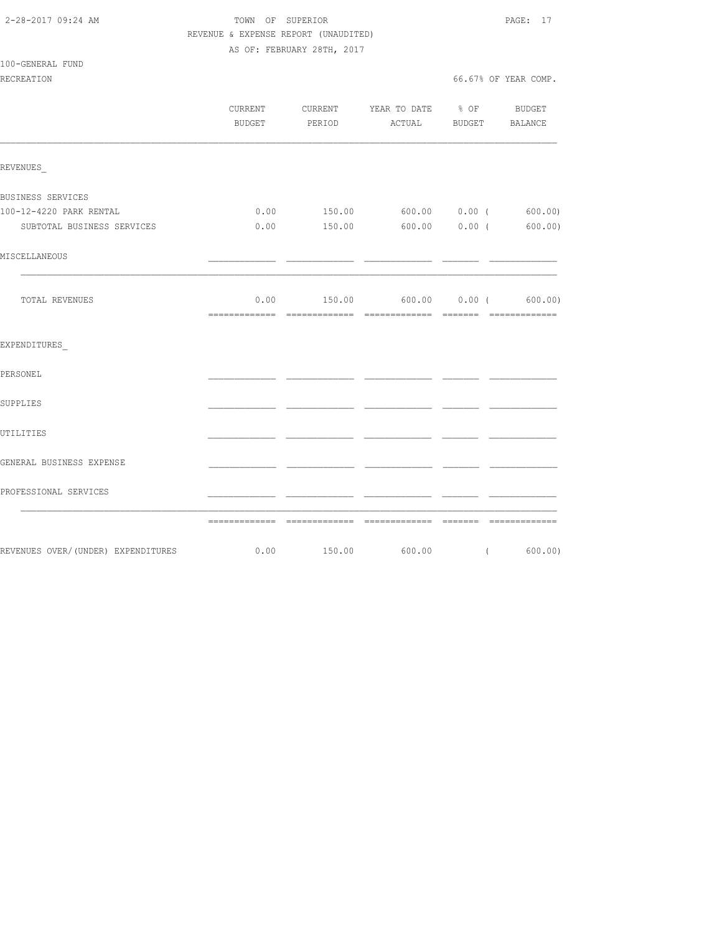| 2-28-2017 09:24 AM |  |
|--------------------|--|

TOWN OF SUPERIOR **PAGE: 17**  REVENUE & EXPENSE REPORT (UNAUDITED) AS OF: FEBRUARY 28TH, 2017

100-GENERAL FUND

| RECREATION                                                       |      |                                                                                 | 66.67% OF YEAR COMP. |
|------------------------------------------------------------------|------|---------------------------------------------------------------------------------|----------------------|
|                                                                  |      | CURRENT CURRENT YEAR TO DATE % OF BUDGET<br>BUDGET PERIOD ACTUAL BUDGET BALANCE |                      |
| REVENUES                                                         |      |                                                                                 |                      |
| BUSINESS SERVICES                                                |      |                                                                                 |                      |
| 100-12-4220 PARK RENTAL                                          |      | $0.00$ 150.00 600.00 0.00 (600.00)                                              |                      |
| SUBTOTAL BUSINESS SERVICES                                       | 0.00 | 150.00 600.00 0.00 (600.00)                                                     |                      |
| MISCELLANEOUS                                                    |      |                                                                                 |                      |
| TOTAL REVENUES                                                   |      | $0.00$ $150.00$ $600.00$ $0.00$ $($ $600.00)$                                   |                      |
| EXPENDITURES                                                     |      |                                                                                 |                      |
| PERSONEL                                                         |      |                                                                                 |                      |
| SUPPLIES                                                         |      |                                                                                 |                      |
| UTILITIES                                                        |      |                                                                                 |                      |
| GENERAL BUSINESS EXPENSE                                         |      |                                                                                 |                      |
| PROFESSIONAL SERVICES                                            |      |                                                                                 |                      |
|                                                                  |      |                                                                                 |                      |
| REVENUES OVER/(UNDER) EXPENDITURES $0.00$ 150.00 600.00 (600.00) |      |                                                                                 |                      |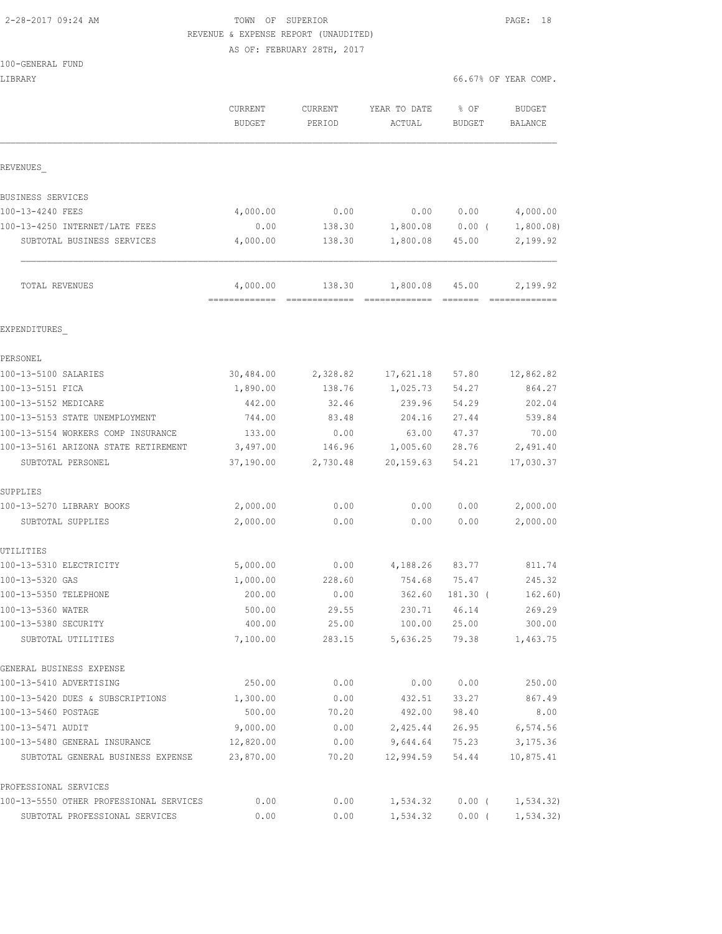# 2-28-2017 09:24 AM TOWN OF SUPERIOR PAGE: 18 REVENUE & EXPENSE REPORT (UNAUDITED)

AS OF: FEBRUARY 28TH, 2017

| LIBRARY                                 |                                 |                   |                        |                       | 66.67% OF YEAR COMP.     |
|-----------------------------------------|---------------------------------|-------------------|------------------------|-----------------------|--------------------------|
|                                         | <b>CURRENT</b><br><b>BUDGET</b> | CURRENT<br>PERIOD | YEAR TO DATE<br>ACTUAL | % OF<br><b>BUDGET</b> | <b>BUDGET</b><br>BALANCE |
| REVENUES                                |                                 |                   |                        |                       |                          |
| BUSINESS SERVICES                       |                                 |                   |                        |                       |                          |
| 100-13-4240 FEES                        | 4,000.00                        | 0.00              | 0.00                   | 0.00                  | 4,000.00                 |
| 100-13-4250 INTERNET/LATE FEES          | 0.00                            | 138.30            | 1,800.08               | $0.00$ (              | 1,800.08                 |
| SUBTOTAL BUSINESS SERVICES              | 4,000.00                        | 138.30            | 1,800.08               | 45.00                 | 2,199.92                 |
| TOTAL REVENUES                          | 4,000.00                        | 138.30            | 1,800.08               | 45.00                 | 2,199.92                 |
| EXPENDITURES                            |                                 |                   |                        |                       |                          |
| PERSONEL                                |                                 |                   |                        |                       |                          |
| 100-13-5100 SALARIES                    | 30,484.00                       | 2,328.82          | 17,621.18              | 57.80                 | 12,862.82                |
| 100-13-5151 FICA                        | 1,890.00                        | 138.76            | 1,025.73               | 54.27                 | 864.27                   |
| 100-13-5152 MEDICARE                    | 442.00                          | 32.46             | 239.96                 | 54.29                 | 202.04                   |
| 100-13-5153 STATE UNEMPLOYMENT          | 744.00                          | 83.48             | 204.16                 | 27.44                 | 539.84                   |
| 100-13-5154 WORKERS COMP INSURANCE      | 133.00                          | 0.00              | 63.00                  | 47.37                 | 70.00                    |
| 100-13-5161 ARIZONA STATE RETIREMENT    | 3,497.00                        | 146.96            | 1,005.60               | 28.76                 | 2,491.40                 |
| SUBTOTAL PERSONEL                       | 37,190.00                       | 2,730.48          | 20, 159.63             | 54.21                 | 17,030.37                |
| SUPPLIES                                |                                 |                   |                        |                       |                          |
| 100-13-5270 LIBRARY BOOKS               | 2,000.00                        | 0.00              | 0.00                   | 0.00                  | 2,000.00                 |
| SUBTOTAL SUPPLIES                       | 2,000.00                        | 0.00              | 0.00                   | 0.00                  | 2,000.00                 |
| UTILITIES                               |                                 |                   |                        |                       |                          |
| 100-13-5310 ELECTRICITY                 | 5,000.00                        | 0.00              | 4,188.26               | 83.77                 | 811.74                   |
| 100-13-5320 GAS                         | 1,000.00                        | 228.60            | 754.68                 | 75.47                 | 245.32                   |
| 100-13-5350 TELEPHONE                   | 200.00                          | 0.00              | 362.60                 | 181.30 (              | 162.60)                  |
| 100-13-5360 WATER                       | 500.00                          | 29.55             | 230.71                 | 46.14                 | 269.29                   |
| 100-13-5380 SECURITY                    | 400.00                          | 25.00             | 100.00                 | 25.00                 | 300.00                   |
| SUBTOTAL UTILITIES                      | 7,100.00                        | 283.15            | 5,636.25               | 79.38                 | 1,463.75                 |
| GENERAL BUSINESS EXPENSE                |                                 |                   |                        |                       |                          |
| 100-13-5410 ADVERTISING                 | 250.00                          | 0.00              | 0.00                   | 0.00                  | 250.00                   |
| 100-13-5420 DUES & SUBSCRIPTIONS        | 1,300.00                        | 0.00              | 432.51                 | 33.27                 | 867.49                   |
| 100-13-5460 POSTAGE                     | 500.00                          | 70.20             | 492.00                 | 98.40                 | 8.00                     |
| 100-13-5471 AUDIT                       | 9,000.00                        | 0.00              | 2,425.44               | 26.95                 | 6,574.56                 |
| 100-13-5480 GENERAL INSURANCE           | 12,820.00                       | 0.00              | 9,644.64               | 75.23                 | 3, 175.36                |
| SUBTOTAL GENERAL BUSINESS EXPENSE       | 23,870.00                       | 70.20             | 12,994.59              | 54.44                 | 10,875.41                |
| PROFESSIONAL SERVICES                   |                                 |                   |                        |                       |                          |
| 100-13-5550 OTHER PROFESSIONAL SERVICES | 0.00                            | 0.00              | 1,534.32               | $0.00$ (              | 1,534.32)                |
| SUBTOTAL PROFESSIONAL SERVICES          | 0.00                            | 0.00              | 1,534.32               | $0.00$ (              | 1, 534.32)               |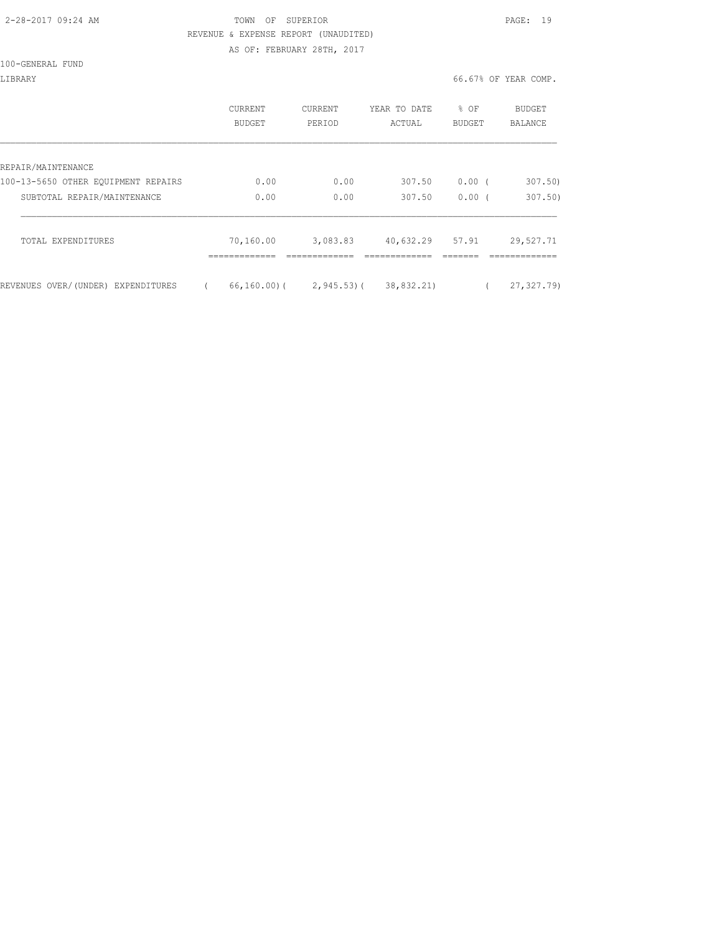# 2-28-2017 09:24 AM TOWN OF SUPERIOR PAGE: 19 REVENUE & EXPENSE REPORT (UNAUDITED)

AS OF: FEBRUARY 28TH, 2017

#### 100-GENERAL FUND

|                                     | CURRENT<br>BUDGET | CURRENT<br>PERIOD | YEAR TO DATE<br>ACTUAL | % OF<br><b>BUDGET</b> | <b>BUDGET</b><br>BALANCE |
|-------------------------------------|-------------------|-------------------|------------------------|-----------------------|--------------------------|
| REPAIR/MAINTENANCE                  |                   |                   |                        |                       |                          |
| 100-13-5650 OTHER EQUIPMENT REPAIRS | 0.00              | 0.00              | 307.50                 | 0.00(                 | 307.50)                  |
| SUBTOTAL REPAIR/MAINTENANCE         | 0.00              | 0.00              | 307.50                 | 0.00(                 | 307.50                   |
| TOTAL EXPENDITURES                  | 70,160.00         | 3,083.83          | 40,632.29              | 57.91                 | 29,527.71                |
| REVENUES OVER/(UNDER) EXPENDITURES  | 66,160.00)(       | $2,945.53$ ) (    | 38,832.21)             |                       | 27, 327, 79)             |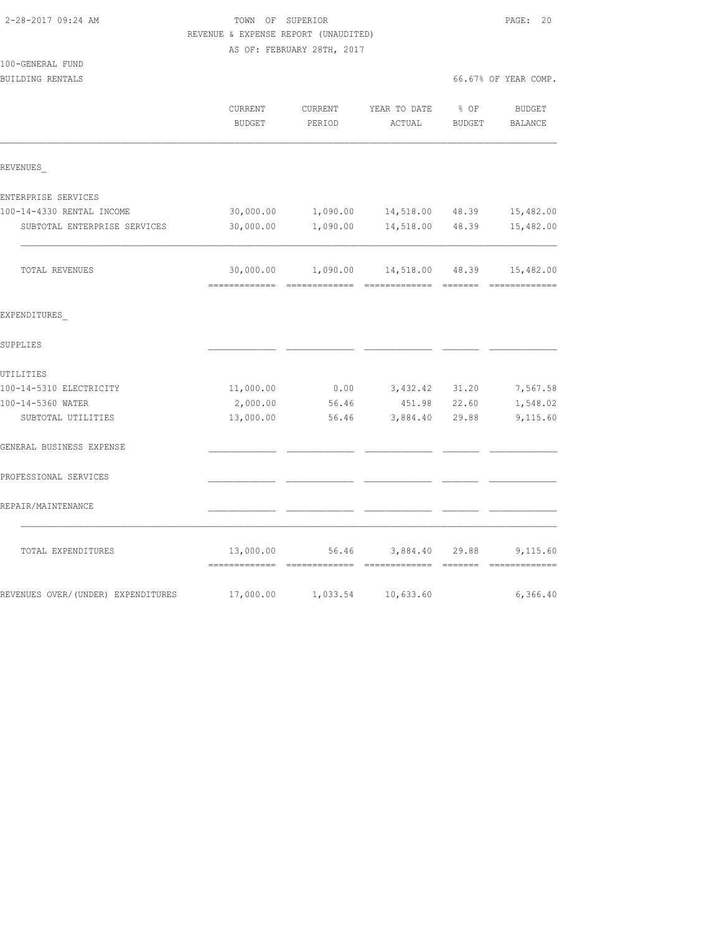|                                    | REVENUE & EXPENSE REPORT (UNAUDITED) |                            |                                         |                  |                          |
|------------------------------------|--------------------------------------|----------------------------|-----------------------------------------|------------------|--------------------------|
|                                    |                                      | AS OF: FEBRUARY 28TH, 2017 |                                         |                  |                          |
| 100-GENERAL FUND                   |                                      |                            |                                         |                  |                          |
| BUILDING RENTALS                   |                                      |                            |                                         |                  | 66.67% OF YEAR COMP.     |
|                                    | CURRENT<br><b>BUDGET</b>             | CURRENT<br>PERIOD          | YEAR TO DATE<br>ACTUAL                  | $8$ OF<br>BUDGET | <b>BUDGET</b><br>BALANCE |
| REVENUES                           |                                      |                            |                                         |                  |                          |
| ENTERPRISE SERVICES                |                                      |                            |                                         |                  |                          |
| 100-14-4330 RENTAL INCOME          | 30,000.00                            | 1,090.00                   | 14,518.00 48.39                         |                  | 15,482.00                |
| SUBTOTAL ENTERPRISE SERVICES       | 30,000.00                            | 1,090.00                   | 14,518.00                               | 48.39            | 15,482.00                |
| TOTAL REVENUES                     |                                      |                            | 30,000.00  1,090.00  14,518.00  48.39   |                  | 15,482.00                |
| EXPENDITURES                       |                                      |                            |                                         |                  |                          |
| SUPPLIES                           |                                      |                            |                                         |                  |                          |
| UTILITIES                          |                                      |                            |                                         |                  |                          |
| 100-14-5310 ELECTRICITY            | 11,000.00                            | 0.00                       | 3,432.42 31.20                          |                  | 7,567.58                 |
| 100-14-5360 WATER                  | 2,000.00                             | 56.46                      | 451.98 22.60                            |                  | 1,548.02                 |
| SUBTOTAL UTILITIES                 | 13,000.00                            | 56.46                      | 3,884.40 29.88                          |                  | 9,115.60                 |
| GENERAL BUSINESS EXPENSE           |                                      |                            |                                         |                  |                          |
| PROFESSIONAL SERVICES              |                                      |                            |                                         |                  |                          |
| REPAIR/MAINTENANCE                 |                                      |                            |                                         |                  |                          |
| TOTAL EXPENDITURES                 |                                      |                            | 13,000.00 56.46 3,884.40 29.88 9,115.60 |                  |                          |
| REVENUES OVER/(UNDER) EXPENDITURES |                                      |                            | 17,000.00    1,033.54    10,633.60      |                  | 6,366.40                 |

2-28-2017 09:24 AM TOWN OF SUPERIOR PAGE: 20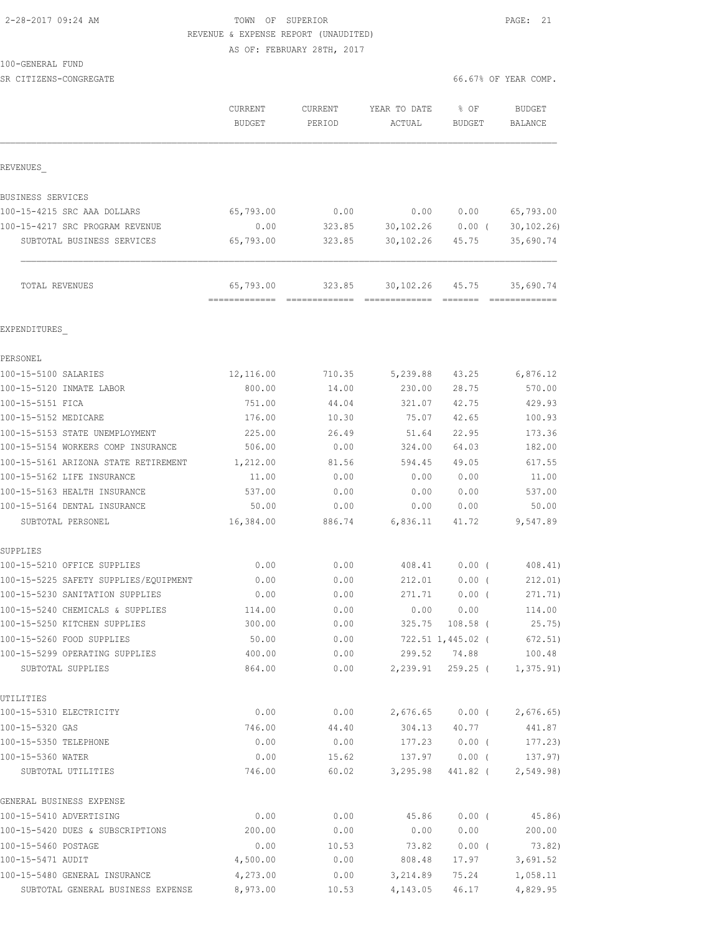# 2-28-2017 09:24 AM TOWN OF SUPERIOR PAGE: 21 REVENUE & EXPENSE REPORT (UNAUDITED)

AS OF: FEBRUARY 28TH, 2017

#### 100-GENERAL FUND

SR CITIZENS-CONGREGATE **66.67%** OF YEAR COMP.

|                                                                          | CURRENT<br><b>BUDGET</b> | CURRENT<br>PERIOD | YEAR TO DATE<br>ACTUAL           | % OF<br><b>BUDGET</b> | <b>BUDGET</b><br>BALANCE      |
|--------------------------------------------------------------------------|--------------------------|-------------------|----------------------------------|-----------------------|-------------------------------|
| REVENUES                                                                 |                          |                   |                                  |                       |                               |
| BUSINESS SERVICES                                                        |                          |                   |                                  |                       |                               |
| 100-15-4215 SRC AAA DOLLARS                                              | 65,793.00                | 0.00              | 0.00                             | 0.00                  | 65,793.00                     |
| 100-15-4217 SRC PROGRAM REVENUE                                          | 0.00                     | 323.85            | 30,102.26 0.00 (                 |                       | 30, 102, 26                   |
| SUBTOTAL BUSINESS SERVICES                                               | 65,793.00                | 323.85            | 30,102.26                        | 45.75                 | 35,690.74                     |
| TOTAL REVENUES                                                           | 65,793.00                | 323.85            | 30, 102. 26 45. 75               |                       | 35,690.74                     |
| EXPENDITURES                                                             |                          |                   |                                  |                       |                               |
| PERSONEL                                                                 |                          |                   |                                  |                       |                               |
| 100-15-5100 SALARIES                                                     | 12,116.00                | 710.35            | 5,239.88                         | 43.25                 | 6,876.12                      |
| 100-15-5120 INMATE LABOR                                                 | 800.00                   | 14.00             | 230.00                           | 28.75                 | 570.00                        |
| 100-15-5151 FICA                                                         | 751.00                   | 44.04             | 321.07                           | 42.75                 | 429.93                        |
| 100-15-5152 MEDICARE                                                     | 176.00                   | 10.30             | 75.07                            | 42.65                 | 100.93                        |
| 100-15-5153 STATE UNEMPLOYMENT                                           | 225.00                   | 26.49             | 51.64                            | 22.95                 | 173.36                        |
| 100-15-5154 WORKERS COMP INSURANCE                                       | 506.00                   | 0.00              | 324.00                           | 64.03                 | 182.00                        |
| 100-15-5161 ARIZONA STATE RETIREMENT                                     | 1,212.00                 | 81.56             | 594.45                           | 49.05                 | 617.55                        |
| 100-15-5162 LIFE INSURANCE                                               | 11.00                    | 0.00              | 0.00                             | 0.00                  | 11.00                         |
| 100-15-5163 HEALTH INSURANCE                                             | 537.00                   | 0.00              | 0.00                             | 0.00                  | 537.00                        |
| 100-15-5164 DENTAL INSURANCE<br>SUBTOTAL PERSONEL                        | 50.00<br>16,384.00       | 0.00<br>886.74    | 0.00<br>6,836.11                 | 0.00<br>41.72         | 50.00<br>9,547.89             |
|                                                                          |                          |                   |                                  |                       |                               |
| SUPPLIES<br>100-15-5210 OFFICE SUPPLIES                                  | 0.00                     | 0.00              | 408.41                           | $0.00$ (              | 408.41)                       |
|                                                                          |                          |                   |                                  |                       |                               |
| 100-15-5225 SAFETY SUPPLIES/EQUIPMENT<br>100-15-5230 SANITATION SUPPLIES | 0.00<br>0.00             | 0.00<br>0.00      | 212.01<br>271.71                 | $0.00$ (<br>$0.00$ (  | 212.01)<br>271.71)            |
| 100-15-5240 CHEMICALS & SUPPLIES                                         | 114.00                   | 0.00              | 0.00                             | 0.00                  | 114.00                        |
| 100-15-5250 KITCHEN SUPPLIES                                             | 300.00                   | 0.00              |                                  | 325.75 108.58 (       | 25.75)                        |
| 100-15-5260 FOOD SUPPLIES                                                | 50.00                    | 0.00              |                                  | 722.51 1,445.02 (     | 672.51)                       |
| 100-15-5299 OPERATING SUPPLIES                                           | 400.00                   | 0.00              |                                  | 299.52 74.88          | 100.48                        |
| SUBTOTAL SUPPLIES                                                        | 864.00                   | 0.00              |                                  |                       | 2, 239.91 259.25 ( 1, 375.91) |
| UTILITIES                                                                |                          |                   |                                  |                       |                               |
| 100-15-5310 ELECTRICITY                                                  | 0.00                     |                   | $0.00$ 2,676.65 0.00 ( 2,676.65) |                       |                               |
| 100-15-5320 GAS                                                          | 746.00                   | 44.40             |                                  |                       | 304.13 40.77 441.87           |
| 100-15-5350 TELEPHONE                                                    | 0.00                     | 0.00              |                                  |                       | 177.23 0.00 (177.23)          |
| 100-15-5360 WATER                                                        | 0.00                     |                   | 15.62 137.97 0.00 (137.97)       |                       |                               |
| SUBTOTAL UTILITIES                                                       | 746.00                   |                   | 60.02 3,295.98                   |                       | 441.82 ( 2,549.98)            |
| GENERAL BUSINESS EXPENSE                                                 |                          |                   |                                  |                       |                               |
| 100-15-5410 ADVERTISING                                                  | 0.00                     | 0.00              | 45.86                            | $0.00$ (              | 45.86)                        |
| 100-15-5420 DUES & SUBSCRIPTIONS                                         | 200.00                   | 0.00              | 0.00                             | 0.00                  | 200.00                        |
| 100-15-5460 POSTAGE                                                      | 0.00                     | 10.53             | 73.82                            | $0.00$ (              | 73.82)                        |
| 100-15-5471 AUDIT                                                        | 4,500.00                 | 0.00              | 808.48                           | 17.97                 | 3,691.52                      |
| 100-15-5480 GENERAL INSURANCE                                            | 4,273.00                 | 0.00              | 3,214.89                         | 75.24                 | 1,058.11                      |

SUBTOTAL GENERAL BUSINESS EXPENSE 8,973.00 10.53 4,143.05 46.17 4,829.95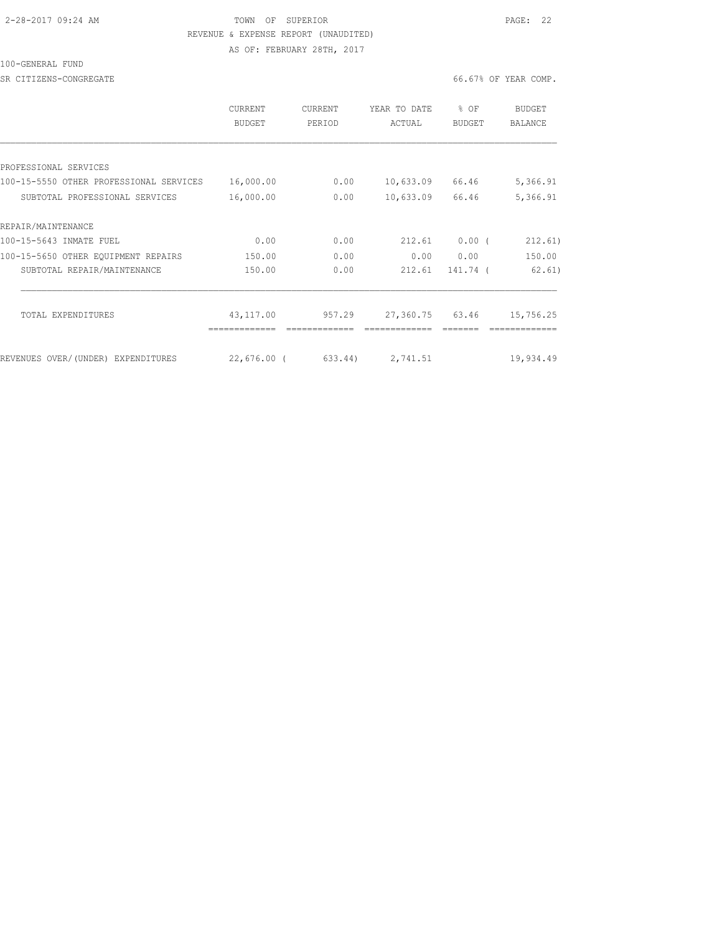# 2-28-2017 09:24 AM TOWN OF SUPERIOR PAGE: 22 REVENUE & EXPENSE REPORT (UNAUDITED)

AS OF: FEBRUARY 28TH, 2017

### 100-GENERAL FUND

SR CITIZENS-CONGREGATE **66.67%** OF YEAR COMP.

|                                         | CURRENT<br>BUDGET | <b>CURRENT</b><br>PERIOD | YEAR TO DATE<br>ACTUAL | % OF<br>BUDGET | BUDGET<br>BALANCE |
|-----------------------------------------|-------------------|--------------------------|------------------------|----------------|-------------------|
|                                         |                   |                          |                        |                |                   |
| PROFESSIONAL SERVICES                   |                   |                          |                        |                |                   |
| 100-15-5550 OTHER PROFESSIONAL SERVICES | 16,000.00         | 0.00                     | 10,633.09              | 66.46          | 5,366.91          |
| SUBTOTAL PROFESSIONAL SERVICES          | 16,000.00         | 0.00                     | 10,633.09              | 66.46          | 5,366.91          |
| REPAIR/MAINTENANCE                      |                   |                          |                        |                |                   |
| 100-15-5643 INMATE FUEL                 | 0.00              | 0.00                     | 212.61                 | $0.00$ (       | 212.61)           |
| 100-15-5650 OTHER EOUIPMENT REPAIRS     | 150.00            | 0.00                     | 0.00                   | 0.00           | 150.00            |
| SUBTOTAL REPAIR/MAINTENANCE             | 150.00            | 0.00                     | 212.61                 | 141.74 (       | 62, 61)           |
| TOTAL EXPENDITURES                      | 43,117.00         | 957.29                   | 27,360.75              | 63.46          | 15,756.25         |
|                                         |                   |                          |                        |                |                   |
| REVENUES OVER/(UNDER) EXPENDITURES      | $22,676.00$ (     | 633.44)                  | 2,741.51               |                | 19,934.49         |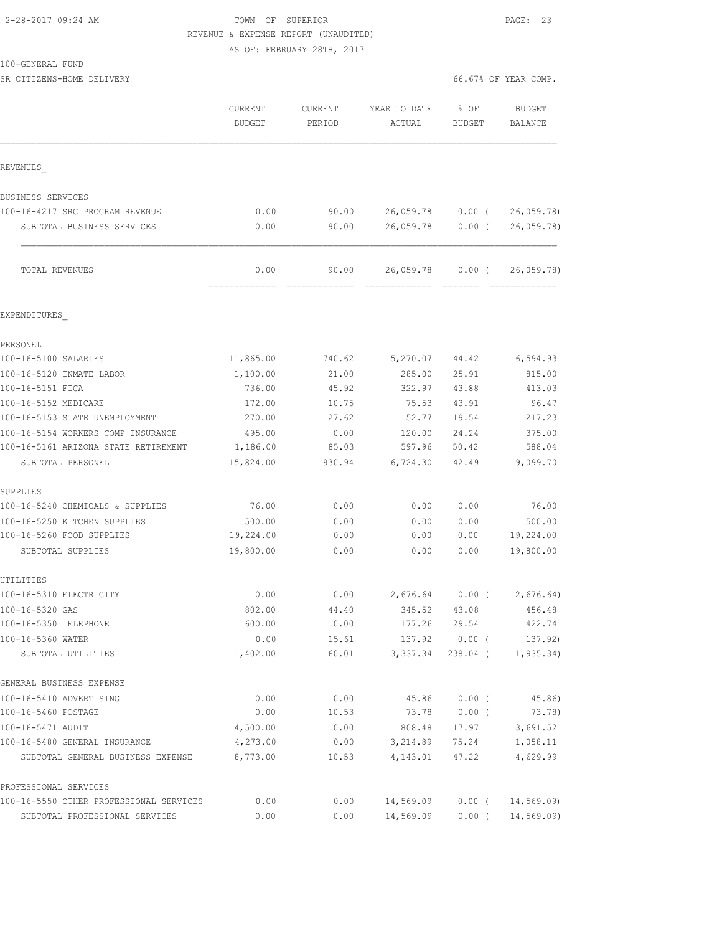# 2-28-2017 09:24 AM TOWN OF SUPERIOR PAGE: 23 REVENUE & EXPENSE REPORT (UNAUDITED)

AS OF: FEBRUARY 28TH, 2017

| 100-GENERAL FUND |  |
|------------------|--|
|------------------|--|

| SR CITIZENS-HOME DELIVERY               |                          |                   |                        | 66.67% OF YEAR COMP.   |  |                                 |
|-----------------------------------------|--------------------------|-------------------|------------------------|------------------------|--|---------------------------------|
|                                         | CURRENT<br><b>BUDGET</b> | CURRENT<br>PERIOD | YEAR TO DATE<br>ACTUAL | % OF<br><b>BUDGET</b>  |  | <b>BUDGET</b><br><b>BALANCE</b> |
| REVENUES                                |                          |                   |                        |                        |  |                                 |
| BUSINESS SERVICES                       |                          |                   |                        |                        |  |                                 |
| 100-16-4217 SRC PROGRAM REVENUE         | 0.00                     | 90.00             | 26,059.78              | $0.00$ (               |  | 26,059.78                       |
| SUBTOTAL BUSINESS SERVICES              | 0.00                     | 90.00             | 26,059.78              | $0.00$ (               |  | 26,059.78                       |
| TOTAL REVENUES                          | 0.00                     | 90.00             | 26,059.78              | $0.00$ (               |  | 26,059.78)<br><b>ERRESTERED</b> |
| EXPENDITURES                            |                          |                   |                        |                        |  |                                 |
| PERSONEL                                |                          |                   |                        |                        |  |                                 |
| 100-16-5100 SALARIES                    | 11,865.00                | 740.62            | 5,270.07               | 44.42                  |  | 6,594.93                        |
| 100-16-5120 INMATE LABOR                | 1,100.00                 | 21.00             | 285.00                 | 25.91                  |  | 815.00                          |
| 100-16-5151 FICA                        | 736.00                   | 45.92             | 322.97                 | 43.88                  |  | 413.03                          |
| 100-16-5152 MEDICARE                    | 172.00                   | 10.75             | 75.53                  | 43.91                  |  | 96.47                           |
| 100-16-5153 STATE UNEMPLOYMENT          | 270.00                   | 27.62             | 52.77                  | 19.54                  |  | 217.23                          |
| 100-16-5154 WORKERS COMP INSURANCE      | 495.00                   | 0.00              | 120.00                 | 24.24                  |  | 375.00                          |
| 100-16-5161 ARIZONA STATE RETIREMENT    | 1,186.00                 | 85.03             | 597.96                 | 50.42                  |  | 588.04                          |
| SUBTOTAL PERSONEL                       | 15,824.00                | 930.94            | 6,724.30               | 42.49                  |  | 9,099.70                        |
| SUPPLIES                                |                          |                   |                        |                        |  |                                 |
| 100-16-5240 CHEMICALS & SUPPLIES        | 76.00                    | 0.00              | 0.00                   | 0.00                   |  | 76.00                           |
| 100-16-5250 KITCHEN SUPPLIES            | 500.00                   | 0.00              | 0.00                   | 0.00                   |  | 500.00                          |
| 100-16-5260 FOOD SUPPLIES               | 19,224.00                | 0.00              | 0.00                   | 0.00                   |  | 19,224.00                       |
| SUBTOTAL SUPPLIES                       | 19,800.00                | 0.00              | 0.00                   | 0.00                   |  | 19,800.00                       |
| UTILITIES                               |                          |                   |                        |                        |  |                                 |
| 100-16-5310 ELECTRICITY                 | 0.00                     | 0.00              | 2,676.64               | 0.00(                  |  | 2,676.64)                       |
| 100-16-5320 GAS                         | 802.00                   | 44.40             | 345.52                 | 43.08                  |  | 456.48                          |
| 100-16-5350 TELEPHONE                   | 600.00                   | 0.00              | 177.26                 | 29.54                  |  | 422.74                          |
| 100-16-5360 WATER<br>SUBTOTAL UTILITIES | 0.00<br>1,402.00         | 15.61<br>60.01    | 137.92<br>3,337.34     | $0.00$ (<br>$238.04$ ( |  | 137.92)<br>1, 935.34)           |
| GENERAL BUSINESS EXPENSE                |                          |                   |                        |                        |  |                                 |
| 100-16-5410 ADVERTISING                 | 0.00                     | 0.00              | 45.86                  | $0.00$ (               |  | 45.86)                          |
| 100-16-5460 POSTAGE                     | 0.00                     | 10.53             | 73.78                  | $0.00$ (               |  | 73.78)                          |
| 100-16-5471 AUDIT                       | 4,500.00                 | 0.00              | 808.48                 | 17.97                  |  | 3,691.52                        |
| 100-16-5480 GENERAL INSURANCE           | 4,273.00                 | 0.00              | 3,214.89               | 75.24                  |  | 1,058.11                        |
| SUBTOTAL GENERAL BUSINESS EXPENSE       | 8,773.00                 | 10.53             | 4,143.01               | 47.22                  |  | 4,629.99                        |
| PROFESSIONAL SERVICES                   |                          |                   |                        |                        |  |                                 |
| 100-16-5550 OTHER PROFESSIONAL SERVICES | 0.00                     | 0.00              | 14,569.09              | $0.00$ (               |  | 14, 569.09                      |
| SUBTOTAL PROFESSIONAL SERVICES          | 0.00                     | 0.00              | 14,569.09              | $0.00$ (               |  | 14, 569.09                      |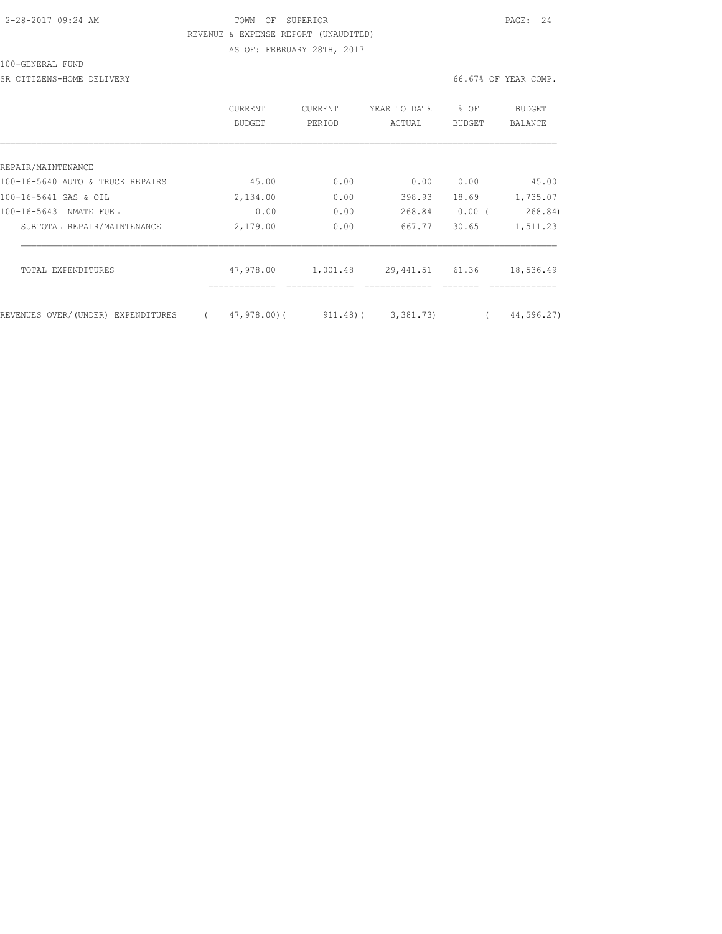## 2-28-2017 09:24 AM TOWN OF SUPERIOR PAGE: 24 REVENUE & EXPENSE REPORT (UNAUDITED) AS OF: FEBRUARY 28TH, 2017

#### 100-GENERAL FUND

SR CITIZENS-HOME DELIVERY **EXECUTERY** 66.67% OF YEAR COMP.

|                                    | CURRENT<br>BUDGET | <b>CURRENT</b><br>PERIOD | YEAR TO DATE<br>ACTUAL | ⊱<br>OF<br><b>BUDGET</b> | BUDGET<br>BALANCE |
|------------------------------------|-------------------|--------------------------|------------------------|--------------------------|-------------------|
|                                    |                   |                          |                        |                          |                   |
| REPAIR/MAINTENANCE                 |                   |                          |                        |                          |                   |
| 100-16-5640 AUTO & TRUCK REPAIRS   | 45.00             | 0.00                     | 0.00                   | 0.00                     | 45.00             |
| 100-16-5641 GAS & OIL              | 2,134.00          | 0.00                     | 398.93                 | 18.69                    | 1,735.07          |
| 100-16-5643 INMATE FUEL            | 0.00              | 0.00                     | 268.84                 | 0.00(                    | 268.84)           |
| SUBTOTAL REPAIR/MAINTENANCE        | 2,179.00          | 0.00                     | 667.77                 | 30.65                    | 1,511.23          |
| TOTAL EXPENDITURES                 | 47,978.00         | 1,001.48                 | 29,441.51              | 61.36                    | 18,536.49         |
| REVENUES OVER/(UNDER) EXPENDITURES | $47,978,00$ (     | $911.48$ ) (             | 3,381,73)              |                          | 44,596.27)        |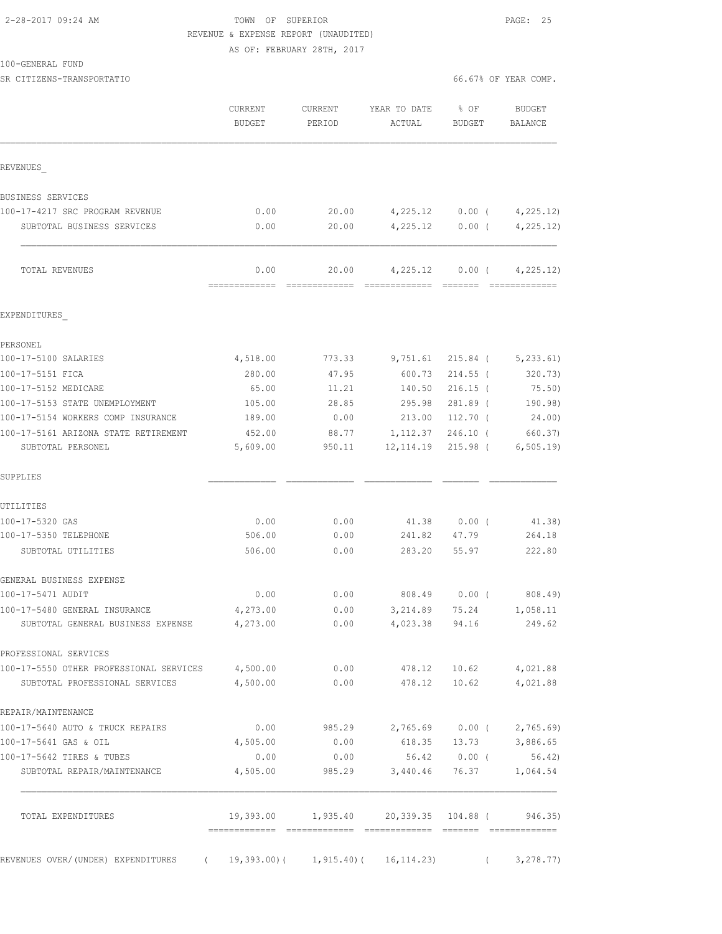# 2-28-2017 09:24 AM TOWN OF SUPERIOR PAGE: 25 REVENUE & EXPENSE REPORT (UNAUDITED) AS OF: FEBRUARY 28TH, 2017

SR CITIZENS-TRANSPORTATIO **Example 2008** 66.67% OF YEAR COMP.

|                                                                                    | <b>CURRENT</b><br><b>BUDGET</b>    | CURRENT<br>PERIOD | YEAR TO DATE<br>ACTUAL                        | % OF<br>BUDGET | <b>BUDGET</b><br>BALANCE    |
|------------------------------------------------------------------------------------|------------------------------------|-------------------|-----------------------------------------------|----------------|-----------------------------|
| REVENUES                                                                           |                                    |                   |                                               |                |                             |
| BUSINESS SERVICES                                                                  |                                    |                   |                                               |                |                             |
| 100-17-4217 SRC PROGRAM REVENUE                                                    | 0.00                               | 20.00             | 4,225.12                                      | $0.00$ (       | 4,225.12)                   |
| SUBTOTAL BUSINESS SERVICES                                                         | 0.00                               | 20.00             | 4,225.12                                      | $0.00$ (       | 4, 225.12)                  |
| TOTAL REVENUES                                                                     | 0.00<br>=============              | 20.00             | 4,225.12                                      | $0.00$ (       | 4, 225.12)                  |
| EXPENDITURES                                                                       |                                    |                   |                                               |                |                             |
| PERSONEL                                                                           |                                    |                   |                                               |                |                             |
| 100-17-5100 SALARIES                                                               | 4,518.00                           | 773.33            | 9,751.61                                      | 215.84 (       | 5, 233.61                   |
| 100-17-5151 FICA                                                                   | 280.00                             | 47.95             | 600.73                                        | $214.55$ (     | 320.73)                     |
| 100-17-5152 MEDICARE                                                               | 65.00                              | 11.21             | 140.50                                        | $216.15$ (     | 75.50)                      |
| 100-17-5153 STATE UNEMPLOYMENT                                                     | 105.00                             | 28.85             | 295.98                                        | 281.89 (       | 190.98)                     |
| 100-17-5154 WORKERS COMP INSURANCE                                                 | 189.00                             | 0.00              | 213.00                                        | $112.70$ (     | 24.00)                      |
| 100-17-5161 ARIZONA STATE RETIREMENT                                               | 452.00                             | 88.77             | 1,112.37                                      | $246.10$ (     | 660.37)                     |
| SUBTOTAL PERSONEL                                                                  | 5,609.00                           | 950.11            | 12, 114.19                                    | $215.98$ (     | 6, 505.19                   |
| SUPPLIES                                                                           |                                    |                   |                                               |                |                             |
| UTILITIES                                                                          |                                    |                   |                                               |                |                             |
| 100-17-5320 GAS                                                                    | 0.00                               | 0.00              | 41.38                                         | $0.00$ (       | 41.38)                      |
| 100-17-5350 TELEPHONE                                                              | 506.00                             | 0.00              | 241.82                                        | 47.79          | 264.18                      |
| SUBTOTAL UTILITIES                                                                 | 506.00                             | 0.00              | 283.20                                        | 55.97          | 222.80                      |
| GENERAL BUSINESS EXPENSE                                                           |                                    |                   |                                               |                |                             |
| 100-17-5471 AUDIT                                                                  | 0.00                               | 0.00              | 808.49                                        | $0.00$ (       | 808.49)                     |
| 100-17-5480 GENERAL INSURANCE                                                      | 4,273.00                           | 0.00              | 3,214.89                                      | 75.24          | 1,058.11                    |
| SUBTOTAL GENERAL BUSINESS EXPENSE                                                  | 4,273.00                           | 0.00              | 4,023.38 94.16                                |                | 249.62                      |
| PROFESSIONAL SERVICES                                                              |                                    |                   |                                               |                |                             |
| 100-17-5550 OTHER PROFESSIONAL SERVICES 4,500.00<br>SUBTOTAL PROFESSIONAL SERVICES | 4,500.00                           |                   | $0.00$ 478.12 10.62 4,021.88<br>$0.00$ 478.12 | 10.62          | 4,021.88                    |
| REPAIR/MAINTENANCE                                                                 |                                    |                   |                                               |                |                             |
| 100-17-5640 AUTO & TRUCK REPAIRS                                                   | 0.00                               | 985.29            |                                               |                | $2,765.69$ 0.00 ( 2,765.69) |
| 100-17-5641 GAS & OIL                                                              | 4,505.00                           | 0.00              | 618.35                                        | 13.73          | 3,886.65                    |
| 100-17-5642 TIRES & TUBES                                                          | 0.00                               | 0.00              |                                               | 56.42 0.00 (   | 56.42)                      |
| SUBTOTAL REPAIR/MAINTENANCE                                                        | 4,505.00                           | 985.29            | 3,440.46                                      | 76.37          | 1,064.54                    |
| TOTAL EXPENDITURES                                                                 |                                    |                   |                                               |                | 946.35)                     |
|                                                                                    |                                    |                   |                                               |                |                             |
| REVENUES OVER/(UNDER) EXPENDITURES                                                 | (19,393.00) (1,915.40) (16,114.23) |                   |                                               |                | 3, 278.77<br>$\left($       |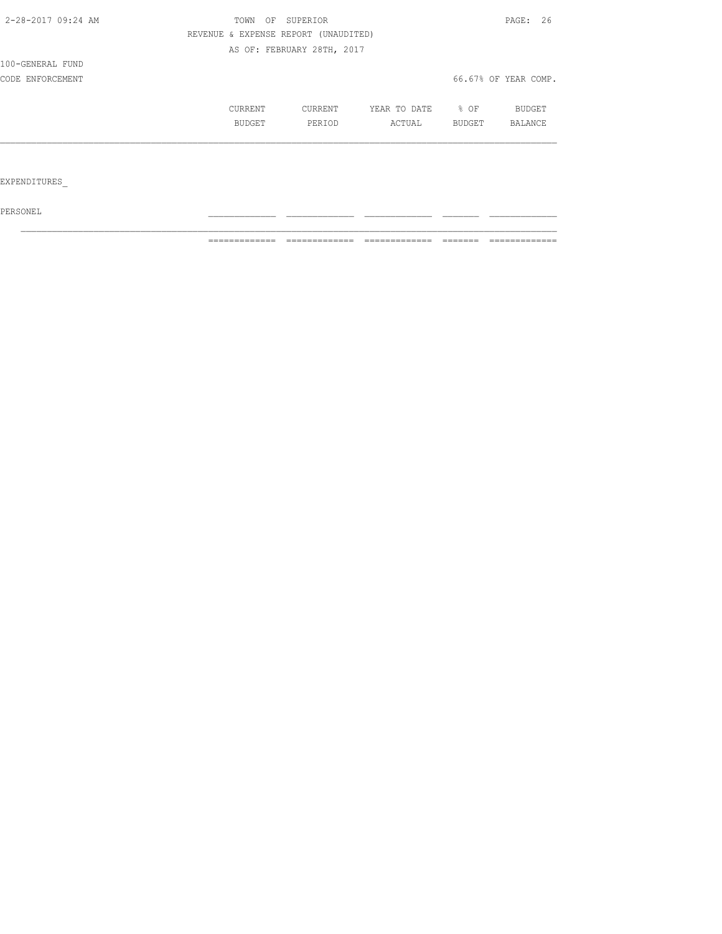| 2-28-2017 09:24 AM | OF<br>TOWN | SUPERIOR                             |              |        | PAGE: 26             |
|--------------------|------------|--------------------------------------|--------------|--------|----------------------|
|                    |            | REVENUE & EXPENSE REPORT (UNAUDITED) |              |        |                      |
|                    |            | AS OF: FEBRUARY 28TH, 2017           |              |        |                      |
| 100-GENERAL FUND   |            |                                      |              |        |                      |
| CODE ENFORCEMENT   |            |                                      |              |        | 66.67% OF YEAR COMP. |
|                    | CURRENT    | CURRENT                              | YEAR TO DATE | % OF   | BUDGET               |
|                    | BUDGET     | PERIOD                               | ACTUAL       | BUDGET | BALANCE              |
|                    |            |                                      |              |        |                      |
|                    |            |                                      |              |        |                      |
| EXPENDITURES       |            |                                      |              |        |                      |

 $PERSONEL$ 

============= ============= ============= ======= =============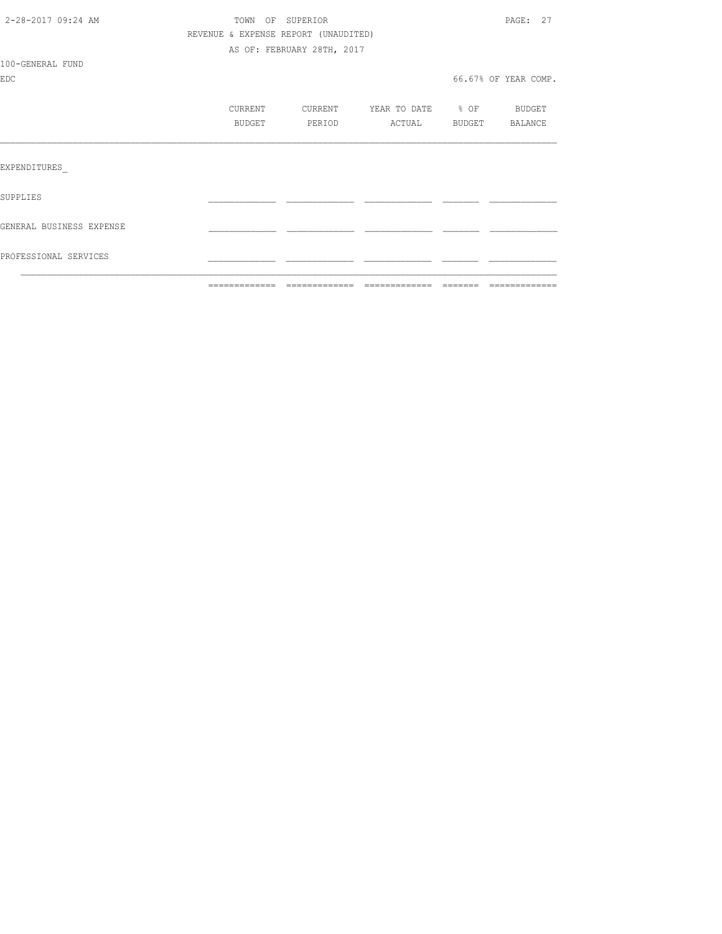|                          | -------------- -------------         |                            | - =============                                   | -------- |                      |
|--------------------------|--------------------------------------|----------------------------|---------------------------------------------------|----------|----------------------|
| PROFESSIONAL SERVICES    |                                      |                            |                                                   |          |                      |
| GENERAL BUSINESS EXPENSE |                                      |                            |                                                   |          |                      |
| SUPPLIES                 |                                      |                            |                                                   |          |                      |
| EXPENDITURES             |                                      |                            |                                                   |          |                      |
|                          |                                      |                            |                                                   |          |                      |
|                          | CURRENT<br>BUDGET                    | CURRENT<br>PERIOD          | YEAR TO DATE % OF BUDGET<br>ACTUAL BUDGET BALANCE |          |                      |
|                          |                                      |                            |                                                   |          |                      |
| <b>EDC</b>               |                                      |                            |                                                   |          | 66.67% OF YEAR COMP. |
| 100-GENERAL FUND         |                                      |                            |                                                   |          |                      |
|                          |                                      | AS OF: FEBRUARY 28TH, 2017 |                                                   |          |                      |
|                          | REVENUE & EXPENSE REPORT (UNAUDITED) |                            |                                                   |          |                      |
| 2-28-2017 09:24 AM       | TOWN OF SUPERIOR                     |                            |                                                   |          | PAGE: 27             |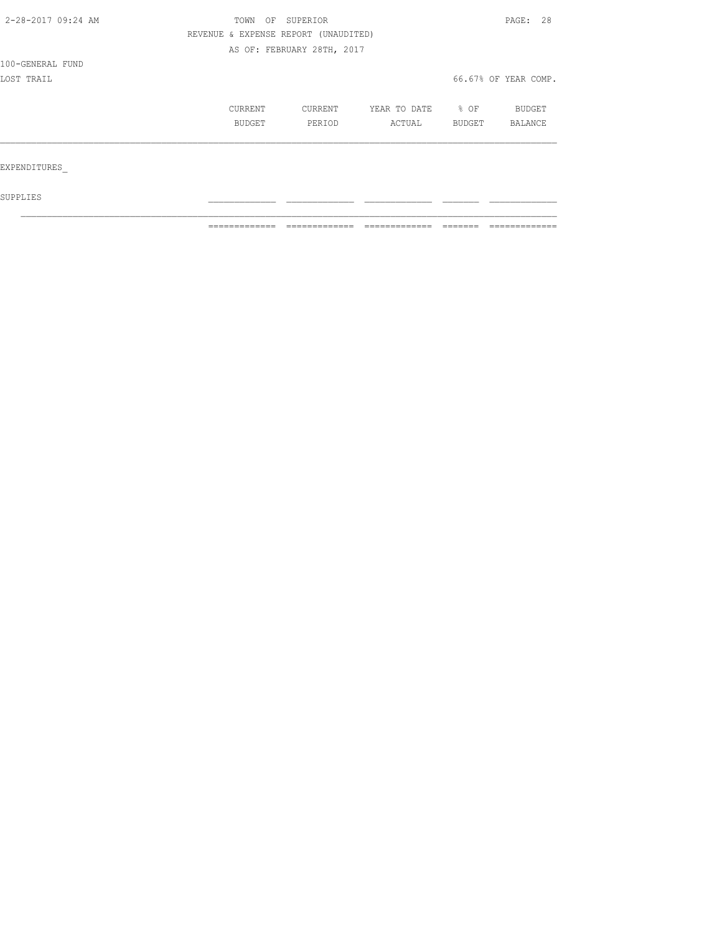| 2-28-2017 09:24 AM | TOWN<br>OF                           | SUPERIOR                   |              |                  |                      |  |
|--------------------|--------------------------------------|----------------------------|--------------|------------------|----------------------|--|
|                    | REVENUE & EXPENSE REPORT (UNAUDITED) |                            |              |                  |                      |  |
|                    |                                      | AS OF: FEBRUARY 28TH, 2017 |              |                  |                      |  |
| 100-GENERAL FUND   |                                      |                            |              |                  |                      |  |
| LOST TRAIL         |                                      |                            |              |                  | 66.67% OF YEAR COMP. |  |
|                    | CURRENT                              | CURRENT                    | YEAR TO DATE | $\frac{8}{6}$ OF | BUDGET               |  |
|                    | BUDGET                               | PERIOD                     | ACTUAL       | BUDGET           | BALANCE              |  |
|                    |                                      |                            |              |                  |                      |  |
| EXPENDITURES       |                                      |                            |              |                  |                      |  |
| SUPPLIES           |                                      |                            |              |                  |                      |  |

 $\mathcal{L}_\text{max}$ 

============= ============= ============= ======= =============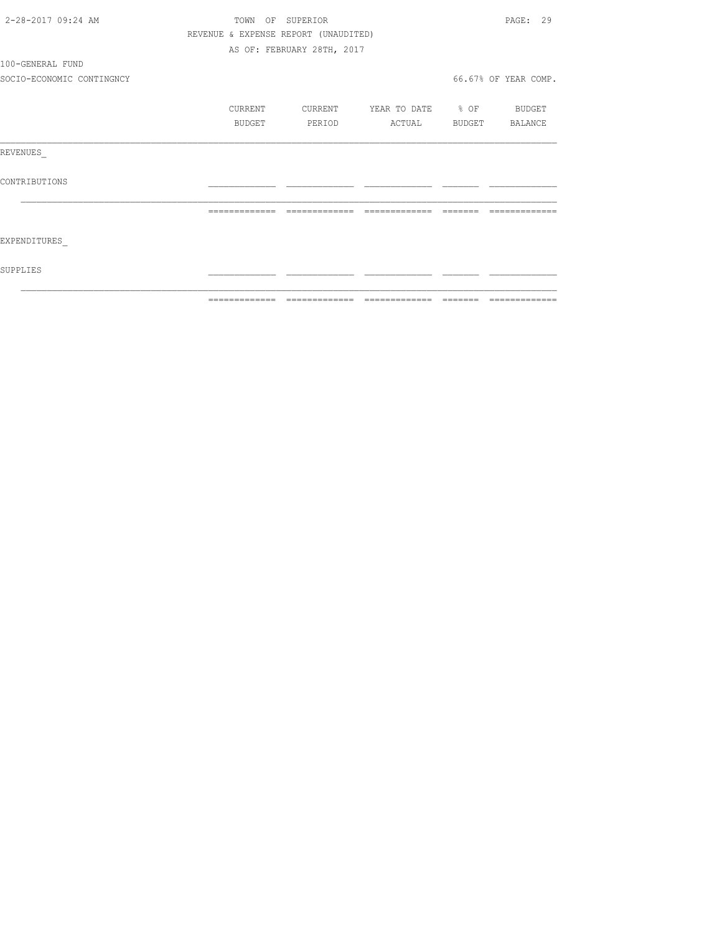| 2-28-2017 09:24 AM        |                |         | TOWN OF SUPERIOR                     |                          |          | PAGE: 29              |
|---------------------------|----------------|---------|--------------------------------------|--------------------------|----------|-----------------------|
|                           |                |         | REVENUE & EXPENSE REPORT (UNAUDITED) |                          |          |                       |
|                           |                |         | AS OF: FEBRUARY 28TH, 2017           |                          |          |                       |
| 100-GENERAL FUND          |                |         |                                      |                          |          |                       |
| SOCIO-ECONOMIC CONTINGNCY |                |         |                                      |                          |          | 66.67% OF YEAR COMP.  |
|                           |                | CURRENT | CURRENT                              | YEAR TO DATE % OF BUDGET |          |                       |
|                           |                | BUDGET  | PERIOD                               |                          |          | ACTUAL BUDGET BALANCE |
| REVENUES                  |                |         |                                      |                          |          |                       |
| CONTRIBUTIONS             |                |         |                                      |                          |          |                       |
|                           | -------------- |         | =============                        | =============            | -------- |                       |
| EXPENDITURES              |                |         |                                      |                          |          |                       |
| SUPPLIES                  |                |         |                                      |                          |          |                       |
|                           | -------------  |         |                                      |                          |          | --------------        |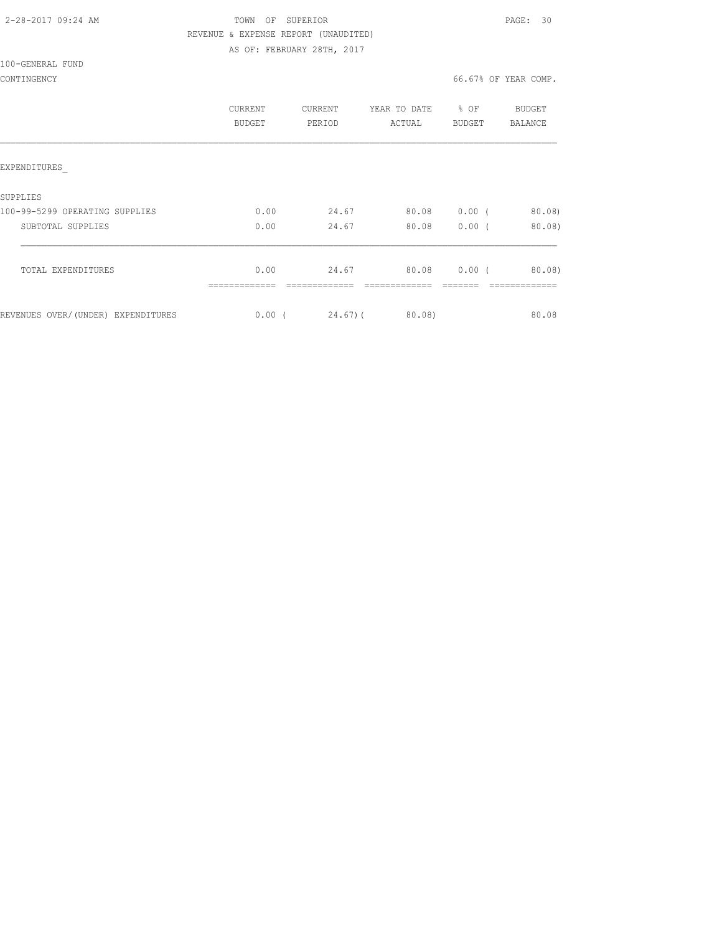| 2-28-2017 09:24 AM |  |
|--------------------|--|
|                    |  |

## TOWN OF SUPERIOR **PAGE: 30**  REVENUE & EXPENSE REPORT (UNAUDITED) AS OF: FEBRUARY 28TH, 2017

100-GENERAL FUND

|                                     | CURRENT<br>BUDGET | CURRENT<br>PERIOD | YEAR TO DATE<br>ACTUAL | $8$ OF<br>BUDGET | BUDGET<br>BALANCE |
|-------------------------------------|-------------------|-------------------|------------------------|------------------|-------------------|
| EXPENDITURES                        |                   |                   |                        |                  |                   |
| SUPPLIES                            |                   |                   |                        |                  |                   |
| 100-99-5299 OPERATING SUPPLIES      | 0.00              | 24.67             | 80.08                  | $0.00$ (         | 80.08)            |
| SUBTOTAL SUPPLIES                   | 0.00              | 24.67             | 80.08                  | $0.00$ (         | 80.08             |
| TOTAL EXPENDITURES                  | 0.00              | 24.67             | 80.08                  | $0.00$ (         | 80.08             |
| REVENUES OVER/ (UNDER) EXPENDITURES | $0.00$ (          | $24.67$ ) (       | 80.08)                 |                  | 80.08             |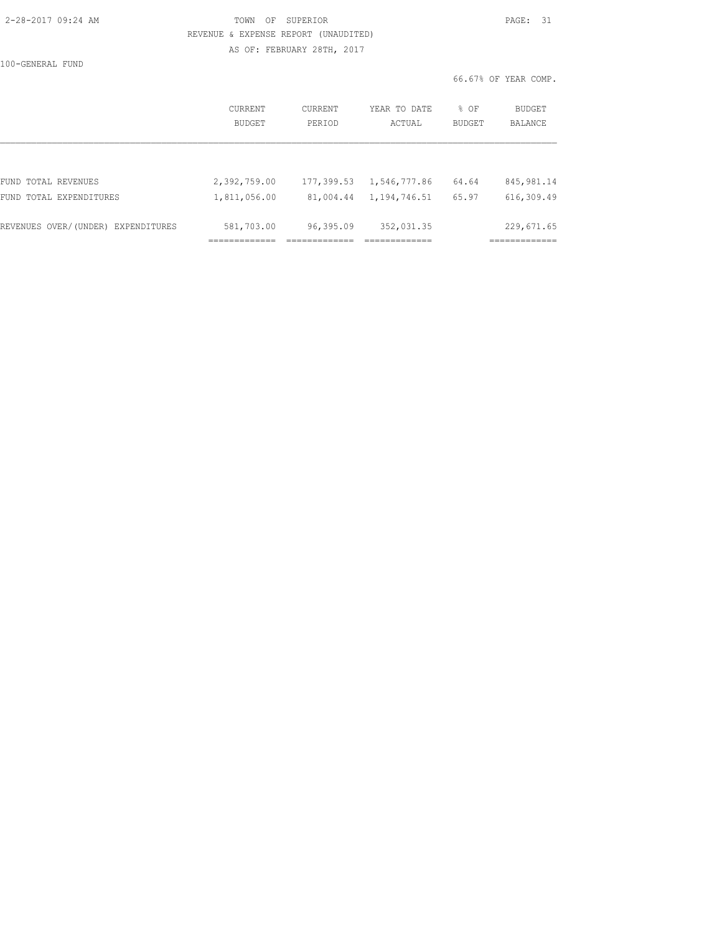| 2-28-2017 09:24 AM |  |
|--------------------|--|
|                    |  |

## TOWN OF SUPERIOR **PAGE: 31**  REVENUE & EXPENSE REPORT (UNAUDITED) AS OF: FEBRUARY 28TH, 2017

100-GENERAL FUND

66.67% OF YEAR COMP.

|                                    | CURRENT<br>BUDGET | CURRENT<br>PERIOD | YEAR TO DATE<br>ACTUAL | % OF<br><b>BUDGET</b> | <b>BUDGET</b><br><b>BALANCE</b> |
|------------------------------------|-------------------|-------------------|------------------------|-----------------------|---------------------------------|
|                                    |                   |                   |                        |                       |                                 |
| FUND TOTAL REVENUES                | 2,392,759.00      | 177,399.53        | 1,546,777.86           | 64.64                 | 845, 981.14                     |
| FUND TOTAL EXPENDITURES            | 1,811,056.00      | 81,004.44         | 1,194,746.51           | 65.97                 | 616,309.49                      |
| REVENUES OVER/(UNDER) EXPENDITURES | 581,703.00        | 96,395.09         | 352,031.35             |                       | 229,671.65                      |
|                                    |                   |                   |                        |                       |                                 |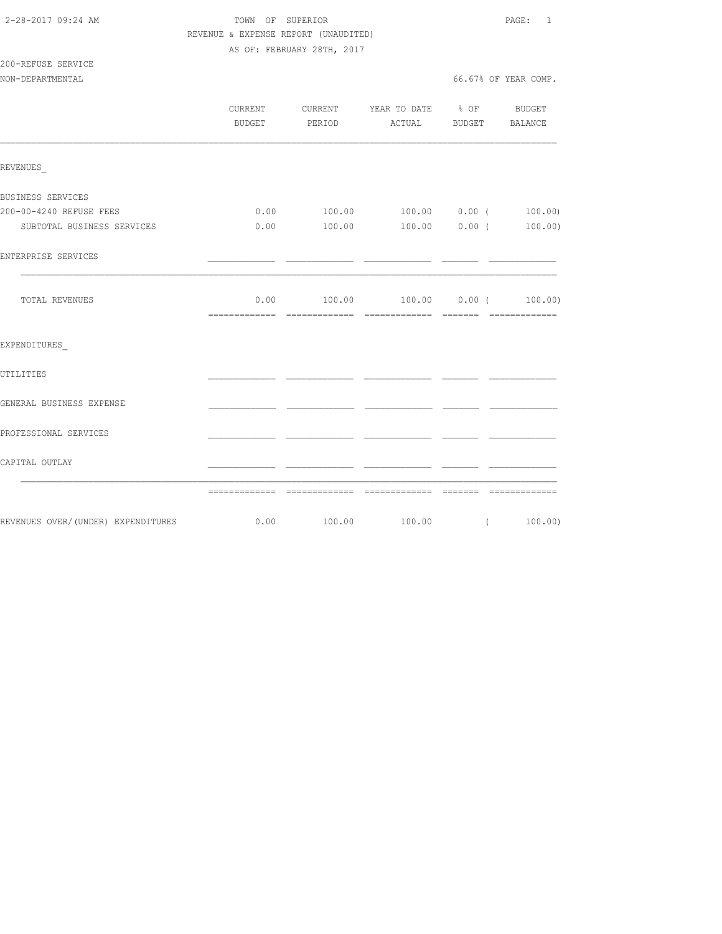| 2-28-2017 09:24 AM |  |
|--------------------|--|
|                    |  |

200-REFUSE SERVICE

### TOWN OF SUPERIOR **PAGE:** 1 REVENUE & EXPENSE REPORT (UNAUDITED) AS OF: FEBRUARY 28TH, 2017

NON-DEPARTMENTAL 66.67% OF YEAR COMP.

|                            | CURRENT CURRENT YEAR TO DATE % OF<br>BUDGET PERIOD ACTUAL BUDGET BALANCE |  |                                               | BUDGET   |  |
|----------------------------|--------------------------------------------------------------------------|--|-----------------------------------------------|----------|--|
| REVENUES                   |                                                                          |  |                                               |          |  |
| BUSINESS SERVICES          |                                                                          |  |                                               |          |  |
| 200-00-4240 REFUSE FEES    |                                                                          |  | $0.00$ $100.00$ $100.00$ $0.00$ $($ $100.00)$ |          |  |
| SUBTOTAL BUSINESS SERVICES |                                                                          |  | $0.00$ $100.00$ $100.00$ $0.00$ $($ $100.00)$ |          |  |
| ENTERPRISE SERVICES        |                                                                          |  |                                               |          |  |
| TOTAL REVENUES             |                                                                          |  | $0.00$ $100.00$ $100.00$ $0.00$ $($ $100.00)$ |          |  |
| EXPENDITURES               |                                                                          |  |                                               |          |  |
| UTILITIES                  |                                                                          |  |                                               |          |  |
| GENERAL BUSINESS EXPENSE   |                                                                          |  |                                               |          |  |
| PROFESSIONAL SERVICES      |                                                                          |  |                                               |          |  |
| CAPITAL OUTLAY             |                                                                          |  |                                               |          |  |
|                            |                                                                          |  |                                               |          |  |
|                            |                                                                          |  |                                               | (100.00) |  |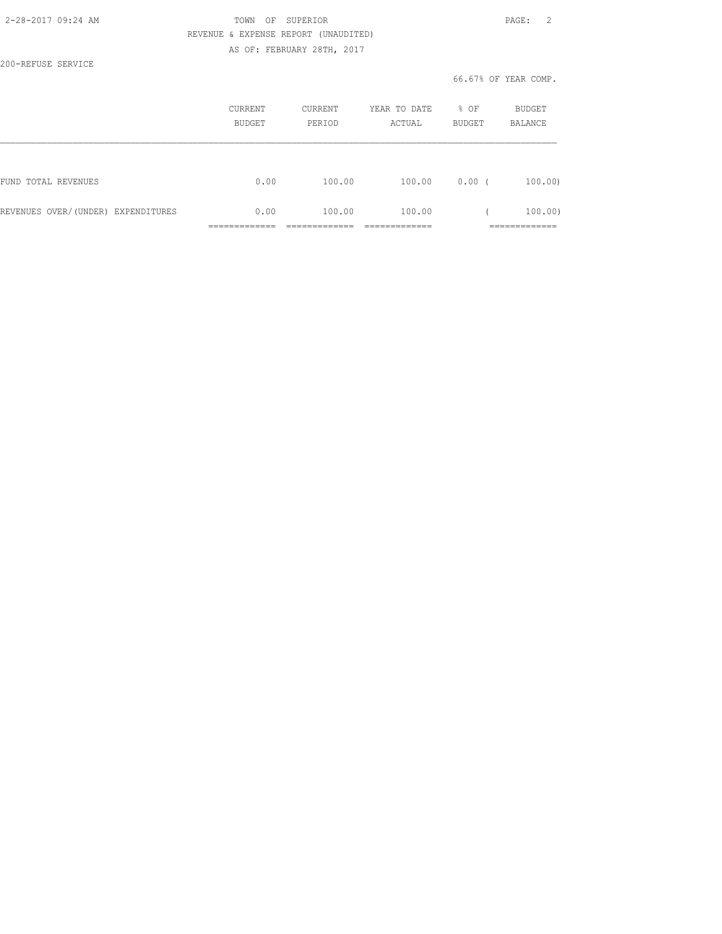| 2-28-2017 09:24 AM |  |
|--------------------|--|
|                    |  |

## TOWN OF SUPERIOR **PAGE:** 2 REVENUE & EXPENSE REPORT (UNAUDITED) AS OF: FEBRUARY 28TH, 2017

200-REFUSE SERVICE

#### 66.67% OF YEAR COMP.

|                                    | CURRENT<br><b>BUDGET</b>      | <b>CURRENT</b><br>PERIOD | YEAR TO DATE<br>ACTUAL | % OF<br><b>BUDGET</b> | <b>BUDGET</b><br><b>BALANCE</b> |
|------------------------------------|-------------------------------|--------------------------|------------------------|-----------------------|---------------------------------|
|                                    |                               |                          |                        |                       |                                 |
| FUND TOTAL REVENUES                | 0.00                          | 100.00                   | 100.00                 | 0.00(                 | 100.00                          |
| REVENUES OVER/(UNDER) EXPENDITURES | 0.00                          | 100.00                   | 100.00                 |                       | 100.00)                         |
|                                    | ____________<br>_____________ |                          | _____________          |                       | ____________<br>_____________   |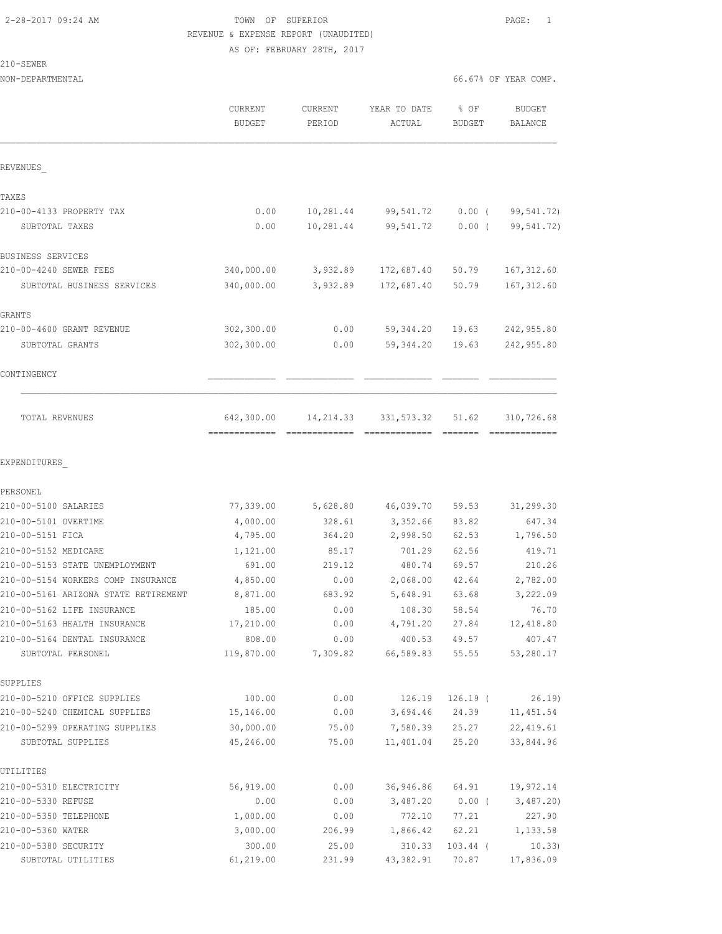### 2-28-2017 09:24 AM TOWN OF SUPERIOR PAGE: 1 REVENUE & EXPENSE REPORT (UNAUDITED) AS OF: FEBRUARY 28TH, 2017

210-SEWER

| NON-DEPARTMENTAL                     |                                             |                   |                        |                | 66.67% OF YEAR COMP.            |
|--------------------------------------|---------------------------------------------|-------------------|------------------------|----------------|---------------------------------|
|                                      | CURRENT<br><b>BUDGET</b>                    | CURRENT<br>PERIOD | YEAR TO DATE<br>ACTUAL | % OF<br>BUDGET | <b>BUDGET</b><br><b>BALANCE</b> |
| REVENUES                             |                                             |                   |                        |                |                                 |
| TAXES                                |                                             |                   |                        |                |                                 |
| 210-00-4133 PROPERTY TAX             | 0.00                                        | 10,281.44         | 99,541.72              | $0.00$ (       | 99,541.72)                      |
| SUBTOTAL TAXES                       | 0.00                                        | 10,281.44         | 99,541.72              | $0.00$ (       | 99,541.72)                      |
| BUSINESS SERVICES                    |                                             |                   |                        |                |                                 |
| 210-00-4240 SEWER FEES               | 340,000.00                                  | 3,932.89          | 172,687.40             | 50.79          | 167, 312.60                     |
| SUBTOTAL BUSINESS SERVICES           | 340,000.00                                  | 3,932.89          | 172,687.40             | 50.79          | 167, 312.60                     |
| GRANTS                               |                                             |                   |                        |                |                                 |
| 210-00-4600 GRANT REVENUE            | 302,300.00                                  | 0.00              | 59,344.20              | 19.63          | 242,955.80                      |
| SUBTOTAL GRANTS                      | 302,300.00                                  | 0.00              | 59, 344.20             | 19.63          | 242,955.80                      |
| CONTINGENCY                          |                                             |                   |                        |                |                                 |
| TOTAL REVENUES                       | 642,300.00<br>-------------- -------------- | 14,214.33         | 331,573.32             | 51.62          | 310,726.68<br>=============     |
| EXPENDITURES                         |                                             |                   |                        |                |                                 |
| PERSONEL<br>210-00-5100 SALARIES     | 77,339.00                                   | 5,628.80          | 46,039.70              | 59.53          | 31,299.30                       |
| 210-00-5101 OVERTIME                 | 4,000.00                                    | 328.61            | 3,352.66               | 83.82          | 647.34                          |
| 210-00-5151 FICA                     | 4,795.00                                    | 364.20            | 2,998.50               | 62.53          | 1,796.50                        |
| 210-00-5152 MEDICARE                 | 1,121.00                                    | 85.17             | 701.29                 | 62.56          | 419.71                          |
| 210-00-5153 STATE UNEMPLOYMENT       | 691.00                                      | 219.12            | 480.74                 | 69.57          | 210.26                          |
| 210-00-5154 WORKERS COMP INSURANCE   | 4,850.00                                    | 0.00              | 2,068.00               | 42.64          | 2,782.00                        |
| 210-00-5161 ARIZONA STATE RETIREMENT | 8,871.00                                    | 683.92            | 5,648.91               | 63.68          | 3,222.09                        |
| 210-00-5162 LIFE INSURANCE           | 185.00                                      | 0.00              | 108.30                 | 58.54          | 76.70                           |
| 210-00-5163 HEALTH INSURANCE         | 17,210.00                                   | 0.00              | 4,791.20               | 27.84          | 12,418.80                       |
| 210-00-5164 DENTAL INSURANCE         | 808.00                                      | 0.00              | 400.53                 | 49.57          | 407.47                          |
| SUBTOTAL PERSONEL                    | 119,870.00                                  | 7,309.82          | 66,589.83              | 55.55          | 53,280.17                       |
| SUPPLIES                             |                                             |                   |                        |                |                                 |
| 210-00-5210 OFFICE SUPPLIES          | 100.00                                      | 0.00              | 126.19                 | $126.19$ (     | 26.19)                          |
| 210-00-5240 CHEMICAL SUPPLIES        | 15,146.00                                   | 0.00              | 3,694.46               | 24.39          | 11,451.54                       |
| 210-00-5299 OPERATING SUPPLIES       | 30,000.00                                   | 75.00             | 7,580.39               | 25.27          | 22, 419.61                      |
| SUBTOTAL SUPPLIES                    | 45,246.00                                   | 75.00             | 11,401.04              | 25.20          | 33,844.96                       |
| UTILITIES                            |                                             |                   |                        |                |                                 |
| 210-00-5310 ELECTRICITY              | 56,919.00                                   | 0.00              | 36,946.86              | 64.91          | 19,972.14                       |
| 210-00-5330 REFUSE                   | 0.00                                        | 0.00              | 3,487.20               | $0.00$ (       | 3,487.20)                       |
| 210-00-5350 TELEPHONE                | 1,000.00                                    | 0.00              | 772.10                 | 77.21          | 227.90                          |
| 210-00-5360 WATER                    | 3,000.00                                    | 206.99            | 1,866.42               | 62.21          | 1,133.58                        |
| 210-00-5380 SECURITY                 | 300.00                                      | 25.00             | 310.33                 | $103.44$ (     | 10.33)                          |

SUBTOTAL UTILITIES 61,219.00 231.99 43,382.91 70.87 17,836.09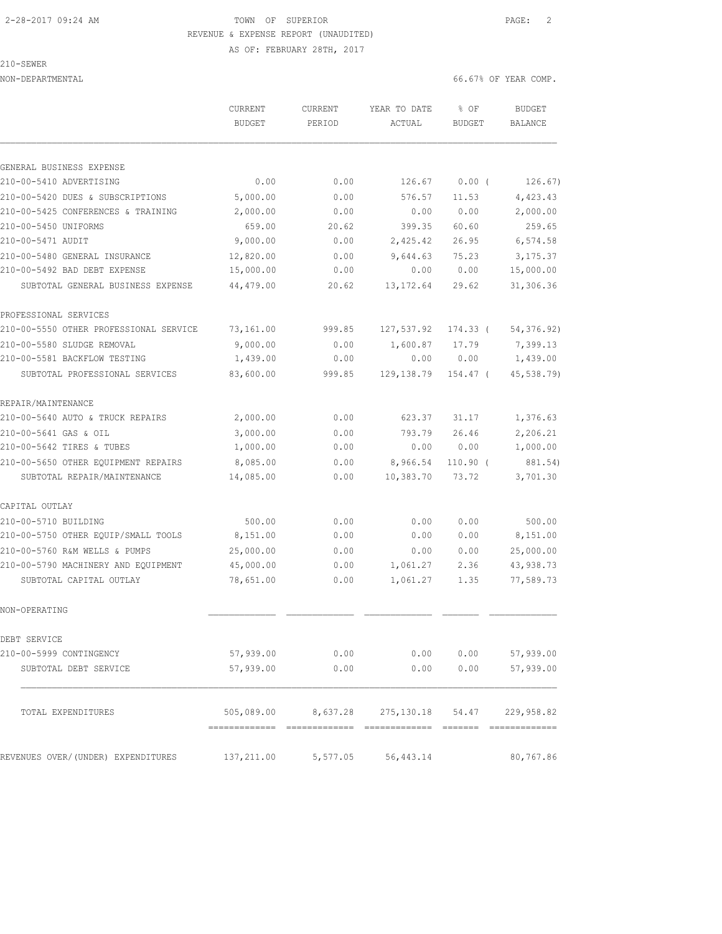# 2-28-2017 09:24 AM TOWN OF SUPERIOR PAGE: 2 REVENUE & EXPENSE REPORT (UNAUDITED)

AS OF: FEBRUARY 28TH, 2017

|  |  | i⊦:W⊦ |  |  |
|--|--|-------|--|--|
|  |  |       |  |  |

NON-DEPARTMENTAL 66.67% OF YEAR COMP.

|                                        | CURRENT<br><b>BUDGET</b> | <b>CURRENT</b><br>PERIOD | YEAR TO DATE<br>ACTUAL               | % OF<br>BUDGET | <b>BUDGET</b><br>BALANCE |  |
|----------------------------------------|--------------------------|--------------------------|--------------------------------------|----------------|--------------------------|--|
| GENERAL BUSINESS EXPENSE               |                          |                          |                                      |                |                          |  |
| 210-00-5410 ADVERTISING                | 0.00                     | 0.00                     | 126.67                               | 0.00(          | 126.67)                  |  |
| 210-00-5420 DUES & SUBSCRIPTIONS       | 5,000.00                 | 0.00                     | 576.57                               | 11.53          | 4,423.43                 |  |
| 210-00-5425 CONFERENCES & TRAINING     | 2,000.00                 | 0.00                     | 0.00                                 | 0.00           | 2,000.00                 |  |
| 210-00-5450 UNIFORMS                   | 659.00                   | 20.62                    | 399.35                               | 60.60          | 259.65                   |  |
| 210-00-5471 AUDIT                      | 9,000.00                 | 0.00                     | 2,425.42                             | 26.95          | 6,574.58                 |  |
| 210-00-5480 GENERAL INSURANCE          | 12,820.00                | 0.00                     | 9,644.63                             | 75.23          | 3, 175.37                |  |
| 210-00-5492 BAD DEBT EXPENSE           | 15,000.00                | 0.00                     | 0.00                                 | 0.00           | 15,000.00                |  |
| SUBTOTAL GENERAL BUSINESS EXPENSE      | 44,479.00                | 20.62                    | 13, 172.64                           | 29.62          | 31,306.36                |  |
| PROFESSIONAL SERVICES                  |                          |                          |                                      |                |                          |  |
| 210-00-5550 OTHER PROFESSIONAL SERVICE | 73,161.00                | 999.85                   | 127,537.92                           | 174.33 (       | 54,376.92)               |  |
| 210-00-5580 SLUDGE REMOVAL             | 9,000.00                 | 0.00                     | 1,600.87                             | 17.79          | 7,399.13                 |  |
| 210-00-5581 BACKFLOW TESTING           | 1,439.00                 | 0.00                     | 0.00                                 | 0.00           | 1,439.00                 |  |
| SUBTOTAL PROFESSIONAL SERVICES         | 83,600.00                | 999.85                   | 129, 138.79                          | 154.47 (       | 45,538.79)               |  |
| REPAIR/MAINTENANCE                     |                          |                          |                                      |                |                          |  |
| 210-00-5640 AUTO & TRUCK REPAIRS       | 2,000.00                 | 0.00                     | 623.37                               | 31.17          | 1,376.63                 |  |
| 210-00-5641 GAS & OIL                  | 3,000.00                 | 0.00                     | 793.79                               | 26.46          | 2,206.21                 |  |
| 210-00-5642 TIRES & TUBES              | 1,000.00                 | 0.00                     | 0.00                                 | 0.00           | 1,000.00                 |  |
| 210-00-5650 OTHER EQUIPMENT REPAIRS    | 8,085.00                 | 0.00                     | 8,966.54                             | $110.90$ (     | 881.54)                  |  |
| SUBTOTAL REPAIR/MAINTENANCE            | 14,085.00                | 0.00                     | 10,383.70                            | 73.72          | 3,701.30                 |  |
| CAPITAL OUTLAY                         |                          |                          |                                      |                |                          |  |
| 210-00-5710 BUILDING                   | 500.00                   | 0.00                     | 0.00                                 | 0.00           | 500.00                   |  |
| 210-00-5750 OTHER EQUIP/SMALL TOOLS    | 8,151.00                 | 0.00                     | 0.00                                 | 0.00           | 8,151.00                 |  |
| 210-00-5760 R&M WELLS & PUMPS          | 25,000.00                | 0.00                     | 0.00                                 | 0.00           | 25,000.00                |  |
| 210-00-5790 MACHINERY AND EQUIPMENT    | 45,000.00                | 0.00                     | 1,061.27                             | 2.36           | 43,938.73                |  |
| SUBTOTAL CAPITAL OUTLAY                | 78,651.00                | 0.00                     | 1,061.27                             | 1.35           | 77,589.73                |  |
| NON-OPERATING                          |                          |                          |                                      |                |                          |  |
| DEBT SERVICE                           |                          |                          |                                      |                |                          |  |
| 210-00-5999 CONTINGENCY                | 57,939.00                |                          | $0.00$ 0.00 0.00                     |                | 57,939.00                |  |
| SUBTOTAL DEBT SERVICE                  | 57,939.00                | 0.00                     | 0.00                                 | 0.00           | 57,939.00                |  |
| TOTAL EXPENDITURES                     |                          |                          | 505,089.00 8,637.28 275,130.18 54.47 |                | 229,958.82               |  |
| REVENUES OVER/(UNDER) EXPENDITURES     | 137,211.00               |                          | 5,577.05 56,443.14                   |                | 80,767.86                |  |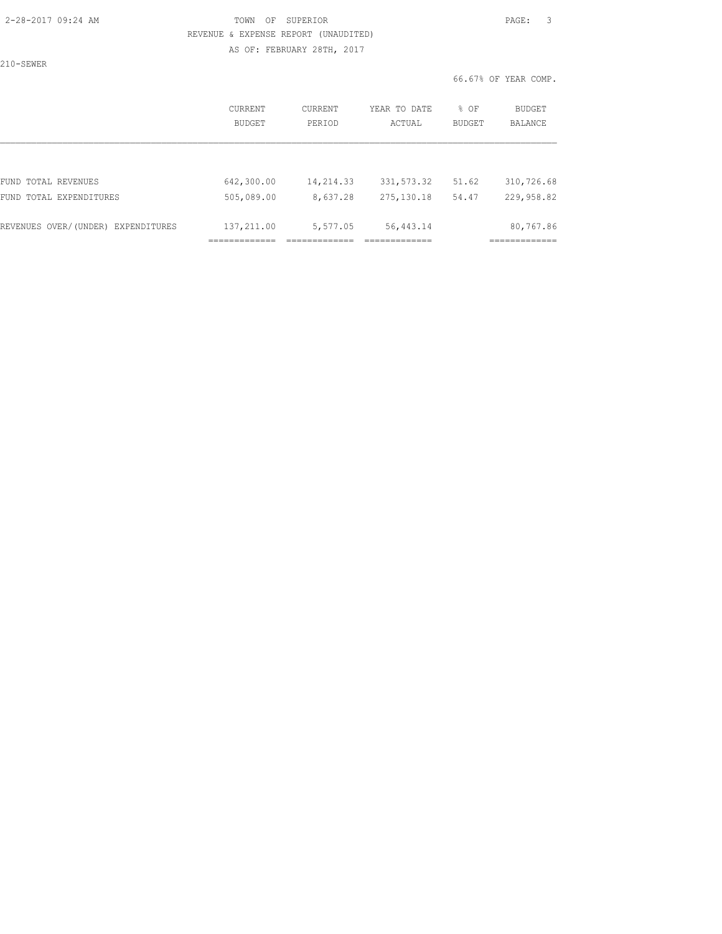### 2-28-2017 09:24 AM TOWN OF SUPERIOR PAGE: 3 REVENUE & EXPENSE REPORT (UNAUDITED) AS OF: FEBRUARY 28TH, 2017

210-SEWER

66.67% OF YEAR COMP.

|                                    | CURRENT<br>BUDGET | CURRENT<br>PERIOD | YEAR TO DATE<br>ACTUAL | % OF<br>BUDGET |            | <b>BUDGET</b><br>BALANCE |  |
|------------------------------------|-------------------|-------------------|------------------------|----------------|------------|--------------------------|--|
|                                    |                   |                   |                        |                |            |                          |  |
| FUND TOTAL REVENUES                | 642,300.00        | 14,214.33         | 331, 573.32            | 51.62          | 310,726.68 |                          |  |
| FUND TOTAL EXPENDITURES            | 505,089.00        | 8,637.28          | 275, 130.18            | 54.47          | 229,958.82 |                          |  |
| REVENUES OVER/(UNDER) EXPENDITURES | 137,211.00        | 5,577.05          | 56, 443.14             |                | 80,767.86  |                          |  |
|                                    |                   |                   |                        |                |            |                          |  |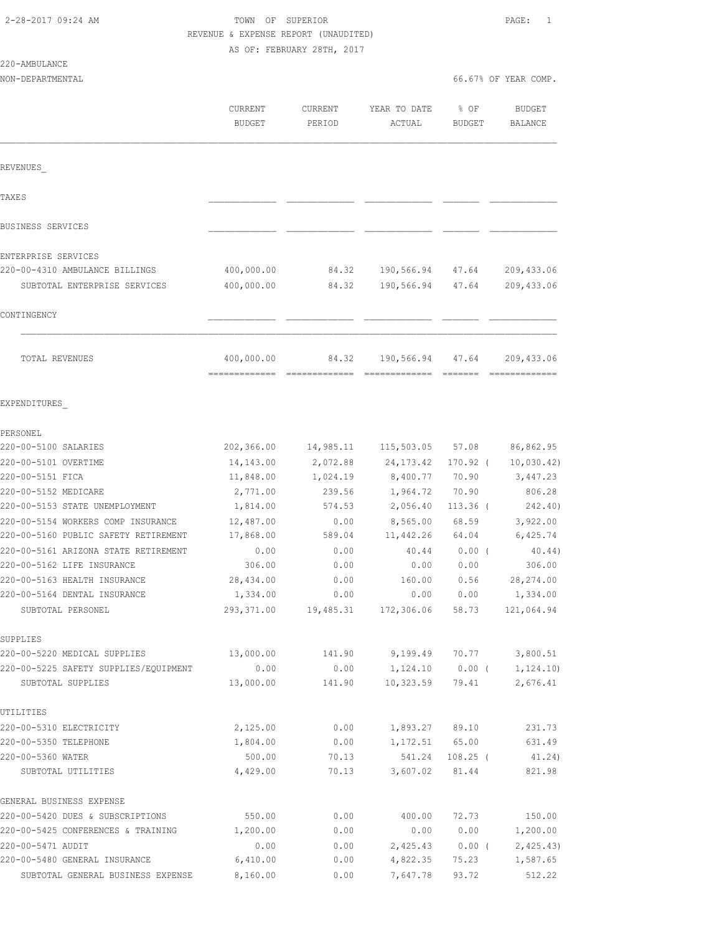220-AMBULANCE

#### TOWN OF SUPERIOR **PAGE:** 1 REVENUE & EXPENSE REPORT (UNAUDITED) AS OF: FEBRUARY 28TH, 2017

| NON-DEPARTMENTAL                                                   |                                 |                   |                                                 | 66.67% OF YEAR COMP.  |                          |  |
|--------------------------------------------------------------------|---------------------------------|-------------------|-------------------------------------------------|-----------------------|--------------------------|--|
|                                                                    | <b>CURRENT</b><br><b>BUDGET</b> | CURRENT<br>PERIOD | YEAR TO DATE<br>ACTUAL                          | % OF<br><b>BUDGET</b> | <b>BUDGET</b><br>BALANCE |  |
| REVENUES                                                           |                                 |                   |                                                 |                       |                          |  |
| <b>TAXES</b>                                                       |                                 |                   |                                                 |                       |                          |  |
| <b>BUSINESS SERVICES</b>                                           |                                 |                   |                                                 |                       |                          |  |
| ENTERPRISE SERVICES                                                |                                 |                   |                                                 |                       |                          |  |
| 220-00-4310 AMBULANCE BILLINGS                                     | 400,000.00                      | 84.32             | 190,566.94 47.64                                |                       | 209, 433.06              |  |
| SUBTOTAL ENTERPRISE SERVICES                                       | 400,000.00                      | 84.32             | 190,566.94                                      | 47.64                 | 209, 433.06              |  |
| CONTINGENCY                                                        |                                 |                   |                                                 |                       |                          |  |
| TOTAL REVENUES                                                     | 400,000.00                      | 84.32             | 190,566.94                                      | 47.64                 | 209, 433.06              |  |
| EXPENDITURES                                                       |                                 |                   |                                                 |                       |                          |  |
| PERSONEL                                                           |                                 |                   |                                                 |                       |                          |  |
| 220-00-5100 SALARIES                                               | 202,366.00                      | 14,985.11         | 115,503.05                                      | 57.08                 | 86,862.95                |  |
| 220-00-5101 OVERTIME                                               | 14,143.00                       | 2,072.88          | 24, 173. 42                                     | 170.92 (              | 10,030.42)               |  |
| 220-00-5151 FICA                                                   | 11,848.00                       | 1,024.19          | 8,400.77                                        | 70.90                 | 3, 447.23                |  |
| 220-00-5152 MEDICARE                                               | 2,771.00                        | 239.56            | 1,964.72                                        | 70.90                 | 806.28                   |  |
| 220-00-5153 STATE UNEMPLOYMENT                                     | 1,814.00                        | 574.53            | 2,056.40                                        | $113.36$ (            | 242.40)                  |  |
| 220-00-5154 WORKERS COMP INSURANCE                                 | 12,487.00                       | 0.00              | 8,565.00                                        | 68.59                 | 3,922.00                 |  |
| 220-00-5160 PUBLIC SAFETY RETIREMENT                               | 17,868.00                       | 589.04            | 11,442.26                                       | 64.04                 | 6,425.74                 |  |
| 220-00-5161 ARIZONA STATE RETIREMENT<br>220-00-5162 LIFE INSURANCE | 0.00<br>306.00                  | 0.00<br>0.00      | 40.44<br>0.00                                   | $0.00$ (<br>0.00      | 40.44)<br>306.00         |  |
| 220-00-5163 HEALTH INSURANCE                                       | 28,434.00                       | 0.00              | 160.00                                          | 0.56                  | 28, 274.00               |  |
| 220-00-5164 DENTAL INSURANCE                                       | 1,334.00                        | 0.00              | 0.00                                            | 0.00                  | 1,334.00                 |  |
| SUBTOTAL PERSONEL                                                  | 293,371.00                      |                   | 19,485.31 172,306.06 58.73                      |                       | 121,064.94               |  |
| SUPPLIES                                                           |                                 |                   |                                                 |                       |                          |  |
| 220-00-5220 MEDICAL SUPPLIES                                       | 13,000.00                       |                   | 141.90 9,199.49 70.77                           |                       | 3,800.51                 |  |
| 220-00-5225 SAFETY SUPPLIES/EQUIPMENT<br>SUBTOTAL SUPPLIES         | 0.00<br>13,000.00               | 141.90            | $0.00$ 1, 124.10 0.00 ( 1, 124.10)<br>10,323.59 | 79.41                 | 2,676.41                 |  |
| UTILITIES                                                          |                                 |                   |                                                 |                       |                          |  |
| 220-00-5310 ELECTRICITY                                            | 2,125.00                        | 0.00              | 1,893.27 89.10                                  |                       | 231.73                   |  |
| 220-00-5350 TELEPHONE                                              | 1,804.00                        | 0.00              | 1,172.51                                        | 65.00                 | 631.49                   |  |
| 220-00-5360 WATER                                                  | 500.00                          | 70.13             | 541.24                                          | $108.25$ (            | 41.24)                   |  |
| SUBTOTAL UTILITIES                                                 | 4,429.00                        | 70.13             | 3,607.02                                        | 81.44                 | 821.98                   |  |
| GENERAL BUSINESS EXPENSE                                           |                                 |                   |                                                 |                       |                          |  |
| 220-00-5420 DUES & SUBSCRIPTIONS                                   | 550.00                          | 0.00              | 400.00                                          | 72.73                 | 150.00                   |  |
| 220-00-5425 CONFERENCES & TRAINING                                 | 1,200.00                        | 0.00              | 0.00                                            | 0.00                  | 1,200.00                 |  |
| 220-00-5471 AUDIT                                                  | 0.00                            | 0.00              |                                                 | $2,425.43$ 0.00 (     | 2,425.43)                |  |
| 220-00-5480 GENERAL INSURANCE                                      | 6,410.00                        | 0.00              | 4,822.35                                        | 75.23                 | 1,587.65                 |  |
| SUBTOTAL GENERAL BUSINESS EXPENSE                                  | 8,160.00                        | 0.00              | 7,647.78                                        | 93.72                 | 512.22                   |  |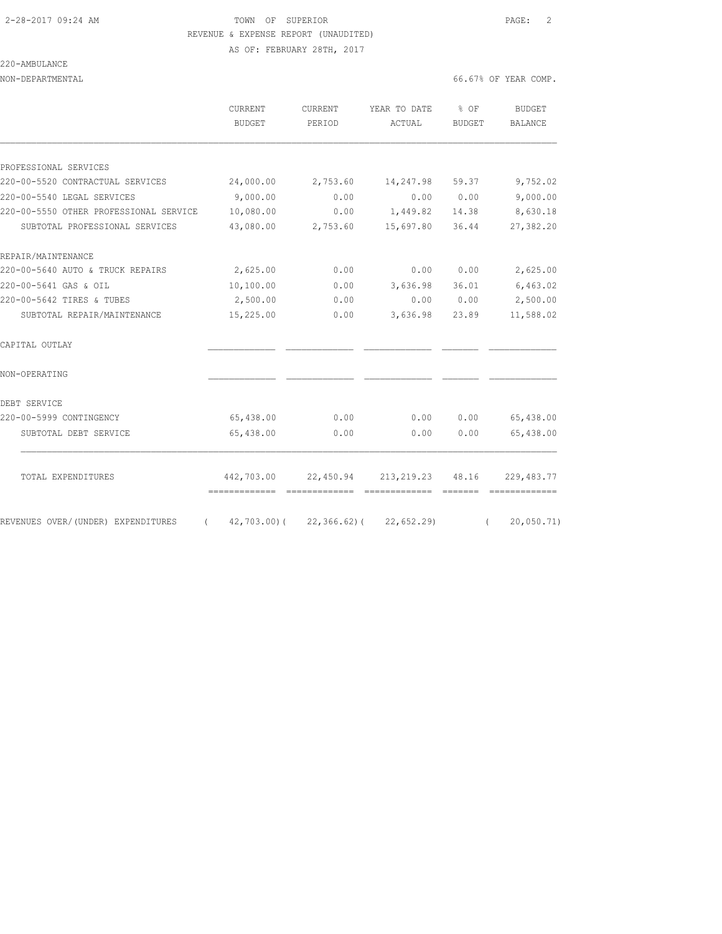# 2-28-2017 09:24 AM TOWN OF SUPERIOR PAGE: 2 REVENUE & EXPENSE REPORT (UNAUDITED)

AS OF: FEBRUARY 28TH, 2017

#### 220-AMBULANCE

NON-DEPARTMENTAL 66.67% OF YEAR COMP.

|                                        | CURRENT<br>BUDGET                        | CURRENT<br>PERIOD | YEAR TO DATE<br>ACTUAL                | $8$ OF<br><b>BUDGET</b> | BUDGET<br>BALANCE |
|----------------------------------------|------------------------------------------|-------------------|---------------------------------------|-------------------------|-------------------|
| PROFESSIONAL SERVICES                  |                                          |                   |                                       |                         |                   |
| 220-00-5520 CONTRACTUAL SERVICES       | 24,000.00                                | 2,753.60          | 14,247.98                             | 59.37                   | 9,752.02          |
| 220-00-5540 LEGAL SERVICES             | 9,000.00                                 | 0.00              | 0.00                                  | 0.00                    | 9,000.00          |
| 220-00-5550 OTHER PROFESSIONAL SERVICE | 10,080.00                                | 0.00              | 1,449.82                              | 14.38                   | 8,630.18          |
| SUBTOTAL PROFESSIONAL SERVICES         | 43,080.00                                | 2,753.60          | 15,697.80                             | 36.44                   | 27,382.20         |
| REPAIR/MAINTENANCE                     |                                          |                   |                                       |                         |                   |
| 220-00-5640 AUTO & TRUCK REPAIRS       | 2,625.00                                 | 0.00              | 0.00                                  | 0.00                    | 2,625.00          |
| 220-00-5641 GAS & OIL                  | 10,100.00                                | 0.00              | 3,636.98                              | 36.01                   | 6,463.02          |
| 220-00-5642 TIRES & TUBES              | 2,500.00                                 | 0.00              | 0.00                                  | 0.00                    | 2,500.00          |
| SUBTOTAL REPAIR/MAINTENANCE            | 15,225.00                                | 0.00              | 3,636.98                              | 23.89                   | 11,588.02         |
| CAPITAL OUTLAY                         |                                          |                   |                                       |                         |                   |
| NON-OPERATING                          |                                          |                   |                                       |                         |                   |
| DEBT SERVICE                           |                                          |                   |                                       |                         |                   |
| 220-00-5999 CONTINGENCY                | 65,438.00                                | 0.00              | 0.00                                  | 0.00                    | 65,438.00         |
| SUBTOTAL DEBT SERVICE                  | 65,438.00                                | 0.00              | 0.00                                  | 0.00                    | 65,438.00         |
| TOTAL EXPENDITURES                     |                                          |                   | 442,703.00 22,450.94 213,219.23 48.16 |                         | 229,483.77        |
|                                        | ===============================          |                   | =============                         | --------                | =============     |
| REVENUES OVER/(UNDER) EXPENDITURES     | $(42, 703.00) (22, 366.62) (22, 652.29)$ |                   |                                       | $\sqrt{2}$              | 20,050.71)        |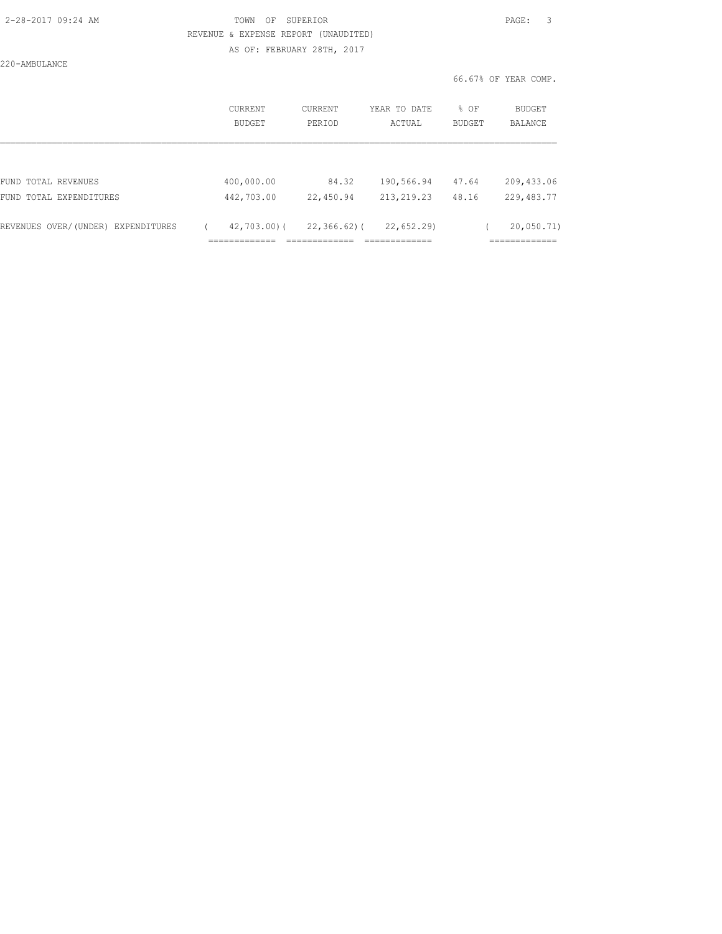| 2-28-2017 09:24 AM |  |
|--------------------|--|
|                    |  |

### TOWN OF SUPERIOR **PAGE:** 3 REVENUE & EXPENSE REPORT (UNAUDITED) AS OF: FEBRUARY 28TH, 2017

220-AMBULANCE

|                                    | <b>CURRENT</b><br>BUDGET | CURRENT<br>PERIOD | YEAR TO DATE<br>ACTUAL | % OF<br>BUDGET | <b>BUDGET</b><br>BALANCE |
|------------------------------------|--------------------------|-------------------|------------------------|----------------|--------------------------|
|                                    |                          |                   |                        |                |                          |
| FUND TOTAL REVENUES                | 400,000.00               | 84.32             | 190,566.94             | 47.64          | 209, 433.06              |
| FUND TOTAL EXPENDITURES            | 442,703.00               | 22,450.94         | 213, 219. 23           | 48.16          | 229, 483.77              |
| REVENUES OVER/(UNDER) EXPENDITURES | 42,703.00)(              | $22, 366, 62)$ (  | 22,652.29              |                | 20,050.71)               |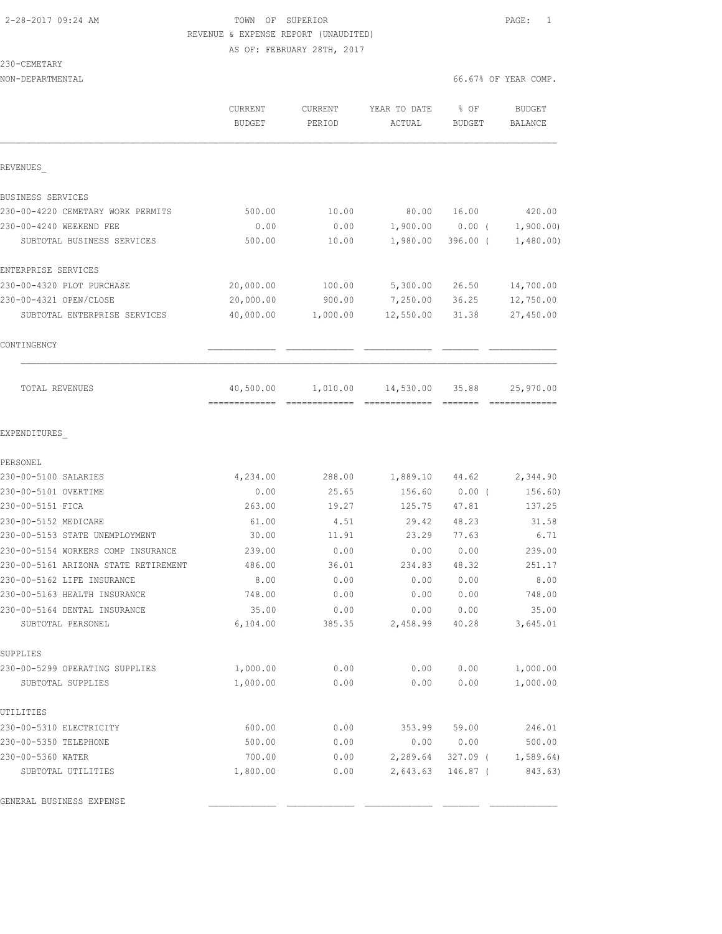### 2-28-2017 09:24 AM TOWN OF SUPERIOR PAGE: 1 REVENUE & EXPENSE REPORT (UNAUDITED) AS OF: FEBRUARY 28TH, 2017

230-CEMETARY

| NON-DEPARTMENTAL                         |                                 |                          |                        |                       | 66.67% OF YEAR COMP.            |
|------------------------------------------|---------------------------------|--------------------------|------------------------|-----------------------|---------------------------------|
|                                          | <b>CURRENT</b><br><b>BUDGET</b> | <b>CURRENT</b><br>PERIOD | YEAR TO DATE<br>ACTUAL | % OF<br><b>BUDGET</b> | <b>BUDGET</b><br><b>BALANCE</b> |
| REVENUES                                 |                                 |                          |                        |                       |                                 |
| BUSINESS SERVICES                        |                                 |                          |                        |                       |                                 |
| 230-00-4220 CEMETARY WORK PERMITS        | 500.00                          | 10.00                    | 80.00                  | 16.00                 | 420.00                          |
| 230-00-4240 WEEKEND FEE                  | 0.00                            | 0.00                     | 1,900.00               | $0.00$ (              | 1,900.00)                       |
| SUBTOTAL BUSINESS SERVICES               | 500.00                          | 10.00                    | 1,980.00               | $396.00$ (            | 1,480.00)                       |
| ENTERPRISE SERVICES                      |                                 |                          |                        |                       |                                 |
| 230-00-4320 PLOT PURCHASE                | 20,000.00                       | 100.00                   | 5,300.00               | 26.50                 | 14,700.00                       |
| 230-00-4321 OPEN/CLOSE                   | 20,000.00                       | 900.00                   | 7,250.00               | 36.25                 | 12,750.00                       |
| SUBTOTAL ENTERPRISE SERVICES             | 40,000.00                       | 1,000.00                 | 12,550.00              | 31.38                 | 27,450.00                       |
| CONTINGENCY                              |                                 |                          |                        |                       |                                 |
| TOTAL REVENUES                           | 40,500.00                       | 1,010.00                 | 14,530.00              | 35.88                 | 25,970.00                       |
| EXPENDITURES                             |                                 |                          |                        |                       |                                 |
| PERSONEL                                 |                                 |                          |                        |                       |                                 |
| 230-00-5100 SALARIES                     | 4,234.00                        | 288.00                   | 1,889.10               | 44.62                 | 2,344.90                        |
| 230-00-5101 OVERTIME<br>230-00-5151 FICA | 0.00<br>263.00                  | 25.65<br>19.27           | 156.60<br>125.75       | $0.00$ (<br>47.81     | 156.60)<br>137.25               |
| 230-00-5152 MEDICARE                     | 61.00                           | 4.51                     | 29.42                  | 48.23                 | 31.58                           |
| 230-00-5153 STATE UNEMPLOYMENT           | 30.00                           | 11.91                    | 23.29                  | 77.63                 | 6.71                            |
| 230-00-5154 WORKERS COMP INSURANCE       | 239.00                          | 0.00                     | 0.00                   | 0.00                  | 239.00                          |
| 230-00-5161 ARIZONA STATE RETIREMENT     | 486.00                          | 36.01                    | 234.83                 | 48.32                 | 251.17                          |
| 230-00-5162 LIFE INSURANCE               | 8.00                            | 0.00                     | 0.00                   | 0.00                  | 8.00                            |
| 230-00-5163 HEALTH INSURANCE             | 748.00                          | 0.00                     | 0.00                   | 0.00                  | 748.00                          |
| 230-00-5164 DENTAL INSURANCE             | 35.00                           | 0.00                     | 0.00                   | 0.00                  | 35.00                           |
| SUBTOTAL PERSONEL                        | 6,104.00                        | 385.35                   | 2,458.99               | 40.28                 | 3,645.01                        |
| SUPPLIES                                 |                                 |                          |                        |                       |                                 |
| 230-00-5299 OPERATING SUPPLIES           | 1,000.00                        | 0.00                     | 0.00                   | 0.00                  | 1,000.00                        |
| SUBTOTAL SUPPLIES                        | 1,000.00                        | 0.00                     | 0.00                   | 0.00                  | 1,000.00                        |
| UTILITIES                                |                                 |                          |                        |                       |                                 |
| 230-00-5310 ELECTRICITY                  | 600.00                          | 0.00                     | 353.99                 | 59.00                 | 246.01                          |
| 230-00-5350 TELEPHONE                    | 500.00                          | 0.00                     | 0.00                   | 0.00                  | 500.00                          |
| 230-00-5360 WATER                        | 700.00                          | 0.00                     | 2,289.64               | $327.09$ (            | 1,589.64                        |
| SUBTOTAL UTILITIES                       | 1,800.00                        | 0.00                     | 2,643.63               | 146.87 (              | 843.63)                         |

GENERAL BUSINESS EXPENSE \_\_\_\_\_\_\_\_\_\_\_\_\_ \_\_\_\_\_\_\_\_\_\_\_\_\_ \_\_\_\_\_\_\_\_\_\_\_\_\_ \_\_\_\_\_\_\_ \_\_\_\_\_\_\_\_\_\_\_\_\_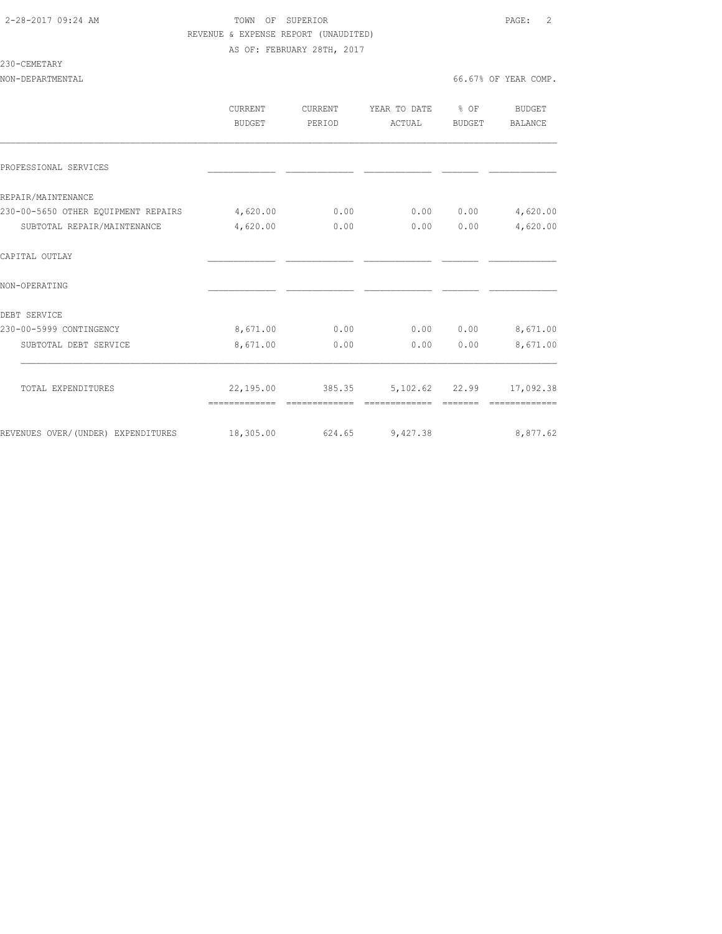## 2-28-2017 09:24 AM TOWN OF SUPERIOR PAGE: 2 REVENUE & EXPENSE REPORT (UNAUDITED) AS OF: FEBRUARY 28TH, 2017

#### 230-CEMETARY

|                                                              | CURRENT       | CURRENT       | YEAR TO DATE                                      | $8$ OF | BUDGET    |
|--------------------------------------------------------------|---------------|---------------|---------------------------------------------------|--------|-----------|
|                                                              | <b>BUDGET</b> | PERIOD        | ACTUAL                                            | BUDGET | BALANCE   |
|                                                              |               |               |                                                   |        |           |
| PROFESSIONAL SERVICES                                        |               |               |                                                   |        |           |
| REPAIR/MAINTENANCE                                           |               |               |                                                   |        |           |
| 230-00-5650 OTHER EOUIPMENT REPAIRS                          | 4,620.00      | 0.00          | 0.00                                              | 0.00   | 4,620.00  |
| SUBTOTAL REPAIR/MAINTENANCE                                  | 4,620.00      | 0.00          | 0.00                                              | 0.00   | 4,620.00  |
| CAPITAL OUTLAY                                               |               |               |                                                   |        |           |
| NON-OPERATING                                                |               |               |                                                   |        |           |
| DEBT SERVICE                                                 |               |               |                                                   |        |           |
| 230-00-5999 CONTINGENCY                                      | 8,671.00      | 0.00          | 0.00                                              | 0.00   | 8,671.00  |
| SUBTOTAL DEBT SERVICE                                        | 8,671.00      | 0.00          | 0.00                                              | 0.00   | 8,671.00  |
|                                                              |               |               |                                                   |        |           |
| TOTAL EXPENDITURES                                           |               | ------------- | 22,195.00 385.35 5,102.62 22.99<br>-------------- |        | 17,092.38 |
| REVENUES OVER/(UNDER) EXPENDITURES 18,305.00 624.65 9,427.38 |               |               |                                                   |        | 8,877.62  |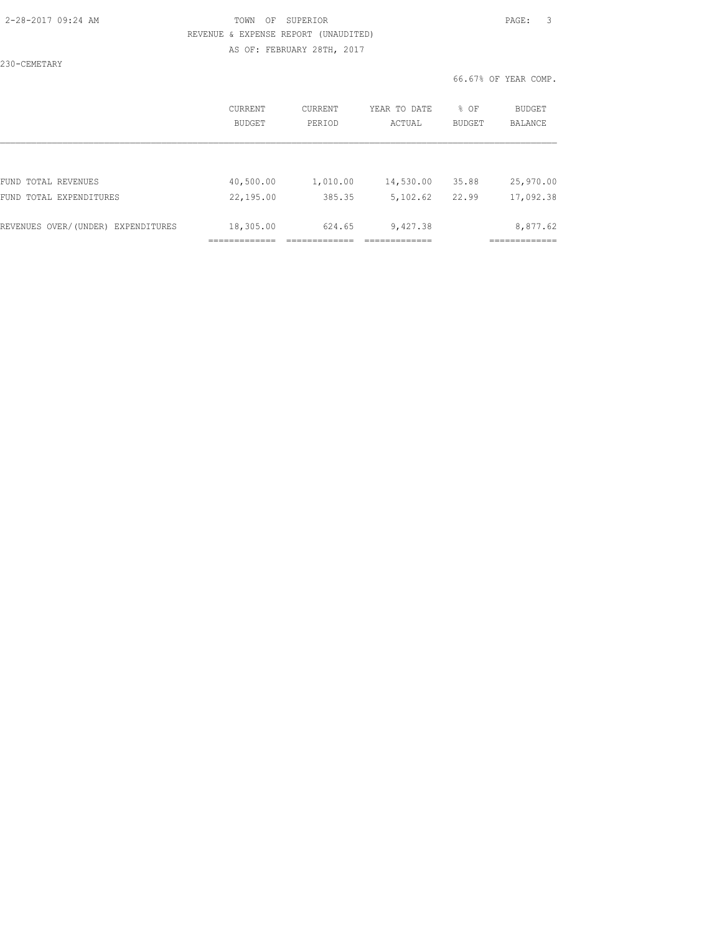### 2-28-2017 09:24 AM TOWN OF SUPERIOR PAGE: 3 REVENUE & EXPENSE REPORT (UNAUDITED) AS OF: FEBRUARY 28TH, 2017

230-CEMETARY

|                                    | <b>CURRENT</b><br><b>BUDGET</b> | CURRENT<br>PERIOD | YEAR TO DATE<br>ACTUAL | % OF<br><b>BUDGET</b> | BUDGET<br><b>BALANCE</b> |
|------------------------------------|---------------------------------|-------------------|------------------------|-----------------------|--------------------------|
|                                    |                                 |                   |                        |                       |                          |
| FUND TOTAL REVENUES                | 40,500.00                       | 1,010.00          | 14,530.00              | 35.88                 | 25,970.00                |
| FUND TOTAL EXPENDITURES            | 22,195.00                       | 385.35            | 5,102.62               | 22.99                 | 17,092.38                |
| REVENUES OVER/(UNDER) EXPENDITURES | 18,305.00                       | 624.65            | 9,427.38               |                       | 8,877.62                 |
|                                    |                                 |                   |                        |                       |                          |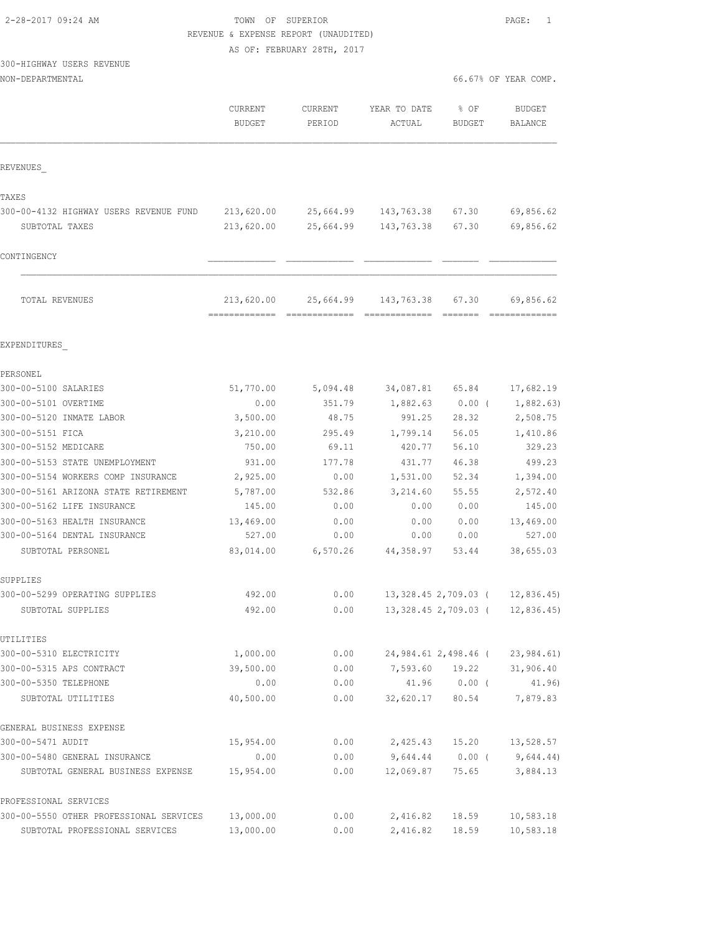TOWN OF SUPERIOR **Example 2018** PAGE: 1 REVENUE & EXPENSE REPORT (UNAUDITED)

AS OF: FEBRUARY 28TH, 2017

# 300-HIGHWAY USERS REVENUE

| NON-DEPARTMENTAL |  |
|------------------|--|
|------------------|--|

|                                         | CURRENT<br><b>BUDGET</b> | <b>CURRENT</b><br>PERIOD | YEAR TO DATE<br>ACTUAL | % OF<br><b>BUDGET</b> | <b>BUDGET</b><br><b>BALANCE</b> |
|-----------------------------------------|--------------------------|--------------------------|------------------------|-----------------------|---------------------------------|
| REVENUES                                |                          |                          |                        |                       |                                 |
| TAXES                                   |                          |                          |                        |                       |                                 |
| 300-00-4132 HIGHWAY USERS REVENUE FUND  | 213,620.00               | 25,664.99                | 143,763.38             | 67.30                 | 69,856.62                       |
| SUBTOTAL TAXES                          | 213,620.00               | 25,664.99                | 143,763.38             | 67.30                 | 69,856.62                       |
| CONTINGENCY                             |                          |                          |                        |                       |                                 |
| TOTAL REVENUES                          | 213,620.00               | 25,664.99                | 143,763.38             | 67.30                 | 69,856.62                       |
| EXPENDITURES                            |                          |                          |                        |                       |                                 |
| PERSONEL                                |                          |                          |                        |                       |                                 |
| 300-00-5100 SALARIES                    | 51,770.00                | 5,094.48                 | 34,087.81              | 65.84                 | 17,682.19                       |
| 300-00-5101 OVERTIME                    | 0.00                     | 351.79                   | 1,882.63               | $0.00$ (              | 1,882.63)                       |
| 300-00-5120 INMATE LABOR                | 3,500.00                 | 48.75                    | 991.25                 | 28.32                 | 2,508.75                        |
| 300-00-5151 FICA                        | 3,210.00                 | 295.49                   | 1,799.14               | 56.05                 | 1,410.86                        |
| 300-00-5152 MEDICARE                    | 750.00                   | 69.11                    | 420.77                 | 56.10                 | 329.23                          |
| 300-00-5153 STATE UNEMPLOYMENT          | 931.00                   | 177.78                   | 431.77                 | 46.38                 | 499.23                          |
| 300-00-5154 WORKERS COMP INSURANCE      | 2,925.00                 | 0.00                     | 1,531.00               | 52.34                 | 1,394.00                        |
| 300-00-5161 ARIZONA STATE RETIREMENT    | 5,787.00                 | 532.86                   | 3,214.60               | 55.55                 | 2,572.40                        |
| 300-00-5162 LIFE INSURANCE              | 145.00                   | 0.00                     | 0.00                   | 0.00                  | 145.00                          |
| 300-00-5163 HEALTH INSURANCE            | 13,469.00                | 0.00                     | 0.00                   | 0.00                  | 13,469.00                       |
| 300-00-5164 DENTAL INSURANCE            | 527.00                   | 0.00                     | 0.00                   | 0.00                  | 527.00                          |
| SUBTOTAL PERSONEL                       | 83,014.00                | 6,570.26                 | 44,358.97              | 53.44                 | 38,655.03                       |
| SUPPLIES                                |                          |                          |                        |                       |                                 |
| 300-00-5299 OPERATING SUPPLIES          | 492.00                   | 0.00                     |                        | 13,328.45 2,709.03 (  | 12,836.45                       |
| SUBTOTAL SUPPLIES                       | 492.00                   | 0.00                     |                        | 13,328.45 2,709.03 (  | 12,836.45                       |
| UTILITIES                               |                          |                          |                        |                       |                                 |
| 300-00-5310 ELECTRICITY                 | 1,000.00                 | 0.00                     |                        | 24,984.61 2,498.46 (  | 23,984.61)                      |
| 300-00-5315 APS CONTRACT                | 39,500.00                | 0.00                     |                        | 7,593.60 19.22        | 31,906.40                       |
| 300-00-5350 TELEPHONE                   | 0.00                     | 0.00                     |                        | 41.96 0.00 (          | 41.96)                          |
| SUBTOTAL UTILITIES                      | 40,500.00                | 0.00                     |                        | 32,620.17 80.54       | 7,879.83                        |
| GENERAL BUSINESS EXPENSE                |                          |                          |                        |                       |                                 |
| 300-00-5471 AUDIT                       | 15,954.00                | 0.00                     | 2,425.43               | 15.20                 | 13,528.57                       |
| 300-00-5480 GENERAL INSURANCE           | 0.00                     | 0.00                     | 9,644.44               | 0.00(                 | 9,644.44)                       |
| SUBTOTAL GENERAL BUSINESS EXPENSE       | 15,954.00                | 0.00                     | 12,069.87              | 75.65                 | 3,884.13                        |
| PROFESSIONAL SERVICES                   |                          |                          |                        |                       |                                 |
| 300-00-5550 OTHER PROFESSIONAL SERVICES | 13,000.00                | 0.00                     | 2,416.82               | 18.59                 | 10,583.18                       |

SUBTOTAL PROFESSIONAL SERVICES 13,000.00 0.00 2,416.82 18.59 10,583.18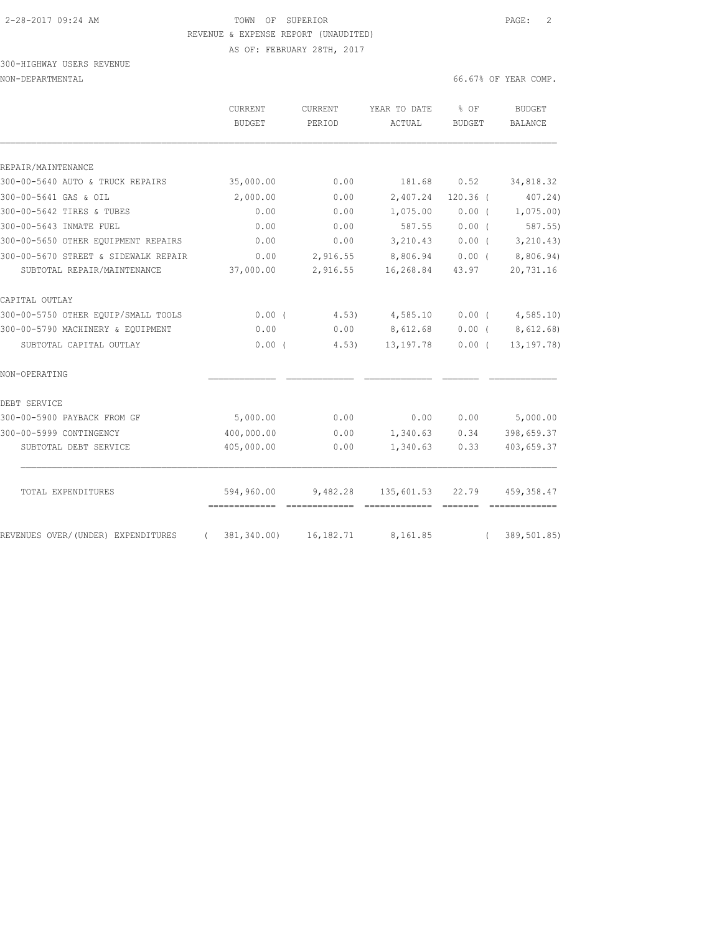# 2-28-2017 09:24 AM TOWN OF SUPERIOR PAGE: 2 REVENUE & EXPENSE REPORT (UNAUDITED)

AS OF: FEBRUARY 28TH, 2017

#### 300-HIGHWAY USERS REVENUE NON-DEPARTMENTAL 66.67% OF YEAR COMP.

|                                      | <b>CURRENT</b><br><b>BUDGET</b> | CURRENT<br>PERIOD | YEAR TO DATE<br>ACTUAL | $8$ OF<br><b>BUDGET</b> | <b>BUDGET</b><br>BALANCE |
|--------------------------------------|---------------------------------|-------------------|------------------------|-------------------------|--------------------------|
| REPAIR/MAINTENANCE                   |                                 |                   |                        |                         |                          |
| 300-00-5640 AUTO & TRUCK REPAIRS     | 35,000.00                       | 0.00              | 181.68                 | 0.52                    | 34,818.32                |
| 300-00-5641 GAS & OIL                | 2,000.00                        | 0.00              | 2,407.24               | $120.36$ (              | 407.24)                  |
| 300-00-5642 TIRES & TUBES            | 0.00                            | 0.00              | 1,075.00               | 0.00(                   | 1,075.00                 |
| 300-00-5643 INMATE FUEL              | 0.00                            | 0.00              | 587.55                 | 0.00(                   | $587.55$ )               |
| 300-00-5650 OTHER EQUIPMENT REPAIRS  | 0.00                            | 0.00              | 3,210.43               | $0.00$ (                | 3, 210.43)               |
| 300-00-5670 STREET & SIDEWALK REPAIR | 0.00                            | 2,916.55          | 8,806.94               | $0.00$ (                | 8,806.94)                |
| SUBTOTAL REPAIR/MAINTENANCE          | 37,000.00                       | 2,916.55          | 16,268.84              | 43.97                   | 20,731.16                |
| CAPITAL OUTLAY                       |                                 |                   |                        |                         |                          |
| 300-00-5750 OTHER EQUIP/SMALL TOOLS  | $0.00$ (                        | 4.53)             | 4,585.10               | $0.00$ (                | 4,585.10                 |
| 300-00-5790 MACHINERY & EQUIPMENT    | 0.00                            | 0.00              | 8,612.68               | $0.00$ (                | 8,612.68)                |
| SUBTOTAL CAPITAL OUTLAY              | 0.00(                           | 4.53)             | 13, 197. 78            | 0.00(                   | 13, 197. 78)             |
| NON-OPERATING                        |                                 |                   |                        |                         |                          |
| DEBT SERVICE                         |                                 |                   |                        |                         |                          |
| 300-00-5900 PAYBACK FROM GF          | 5,000.00                        | 0.00              | 0.00                   | 0.00                    | 5,000.00                 |
| 300-00-5999 CONTINGENCY              | 400,000.00                      | 0.00              | 1,340.63               | 0.34                    | 398,659.37               |
| SUBTOTAL DEBT SERVICE                | 405,000.00                      | 0.00              | 1,340.63               | 0.33                    | 403,659.37               |
| TOTAL EXPENDITURES                   | 594,960.00                      | 9,482.28          | 135,601.53             | 22.79                   | 459, 358.47              |
|                                      | 381,340.00)                     |                   |                        | --------                | =============            |
| REVENUES OVER/(UNDER) EXPENDITURES   | $\sqrt{2}$                      | 16, 182.71        | 8,161.85               | $\left($                | 389, 501.85)             |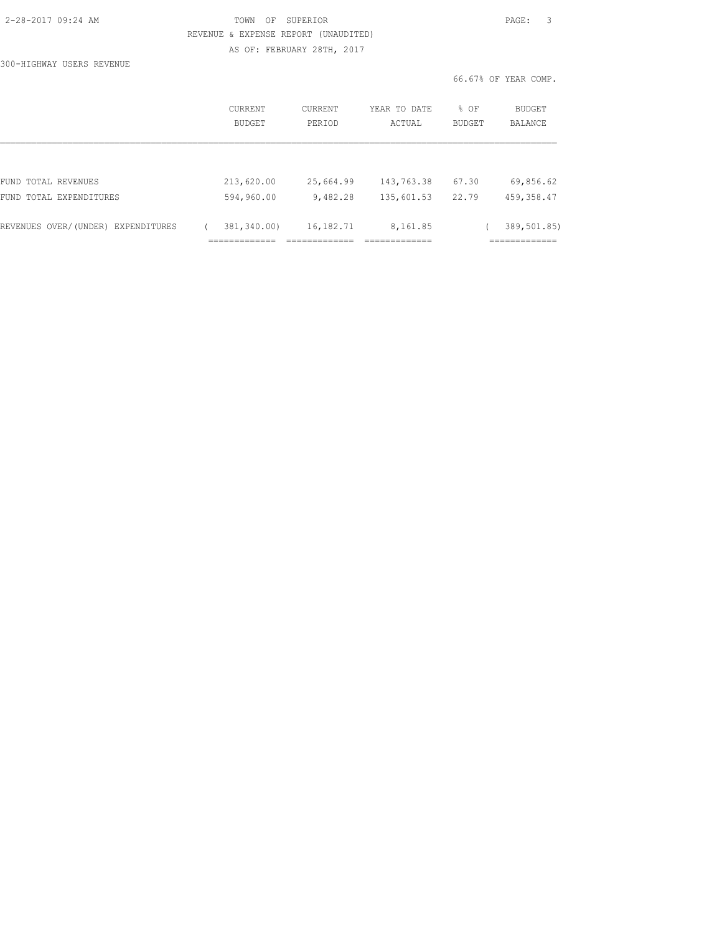| 2-28-2017 09:24 AM |  |
|--------------------|--|
|                    |  |

### TOWN OF SUPERIOR **PAGE:** 3 REVENUE & EXPENSE REPORT (UNAUDITED) AS OF: FEBRUARY 28TH, 2017

300-HIGHWAY USERS REVENUE

|                                    | <b>CURRENT</b><br>BUDGET | CURRENT<br>PERTOD | YEAR TO DATE<br>ACTUAL | % OF<br><b>BUDGET</b> | <b>BUDGET</b><br><b>BALANCE</b> |
|------------------------------------|--------------------------|-------------------|------------------------|-----------------------|---------------------------------|
| FUND TOTAL REVENUES                | 213,620.00               | 25,664.99         | 143,763.38             | 67.30                 | 69,856.62                       |
| FUND TOTAL EXPENDITURES            | 594,960.00               | 9,482.28          | 135,601.53             | 22.79                 | 459, 358.47                     |
| REVENUES OVER/(UNDER) EXPENDITURES | 381,340.00)              | 16,182.71         | 8,161.85               |                       | 389,501.85)                     |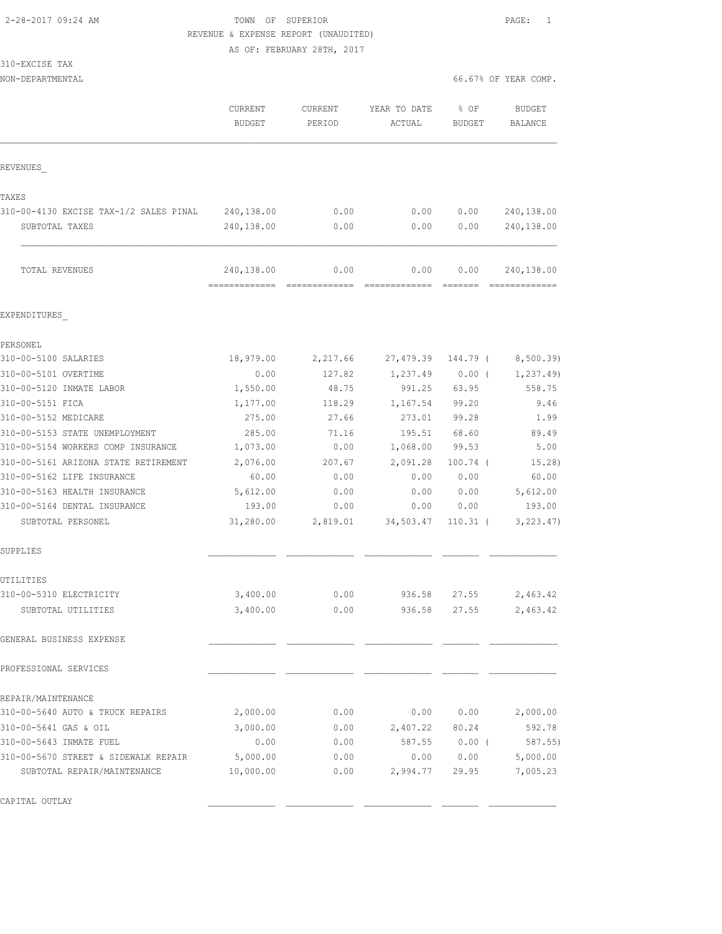# 2-28-2017 09:24 AM TOWN OF SUPERIOR PAGE: 1 REVENUE & EXPENSE REPORT (UNAUDITED)

AS OF: FEBRUARY 28TH, 2017

| 13 1 | 0-EXCISE | TAX |
|------|----------|-----|
|      |          |     |

| NON-DEPARTMENTAL | 67% OF YEAR COMP.<br>66.676 |  |
|------------------|-----------------------------|--|
|                  |                             |  |

|                                        | <b>CURRENT</b><br><b>BUDGET</b> | <b>CURRENT</b><br>PERIOD | YEAR TO DATE<br>ACTUAL | % OF<br>BUDGET  | <b>BUDGET</b><br>BALANCE    |
|----------------------------------------|---------------------------------|--------------------------|------------------------|-----------------|-----------------------------|
| REVENUES                               |                                 |                          |                        |                 |                             |
| TAXES                                  |                                 |                          |                        |                 |                             |
| 310-00-4130 EXCISE TAX-1/2 SALES PINAL | 240,138.00                      | 0.00                     | 0.00                   | 0.00            | 240,138.00                  |
| SUBTOTAL TAXES                         | 240,138.00                      | 0.00                     | 0.00                   | 0.00            | 240,138.00                  |
| TOTAL REVENUES                         | 240,138.00<br>=============     | 0.00<br>=============    | 0.00                   | 0.00<br>======= | 240,138.00<br>------------- |
| EXPENDITURES                           |                                 |                          |                        |                 |                             |
| PERSONEL                               |                                 |                          |                        |                 |                             |
| 310-00-5100 SALARIES                   | 18,979.00                       | 2,217.66                 | 27,479.39              | 144.79 (        | 8,500.39)                   |
| 310-00-5101 OVERTIME                   | 0.00                            | 127.82                   | 1,237.49               | $0.00$ (        | 1, 237.49                   |
| 310-00-5120 INMATE LABOR               | 1,550.00                        | 48.75                    | 991.25                 | 63.95           | 558.75                      |
| 310-00-5151 FICA                       | 1,177.00                        | 118.29                   | 1,167.54               | 99.20           | 9.46                        |
| 310-00-5152 MEDICARE                   | 275.00                          | 27.66                    | 273.01                 | 99.28           | 1.99                        |
| 310-00-5153 STATE UNEMPLOYMENT         | 285.00                          | 71.16                    | 195.51                 | 68.60           | 89.49                       |
| 310-00-5154 WORKERS COMP INSURANCE     | 1,073.00                        | 0.00                     | 1,068.00               | 99.53           | 5.00                        |
| 310-00-5161 ARIZONA STATE RETIREMENT   | 2,076.00                        | 207.67                   | 2,091.28               | $100.74$ (      | 15.28)                      |
| 310-00-5162 LIFE INSURANCE             | 60.00                           | 0.00                     | 0.00                   | 0.00            | 60.00                       |
| 310-00-5163 HEALTH INSURANCE           | 5,612.00                        | 0.00                     | 0.00                   | 0.00            | 5,612.00                    |
| 310-00-5164 DENTAL INSURANCE           | 193.00                          | 0.00                     | 0.00                   | 0.00            | 193.00                      |
| SUBTOTAL PERSONEL                      | 31,280.00                       | 2,819.01                 | 34,503.47              | $110.31$ (      | 3, 223.47)                  |
| SUPPLIES                               |                                 |                          |                        |                 |                             |
| UTILITIES                              |                                 |                          |                        |                 |                             |
| 310-00-5310 ELECTRICITY                | 3,400.00                        | 0.00                     | 936.58                 | 27.55           | 2,463.42                    |
| SUBTOTAL UTILITIES                     | 3,400.00                        | 0.00                     | 936.58                 | 27.55           | 2,463.42                    |
| GENERAL BUSINESS EXPENSE               |                                 |                          |                        |                 |                             |
| PROFESSIONAL SERVICES                  |                                 |                          |                        |                 |                             |
| REPAIR/MAINTENANCE                     |                                 |                          |                        |                 |                             |
| 310-00-5640 AUTO & TRUCK REPAIRS       | 2,000.00                        | 0.00                     | 0.00                   | 0.00            | 2,000.00                    |
| 310-00-5641 GAS & OIL                  | 3,000.00                        | 0.00                     | 2,407.22               | 80.24           | 592.78                      |
| 310-00-5643 INMATE FUEL                | 0.00                            | 0.00                     | 587.55                 | $0.00$ (        | 587.55                      |
| 310-00-5670 STREET & SIDEWALK REPAIR   | 5,000.00                        | 0.00                     | 0.00                   | 0.00            | 5,000.00                    |
| SUBTOTAL REPAIR/MAINTENANCE            | 10,000.00                       | 0.00                     | 2,994.77               | 29.95           | 7,005.23                    |
| CAPITAL OUTLAY                         |                                 |                          |                        |                 |                             |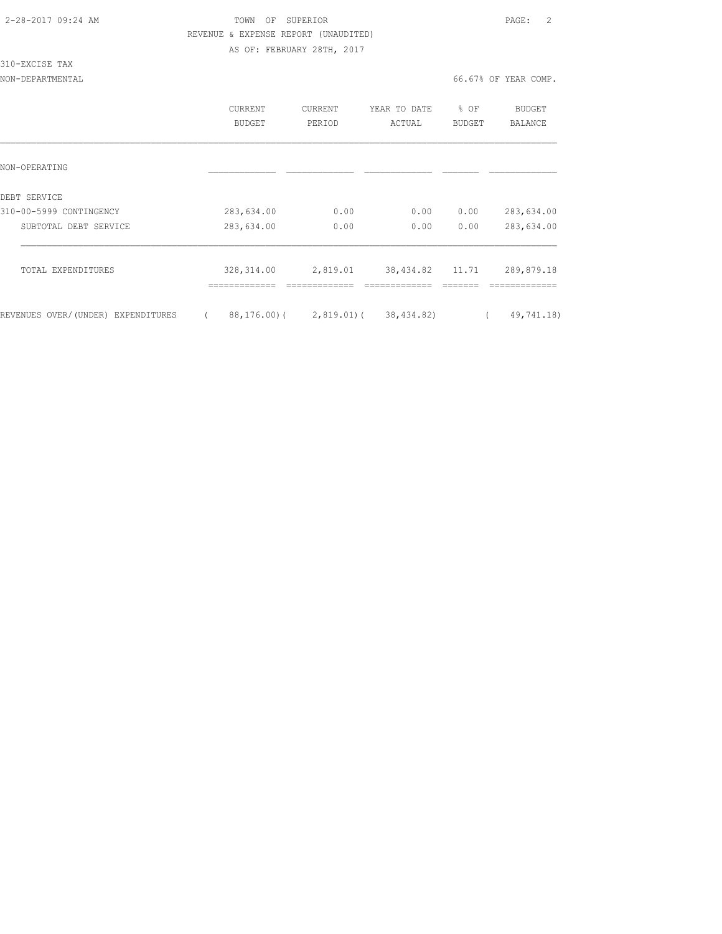|  | 2-28-2017 09:24 AM |  |  |
|--|--------------------|--|--|
|--|--------------------|--|--|

### TOWN OF SUPERIOR **PAGE:** 2 REVENUE & EXPENSE REPORT (UNAUDITED) AS OF: FEBRUARY 28TH, 2017

310-EXCISE TAX

|                                    | CURRENT<br>BUDGET            | <b>CURRENT</b><br>PERIOD | YEAR TO DATE<br>ACTUAL     | % OF<br><b>BUDGET</b> | BUDGET<br>BALANCE         |
|------------------------------------|------------------------------|--------------------------|----------------------------|-----------------------|---------------------------|
| NON-OPERATING                      |                              |                          |                            |                       |                           |
| DEBT SERVICE                       |                              |                          |                            |                       |                           |
| 310-00-5999 CONTINGENCY            | 283,634.00                   | 0.00                     | 0.00                       | 0.00                  | 283,634.00                |
| SUBTOTAL DEBT SERVICE              | 283,634.00                   | 0.00                     | 0.00                       | 0.00                  | 283,634.00                |
| TOTAL EXPENDITURES                 | 328, 314.00<br>------------- | 2,819.01<br>------------ | 38,434.82<br>------------- | 11.71                 | 289,879.18<br>----------- |
| REVENUES OVER/(UNDER) EXPENDITURES | $88, 176, 00$ ) (            | 2,819.01)(               | 38,434.82)                 |                       | 49,741.18)                |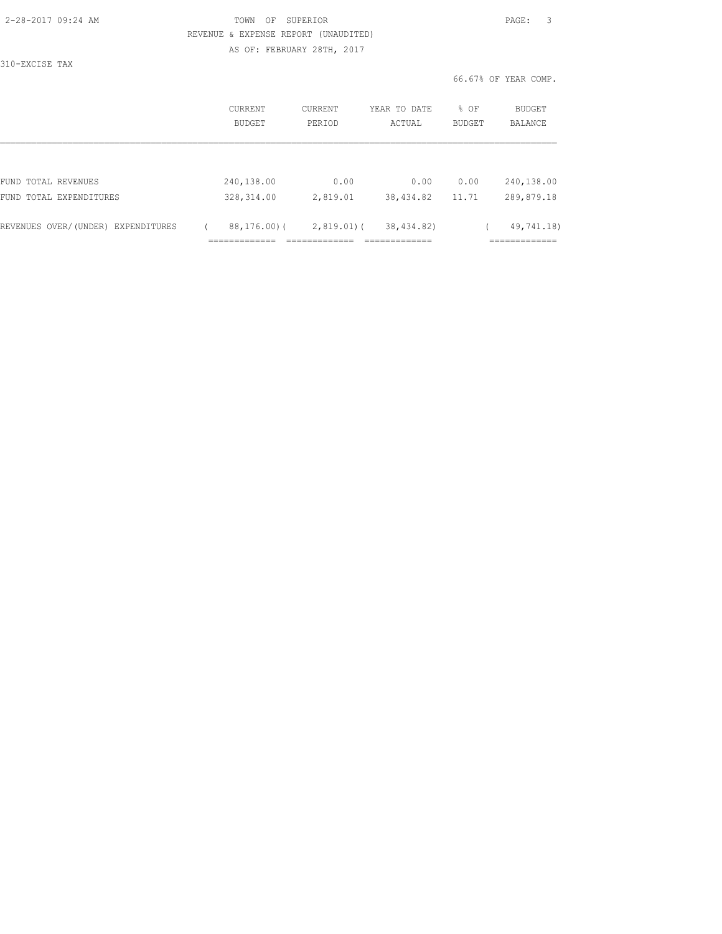| 2-28-2017 09:24 AM |  |
|--------------------|--|
|                    |  |

### TOWN OF SUPERIOR **PAGE:** 3 REVENUE & EXPENSE REPORT (UNAUDITED) AS OF: FEBRUARY 28TH, 2017

310-EXCISE TAX

| CURRENT<br>BUDGET | CURRENT<br>PERIOD | YEAR TO DATE<br>ACTUAL | % OF<br><b>BUDGET</b> | <b>BUDGET</b><br><b>BALANCE</b> |
|-------------------|-------------------|------------------------|-----------------------|---------------------------------|
|                   |                   |                        |                       |                                 |
| 240,138.00        | 0.00              | 0.00                   | 0.00                  | 240,138.00                      |
| 328, 314.00       | 2,819.01          | 38,434.82              | 11.71                 | 289,879.18                      |
| 88,176,00(        |                   | 38,434.82)             |                       | 49,741.18)                      |
|                   |                   |                        | $2,819.01$ (          |                                 |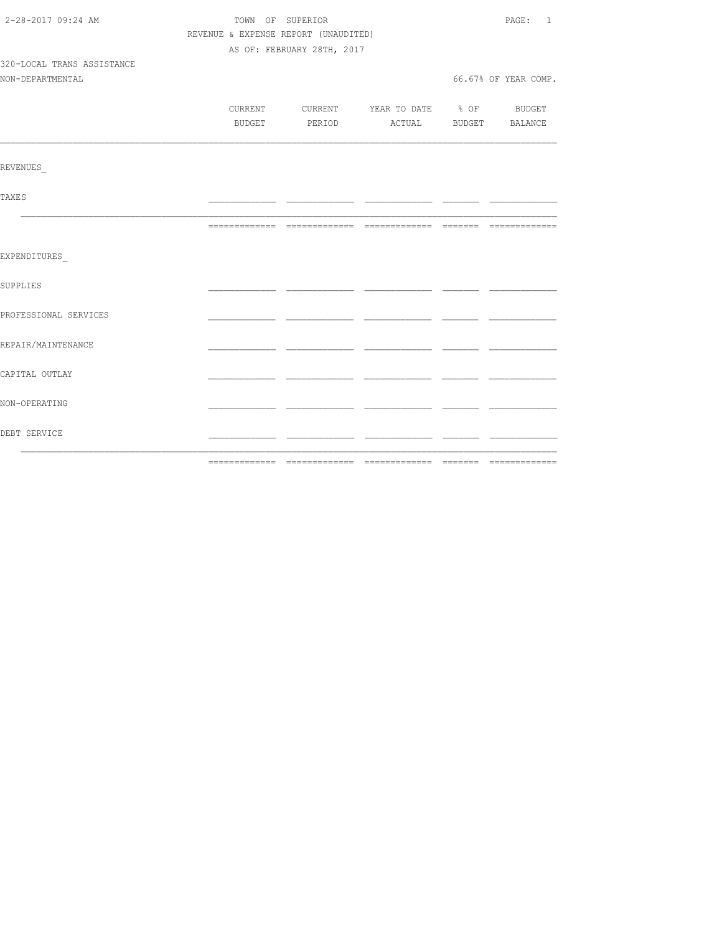| 2-28-2017 09:24 AM<br>TOWN OF SUPERIOR |                                      |                            |                                          |  | PAGE: 1              |
|----------------------------------------|--------------------------------------|----------------------------|------------------------------------------|--|----------------------|
|                                        | REVENUE & EXPENSE REPORT (UNAUDITED) |                            |                                          |  |                      |
|                                        |                                      | AS OF: FEBRUARY 28TH, 2017 |                                          |  |                      |
| 320-LOCAL TRANS ASSISTANCE             |                                      |                            |                                          |  |                      |
| NON-DEPARTMENTAL                       |                                      |                            |                                          |  | 66.67% OF YEAR COMP. |
|                                        |                                      |                            |                                          |  |                      |
|                                        |                                      |                            | CURRENT CURRENT YEAR TO DATE % OF BUDGET |  |                      |
|                                        |                                      |                            | BUDGET PERIOD ACTUAL BUDGET BALANCE      |  |                      |
|                                        |                                      |                            |                                          |  |                      |
| <b>REVENUES</b>                        |                                      |                            |                                          |  |                      |
| <b>TAXES</b>                           |                                      |                            |                                          |  |                      |
|                                        |                                      |                            |                                          |  |                      |
| EXPENDITURES                           |                                      |                            |                                          |  |                      |
| SUPPLIES                               |                                      |                            |                                          |  |                      |
| PROFESSIONAL SERVICES                  |                                      |                            |                                          |  |                      |
| REPAIR/MAINTENANCE                     |                                      |                            |                                          |  |                      |
| CAPITAL OUTLAY                         |                                      |                            |                                          |  |                      |
| NON-OPERATING                          |                                      |                            |                                          |  |                      |
| DEBT SERVICE                           |                                      |                            |                                          |  |                      |
|                                        |                                      |                            |                                          |  |                      |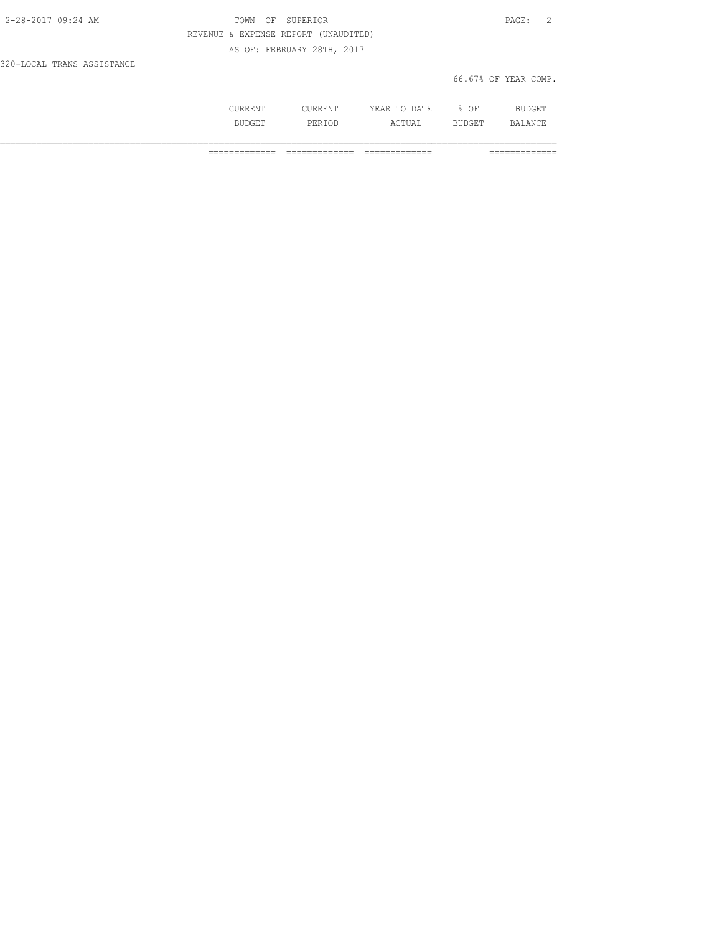| 2-28-2017 09:24 AM         | TOWN | OF SUPERIOR                          |                      | PAGE: 2 |  |
|----------------------------|------|--------------------------------------|----------------------|---------|--|
|                            |      | REVENUE & EXPENSE REPORT (UNAUDITED) |                      |         |  |
|                            |      | AS OF: FEBRUARY 28TH, 2017           |                      |         |  |
| 320-LOCAL TRANS ASSISTANCE |      |                                      |                      |         |  |
|                            |      |                                      | 66.67% OF YEAR COMP. |         |  |

|  | ۱۳۳<br>.<br>-44<br>.<br>$\sim$                            | ΩF<br>◡ |    |
|--|-----------------------------------------------------------|---------|----|
|  | $\wedge$ $\wedge$ $\mathsf{m}\mathsf{r}\mathsf{r}$ .<br>. | --      | RЛ |

============= ============= ============= =============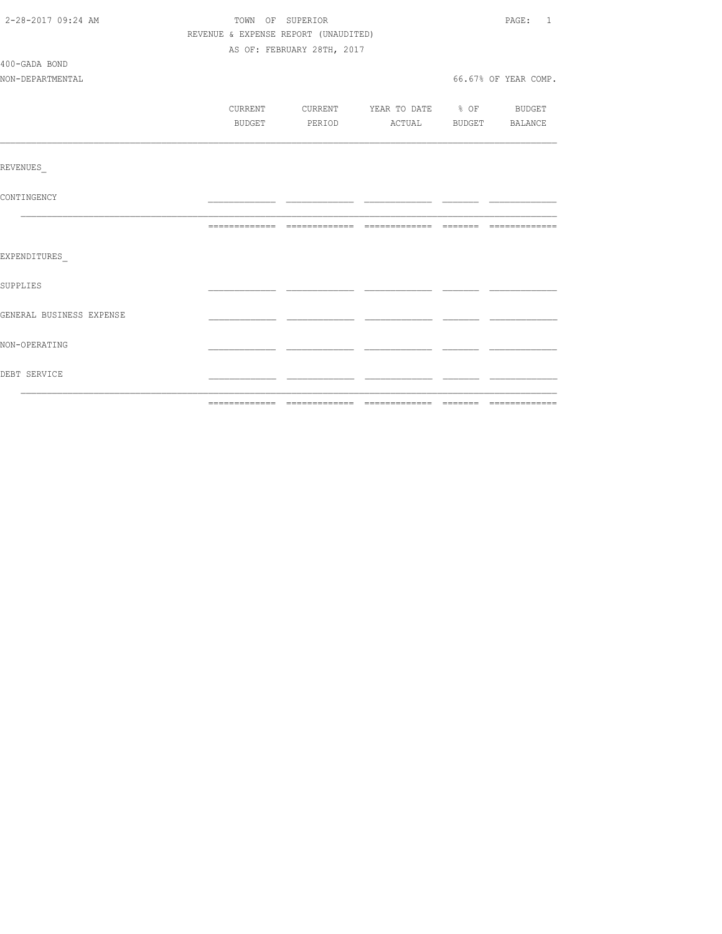| 2-28-2017 09:24 AM       | TOWN OF SUPERIOR                     |                            |                          |  | PAGE: 1               |
|--------------------------|--------------------------------------|----------------------------|--------------------------|--|-----------------------|
|                          | REVENUE & EXPENSE REPORT (UNAUDITED) |                            |                          |  |                       |
|                          |                                      | AS OF: FEBRUARY 28TH, 2017 |                          |  |                       |
| 400-GADA BOND            |                                      |                            |                          |  |                       |
| NON-DEPARTMENTAL         |                                      |                            |                          |  | 66.67% OF YEAR COMP.  |
|                          |                                      |                            |                          |  |                       |
|                          | CURRENT                              | CURRENT                    | YEAR TO DATE % OF BUDGET |  |                       |
|                          | BUDGET                               | PERIOD                     |                          |  | ACTUAL BUDGET BALANCE |
|                          |                                      |                            |                          |  |                       |
|                          |                                      |                            |                          |  |                       |
| REVENUES                 |                                      |                            |                          |  |                       |
|                          |                                      |                            |                          |  |                       |
| CONTINGENCY              |                                      |                            |                          |  |                       |
|                          |                                      |                            |                          |  |                       |
|                          |                                      |                            |                          |  |                       |
|                          |                                      |                            |                          |  |                       |
| EXPENDITURES             |                                      |                            |                          |  |                       |
|                          |                                      |                            |                          |  |                       |
| <b>SUPPLIES</b>          |                                      |                            |                          |  |                       |
|                          |                                      |                            |                          |  |                       |
| GENERAL BUSINESS EXPENSE |                                      |                            |                          |  |                       |
|                          |                                      |                            |                          |  |                       |
| NON-OPERATING            |                                      |                            |                          |  |                       |
|                          |                                      |                            |                          |  |                       |
| DEBT SERVICE             |                                      |                            |                          |  |                       |
|                          |                                      |                            |                          |  |                       |
|                          |                                      |                            |                          |  |                       |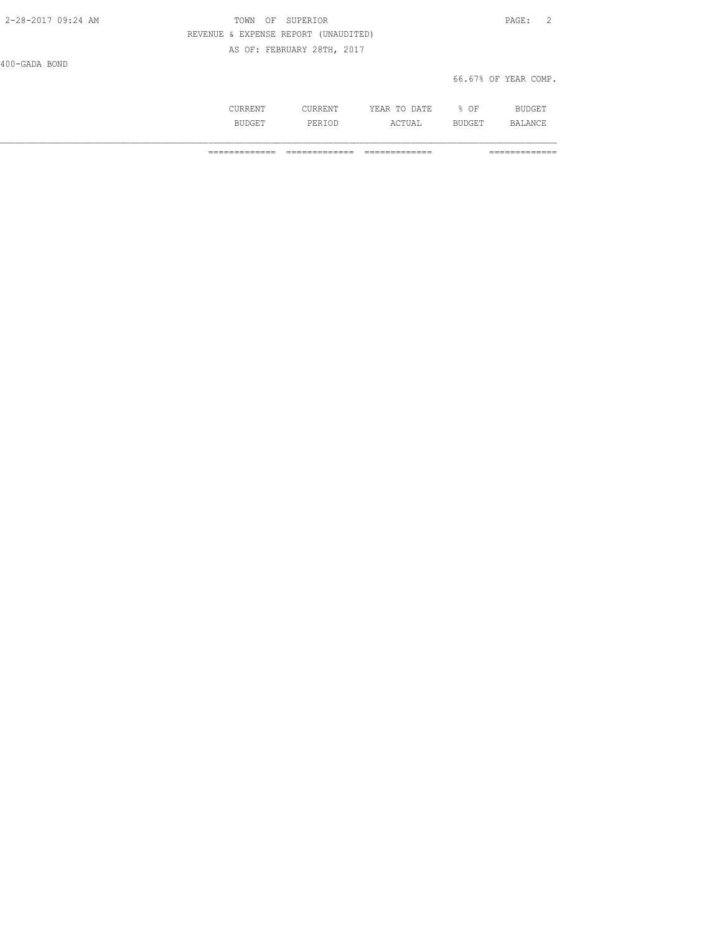| 2-28-2017 09:24 AM | OF SUPERIOR<br>TOWN                  | PAGE:                |
|--------------------|--------------------------------------|----------------------|
|                    | REVENUE & EXPENSE REPORT (UNAUDITED) |                      |
|                    | AS OF: FEBRUARY 28TH, 2017           |                      |
| 400-GADA BOND      |                                      |                      |
|                    |                                      | 66.67% OF YEAR COMP. |

|         | m<br>- 13<br>----<br>----- | OF<br>◡ |              |
|---------|----------------------------|---------|--------------|
| <br>--- | $\sim$ m.<br>---<br>---    | ---     | $\mathbf{u}$ |

============= ============= ============= =============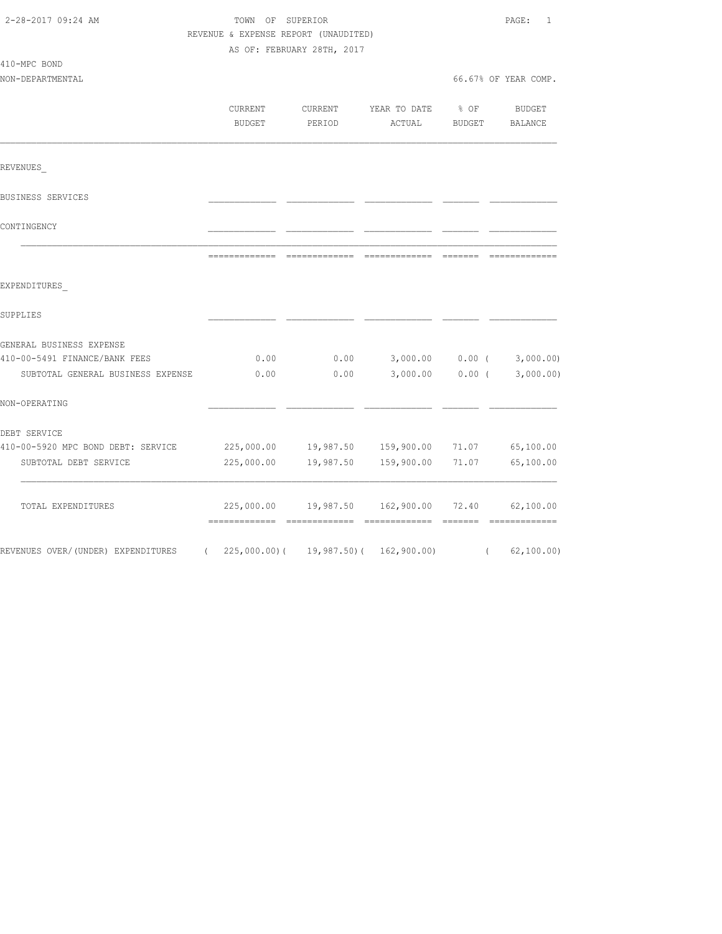| 2-28-2017 09:24 AM                                                                                                                                                                    | TOWN OF SUPERIOR<br>REVENUE & EXPENSE REPORT (UNAUDITED) | AS OF: FEBRUARY 28TH, 2017 |                                                                                                                                                                                                                                                                                                                                                                                                                                                                                        |                       | PAGE: 1              |
|---------------------------------------------------------------------------------------------------------------------------------------------------------------------------------------|----------------------------------------------------------|----------------------------|----------------------------------------------------------------------------------------------------------------------------------------------------------------------------------------------------------------------------------------------------------------------------------------------------------------------------------------------------------------------------------------------------------------------------------------------------------------------------------------|-----------------------|----------------------|
| 410-MPC BOND                                                                                                                                                                          |                                                          |                            |                                                                                                                                                                                                                                                                                                                                                                                                                                                                                        |                       |                      |
| NON-DEPARTMENTAL                                                                                                                                                                      |                                                          |                            |                                                                                                                                                                                                                                                                                                                                                                                                                                                                                        |                       | 66.67% OF YEAR COMP. |
|                                                                                                                                                                                       | <b>CURRENT</b><br><b>BUDGET</b>                          | CURRENT<br>PERIOD          | YEAR TO DATE<br>ACTUAL                                                                                                                                                                                                                                                                                                                                                                                                                                                                 | % OF<br><b>BUDGET</b> | BUDGET<br>BALANCE    |
| REVENUES                                                                                                                                                                              |                                                          |                            |                                                                                                                                                                                                                                                                                                                                                                                                                                                                                        |                       |                      |
| BUSINESS SERVICES                                                                                                                                                                     |                                                          |                            |                                                                                                                                                                                                                                                                                                                                                                                                                                                                                        |                       |                      |
| CONTINGENCY                                                                                                                                                                           |                                                          |                            |                                                                                                                                                                                                                                                                                                                                                                                                                                                                                        |                       |                      |
|                                                                                                                                                                                       |                                                          | --------------             | $\begin{array}{cccccccccc} \multicolumn{2}{c}{} & \multicolumn{2}{c}{} & \multicolumn{2}{c}{} & \multicolumn{2}{c}{} & \multicolumn{2}{c}{} & \multicolumn{2}{c}{} & \multicolumn{2}{c}{} & \multicolumn{2}{c}{} & \multicolumn{2}{c}{} & \multicolumn{2}{c}{} & \multicolumn{2}{c}{} & \multicolumn{2}{c}{} & \multicolumn{2}{c}{} & \multicolumn{2}{c}{} & \multicolumn{2}{c}{} & \multicolumn{2}{c}{} & \multicolumn{2}{c}{} & \multicolumn{2}{c}{} & \multicolumn{2}{c}{} & \mult$ | --------              |                      |
|                                                                                                                                                                                       |                                                          |                            |                                                                                                                                                                                                                                                                                                                                                                                                                                                                                        |                       |                      |
|                                                                                                                                                                                       |                                                          |                            |                                                                                                                                                                                                                                                                                                                                                                                                                                                                                        |                       |                      |
|                                                                                                                                                                                       |                                                          |                            |                                                                                                                                                                                                                                                                                                                                                                                                                                                                                        |                       |                      |
|                                                                                                                                                                                       |                                                          |                            |                                                                                                                                                                                                                                                                                                                                                                                                                                                                                        |                       |                      |
|                                                                                                                                                                                       | 0.00                                                     | 0.00                       | 3,000.00 0.00 (                                                                                                                                                                                                                                                                                                                                                                                                                                                                        |                       | 3,000.00)            |
| SUBTOTAL GENERAL BUSINESS EXPENSE                                                                                                                                                     | 0.00                                                     | 0.00                       | 3,000.00                                                                                                                                                                                                                                                                                                                                                                                                                                                                               | $0.00$ (              | 3,000.00)            |
|                                                                                                                                                                                       |                                                          |                            |                                                                                                                                                                                                                                                                                                                                                                                                                                                                                        |                       |                      |
|                                                                                                                                                                                       |                                                          |                            |                                                                                                                                                                                                                                                                                                                                                                                                                                                                                        |                       |                      |
|                                                                                                                                                                                       |                                                          |                            | 225,000.00  19,987.50  159,900.00                                                                                                                                                                                                                                                                                                                                                                                                                                                      | 71.07                 | 65,100.00            |
| EXPENDITURES<br>SUPPLIES<br>GENERAL BUSINESS EXPENSE<br>410-00-5491 FINANCE/BANK FEES<br>NON-OPERATING<br>DEBT SERVICE<br>410-00-5920 MPC BOND DEBT: SERVICE<br>SUBTOTAL DEBT SERVICE | 225,000.00                                               |                            | 19,987.50 159,900.00                                                                                                                                                                                                                                                                                                                                                                                                                                                                   | 71.07                 | 65,100.00            |
| TOTAL EXPENDITURES                                                                                                                                                                    |                                                          |                            | 225,000.00  19,987.50  162,900.00                                                                                                                                                                                                                                                                                                                                                                                                                                                      | 72.40                 | 62,100.00            |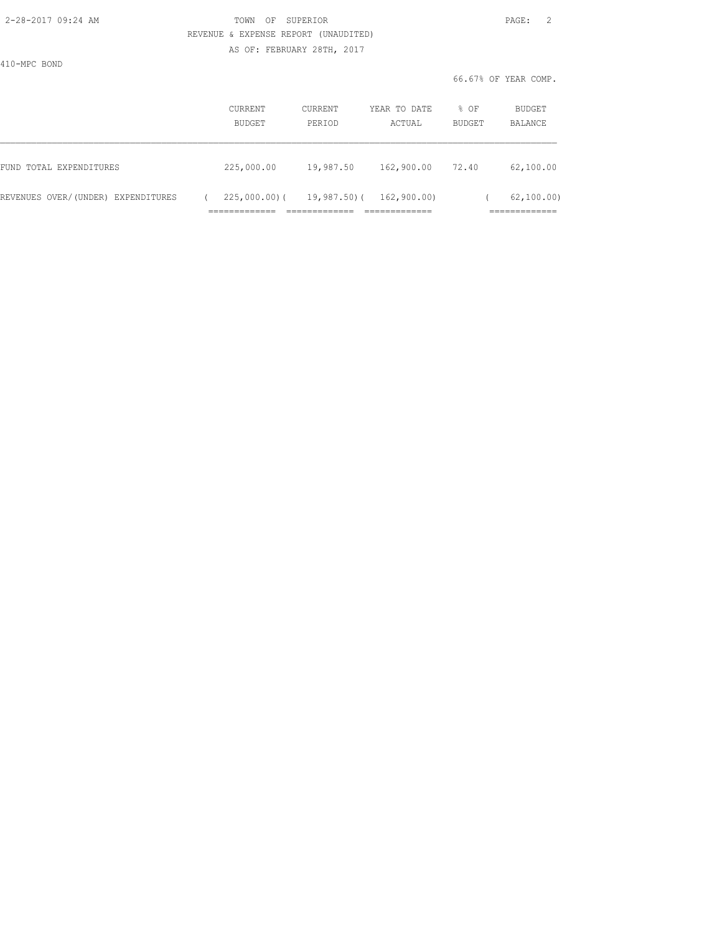### 2-28-2017 09:24 AM TOWN OF SUPERIOR PAGE: 2 REVENUE & EXPENSE REPORT (UNAUDITED) AS OF: FEBRUARY 28TH, 2017

410-MPC BOND

| 19,987.50       | 162,900.00  | 72.40       | 62,100.00    |
|-----------------|-------------|-------------|--------------|
| $225,000.00)$ ( | 162,900.00) |             | 62, 100, 00) |
|                 |             | 19,987.50)( |              |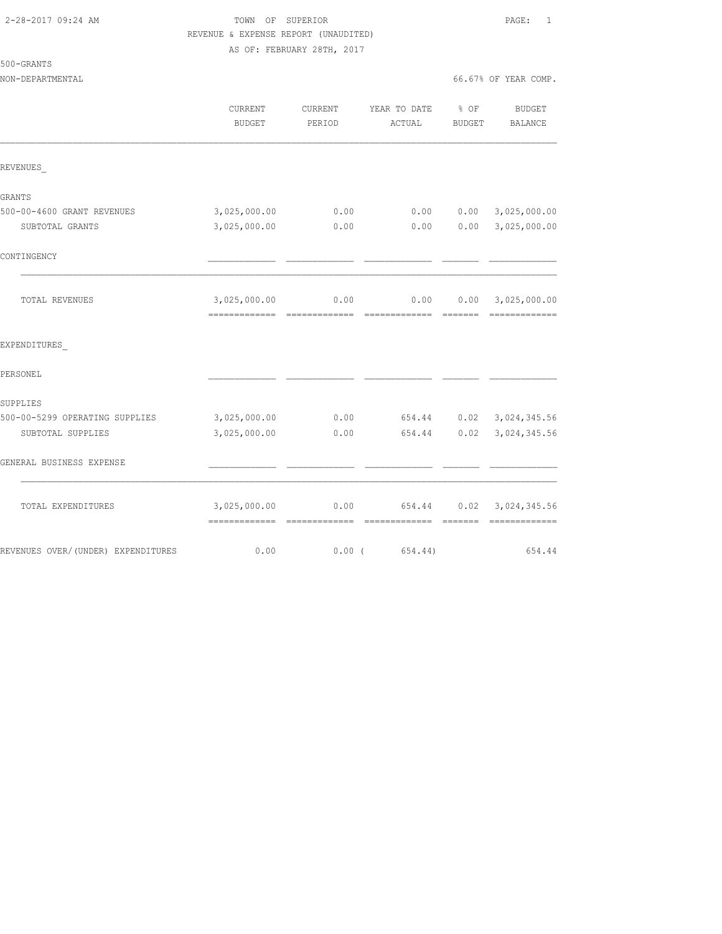### 2-28-2017 09:24 AM TOWN OF SUPERIOR PAGE: 1 REVENUE & EXPENSE REPORT (UNAUDITED) AS OF: FEBRUARY 28TH, 2017

## 500-GRANTS

|                                     | CURRENT<br><b>BUDGET</b> | CURRENT<br>PERIOD | YEAR TO DATE<br>ACTUAL | $\div$ OF<br><b>BUDGET</b> | <b>BUDGET</b><br>BALANCE                                                                                                                                                                                                                                                                                                                                                                                                                                                                               |
|-------------------------------------|--------------------------|-------------------|------------------------|----------------------------|--------------------------------------------------------------------------------------------------------------------------------------------------------------------------------------------------------------------------------------------------------------------------------------------------------------------------------------------------------------------------------------------------------------------------------------------------------------------------------------------------------|
| REVENUES                            |                          |                   |                        |                            |                                                                                                                                                                                                                                                                                                                                                                                                                                                                                                        |
| GRANTS                              |                          |                   |                        |                            |                                                                                                                                                                                                                                                                                                                                                                                                                                                                                                        |
| 500-00-4600 GRANT REVENUES          | 3,025,000.00             | 0.00              | 0.00                   | 0.00                       | 3,025,000.00                                                                                                                                                                                                                                                                                                                                                                                                                                                                                           |
| SUBTOTAL GRANTS                     | 3,025,000.00             | 0.00              | 0.00                   | 0.00                       | 3,025,000.00                                                                                                                                                                                                                                                                                                                                                                                                                                                                                           |
| CONTINGENCY                         |                          |                   |                        |                            |                                                                                                                                                                                                                                                                                                                                                                                                                                                                                                        |
| TOTAL REVENUES                      | 3,025,000.00             | 0.00              | 0.00                   | 0.00                       | 3,025,000.00<br>$\begin{array}{cccccccccccccc} \multicolumn{2}{c}{} & \multicolumn{2}{c}{} & \multicolumn{2}{c}{} & \multicolumn{2}{c}{} & \multicolumn{2}{c}{} & \multicolumn{2}{c}{} & \multicolumn{2}{c}{} & \multicolumn{2}{c}{} & \multicolumn{2}{c}{} & \multicolumn{2}{c}{} & \multicolumn{2}{c}{} & \multicolumn{2}{c}{} & \multicolumn{2}{c}{} & \multicolumn{2}{c}{} & \multicolumn{2}{c}{} & \multicolumn{2}{c}{} & \multicolumn{2}{c}{} & \multicolumn{2}{c}{} & \multicolumn{2}{c}{} & \$ |
| EXPENDITURES                        |                          |                   |                        |                            |                                                                                                                                                                                                                                                                                                                                                                                                                                                                                                        |
| PERSONEL                            |                          |                   |                        |                            |                                                                                                                                                                                                                                                                                                                                                                                                                                                                                                        |
| SUPPLIES                            |                          |                   |                        |                            |                                                                                                                                                                                                                                                                                                                                                                                                                                                                                                        |
| 500-00-5299 OPERATING SUPPLIES      | 3,025,000.00             | 0.00              | 654.44                 |                            | $0.02$ 3, 024, 345.56                                                                                                                                                                                                                                                                                                                                                                                                                                                                                  |
| SUBTOTAL SUPPLIES                   | 3,025,000.00             | 0.00              | 654.44                 | 0.02                       | 3,024,345.56                                                                                                                                                                                                                                                                                                                                                                                                                                                                                           |
| GENERAL BUSINESS EXPENSE            |                          |                   |                        |                            |                                                                                                                                                                                                                                                                                                                                                                                                                                                                                                        |
| TOTAL EXPENDITURES                  | 3,025,000.00             | 0.00              | 654.44                 | 0.02                       | 3,024,345.56<br>$\begin{array}{cccccccccccccc} \multicolumn{2}{c}{} & \multicolumn{2}{c}{} & \multicolumn{2}{c}{} & \multicolumn{2}{c}{} & \multicolumn{2}{c}{} & \multicolumn{2}{c}{} & \multicolumn{2}{c}{} & \multicolumn{2}{c}{} & \multicolumn{2}{c}{} & \multicolumn{2}{c}{} & \multicolumn{2}{c}{} & \multicolumn{2}{c}{} & \multicolumn{2}{c}{} & \multicolumn{2}{c}{} & \multicolumn{2}{c}{} & \multicolumn{2}{c}{} & \multicolumn{2}{c}{} & \multicolumn{2}{c}{} & \multicolumn{2}{c}{} & \$ |
| REVENUES OVER/ (UNDER) EXPENDITURES | 0.00                     | $0.00$ (          | 654.44)                |                            | 654.44                                                                                                                                                                                                                                                                                                                                                                                                                                                                                                 |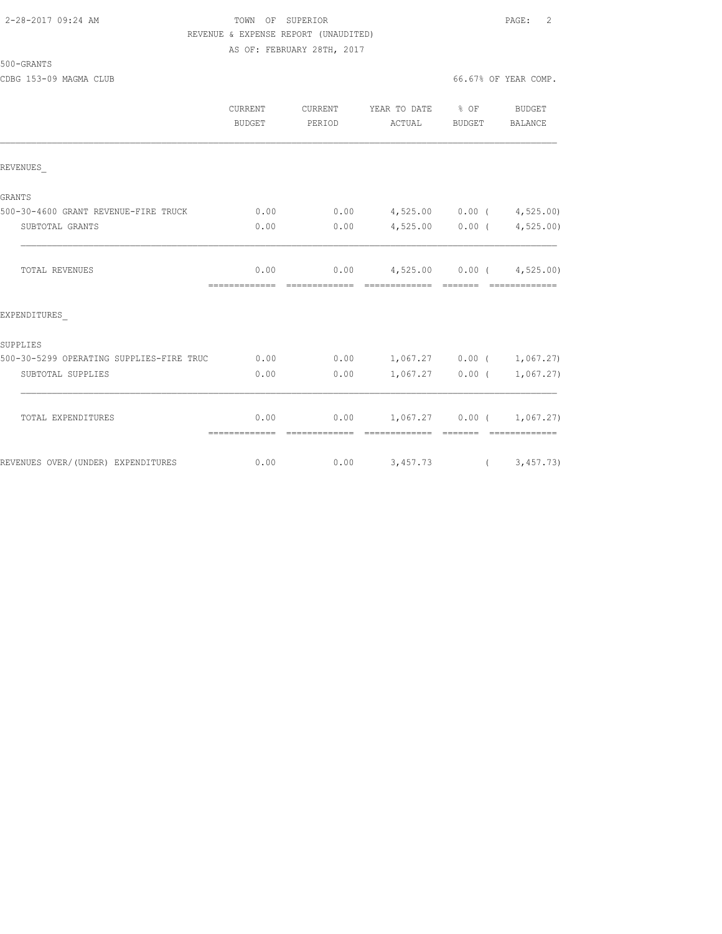#### 2-28-2017 09:24 AM TOWN OF SUPERIOR PAGE: 2 REVENUE & EXPENSE REPORT (UNAUDITED) AS OF: FEBRUARY 28TH, 2017

500-GRANTS

|                                          | <b>CURRENT</b><br>BUDGET | CURRENT<br>PERIOD | YEAR TO DATE % OF<br>ACTUAL                       | BUDGET      | BUDGET<br>BALANCE              |
|------------------------------------------|--------------------------|-------------------|---------------------------------------------------|-------------|--------------------------------|
| REVENUES                                 |                          |                   |                                                   |             |                                |
| GRANTS                                   |                          |                   |                                                   |             |                                |
| 500-30-4600 GRANT REVENUE-FIRE TRUCK     | 0.00                     |                   | $0.00$ 4,525.00 0.00 ( 4,525.00)                  |             |                                |
| SUBTOTAL GRANTS                          | 0.00                     | 0.00              |                                                   |             | $4,525.00$ 0.00 ( $4,525.00$ ) |
| <b>TOTAL REVENUES</b>                    | 0.00                     |                   | $0.00$ 4,525.00 0.00 ( 4,525.00)                  |             |                                |
| EXPENDITURES                             |                          |                   |                                                   |             |                                |
| SUPPLIES                                 |                          |                   |                                                   |             |                                |
| 500-30-5299 OPERATING SUPPLIES-FIRE TRUC | 0.00                     |                   | $0.00$ 1,067.27 0.00 ( 1,067.27)                  |             |                                |
| SUBTOTAL SUPPLIES                        | 0.00                     | 0.00              |                                                   |             | $1,067.27$ 0.00 ( 1,067.27)    |
| TOTAL EXPENDITURES                       | 0.00<br>=============    |                   | $0.00$ 1,067.27 0.00 ( 1,067.27)<br>------------- | $---------$ |                                |
| REVENUES OVER/(UNDER) EXPENDITURES       | 0.00                     |                   | $0.00$ $3,457.73$ ( $3,457.73$ )                  |             |                                |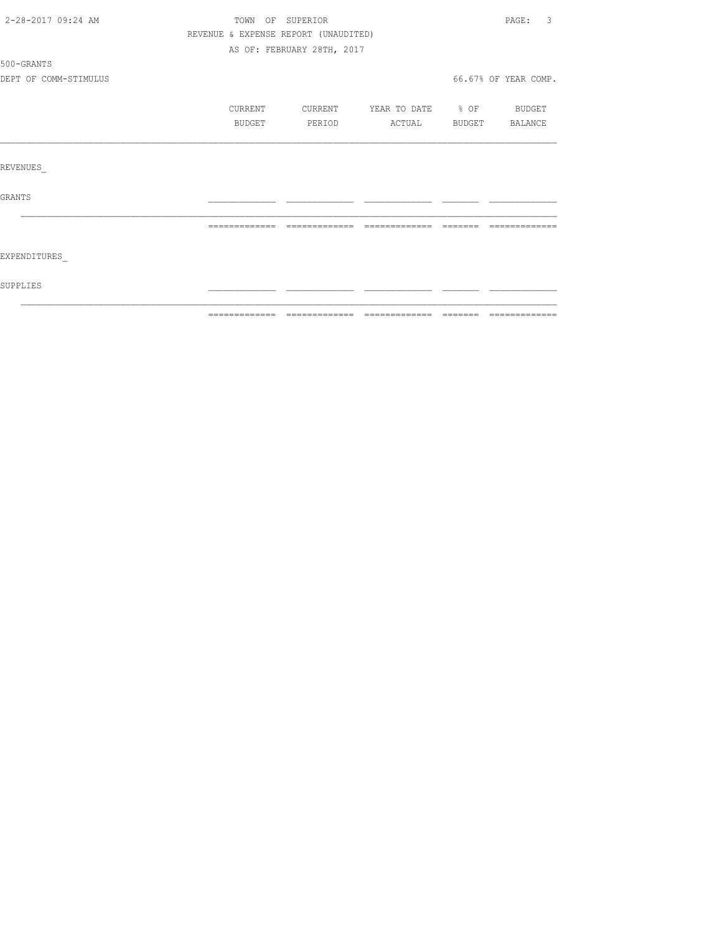| 2-28-2017 09:24 AM    | TOWN OF SUPERIOR                     |                            |                |                                                                                                                                                                                                                                                                                                                                                                                                                                                                                            | 3<br>PAGE:           |
|-----------------------|--------------------------------------|----------------------------|----------------|--------------------------------------------------------------------------------------------------------------------------------------------------------------------------------------------------------------------------------------------------------------------------------------------------------------------------------------------------------------------------------------------------------------------------------------------------------------------------------------------|----------------------|
|                       | REVENUE & EXPENSE REPORT (UNAUDITED) |                            |                |                                                                                                                                                                                                                                                                                                                                                                                                                                                                                            |                      |
|                       |                                      | AS OF: FEBRUARY 28TH, 2017 |                |                                                                                                                                                                                                                                                                                                                                                                                                                                                                                            |                      |
| 500-GRANTS            |                                      |                            |                |                                                                                                                                                                                                                                                                                                                                                                                                                                                                                            |                      |
| DEPT OF COMM-STIMULUS |                                      |                            |                |                                                                                                                                                                                                                                                                                                                                                                                                                                                                                            | 66.67% OF YEAR COMP. |
|                       | CURRENT                              | CURRENT                    | YEAR TO DATE   | $\div$ OF                                                                                                                                                                                                                                                                                                                                                                                                                                                                                  | BUDGET               |
|                       | BUDGET                               | PERIOD                     | ACTUAL         | BUDGET                                                                                                                                                                                                                                                                                                                                                                                                                                                                                     | BALANCE              |
|                       |                                      |                            |                |                                                                                                                                                                                                                                                                                                                                                                                                                                                                                            |                      |
| REVENUES              |                                      |                            |                |                                                                                                                                                                                                                                                                                                                                                                                                                                                                                            |                      |
| <b>GRANTS</b>         |                                      |                            |                |                                                                                                                                                                                                                                                                                                                                                                                                                                                                                            |                      |
|                       | -------------                        | -------------              | -------------- | $\qquad \qquad \qquad =\qquad \qquad =\qquad \qquad =\qquad \qquad =\qquad \qquad =\qquad \qquad =\qquad \qquad =\qquad \qquad =\qquad \qquad =\qquad \qquad =\qquad \qquad =\qquad \qquad =\qquad \qquad =\qquad \qquad =\qquad \qquad =\qquad \qquad =\qquad \qquad =\qquad \qquad =\qquad \qquad =\qquad \qquad =\qquad \qquad =\qquad \qquad =\qquad \qquad =\qquad \qquad =\qquad \qquad =\qquad \qquad =\qquad \qquad =\qquad \qquad =\qquad \qquad =\qquad \qquad =\qquad \qquad =$ | ----------           |
| EXPENDITURES          |                                      |                            |                |                                                                                                                                                                                                                                                                                                                                                                                                                                                                                            |                      |
| SUPPLIES              |                                      |                            |                |                                                                                                                                                                                                                                                                                                                                                                                                                                                                                            |                      |
|                       |                                      |                            |                |                                                                                                                                                                                                                                                                                                                                                                                                                                                                                            |                      |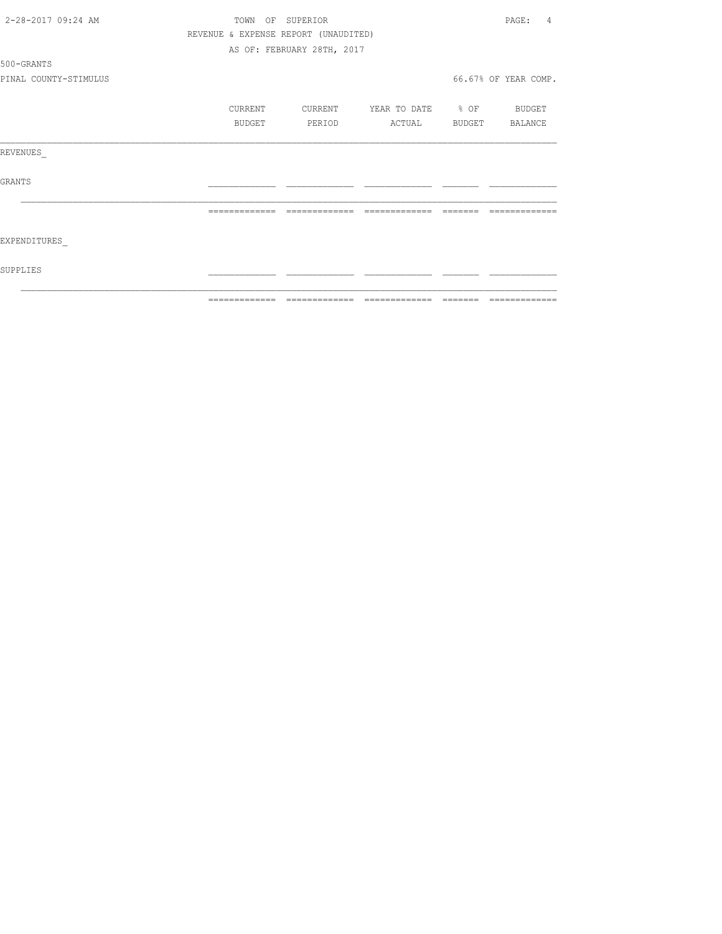| 2-28-2017 09:24 AM    | TOWN                                 | OF SUPERIOR                |                   | PAGE:<br>4           |
|-----------------------|--------------------------------------|----------------------------|-------------------|----------------------|
|                       | REVENUE & EXPENSE REPORT (UNAUDITED) |                            |                   |                      |
|                       |                                      | AS OF: FEBRUARY 28TH, 2017 |                   |                      |
| 500-GRANTS            |                                      |                            |                   |                      |
| PINAL COUNTY-STIMULUS |                                      |                            |                   | 66.67% OF YEAR COMP. |
|                       | CURRENT                              | CURRENT                    | YEAR TO DATE % OF | BUDGET               |
|                       | BUDGET                               | PERIOD                     | ACTUAL            | BUDGET BALANCE       |
| REVENUES              |                                      |                            |                   |                      |
| GRANTS                |                                      |                            |                   |                      |
|                       |                                      | -------------              | -------------     |                      |
| EXPENDITURES          |                                      |                            |                   |                      |
| SUPPLIES              |                                      |                            |                   |                      |
|                       |                                      |                            |                   |                      |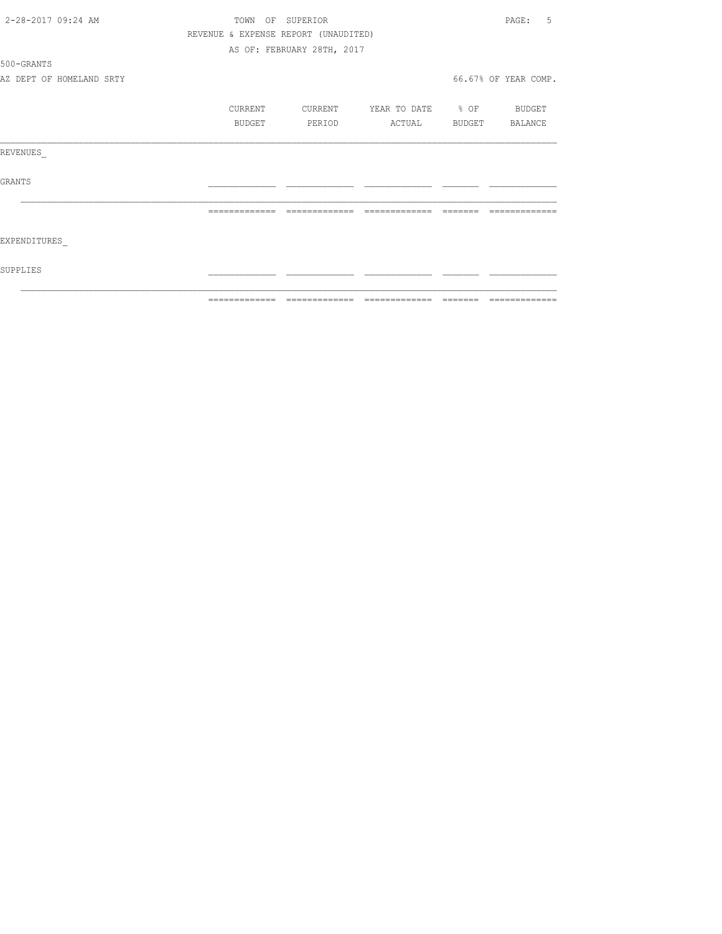| 2-28-2017 09:24 AM       | TOWN                                 | OF SUPERIOR                |                          |                | .5<br>PAGE:          |
|--------------------------|--------------------------------------|----------------------------|--------------------------|----------------|----------------------|
|                          | REVENUE & EXPENSE REPORT (UNAUDITED) |                            |                          |                |                      |
|                          |                                      | AS OF: FEBRUARY 28TH, 2017 |                          |                |                      |
| 500-GRANTS               |                                      |                            |                          |                |                      |
| AZ DEPT OF HOMELAND SRTY |                                      |                            |                          |                | 66.67% OF YEAR COMP. |
|                          | CURRENT                              | CURRENT                    | YEAR TO DATE % OF BUDGET |                |                      |
|                          | BUDGET                               | PERIOD                     | ACTUAL                   | BUDGET BALANCE |                      |
| REVENUES                 |                                      |                            |                          |                |                      |
| GRANTS                   |                                      |                            |                          |                |                      |
|                          | =============                        | =============              | =============            |                |                      |
| EXPENDITURES             |                                      |                            |                          |                |                      |
| SUPPLIES                 |                                      |                            |                          |                |                      |
|                          | -------------                        | -------------              | --------------           | --------       | -------------        |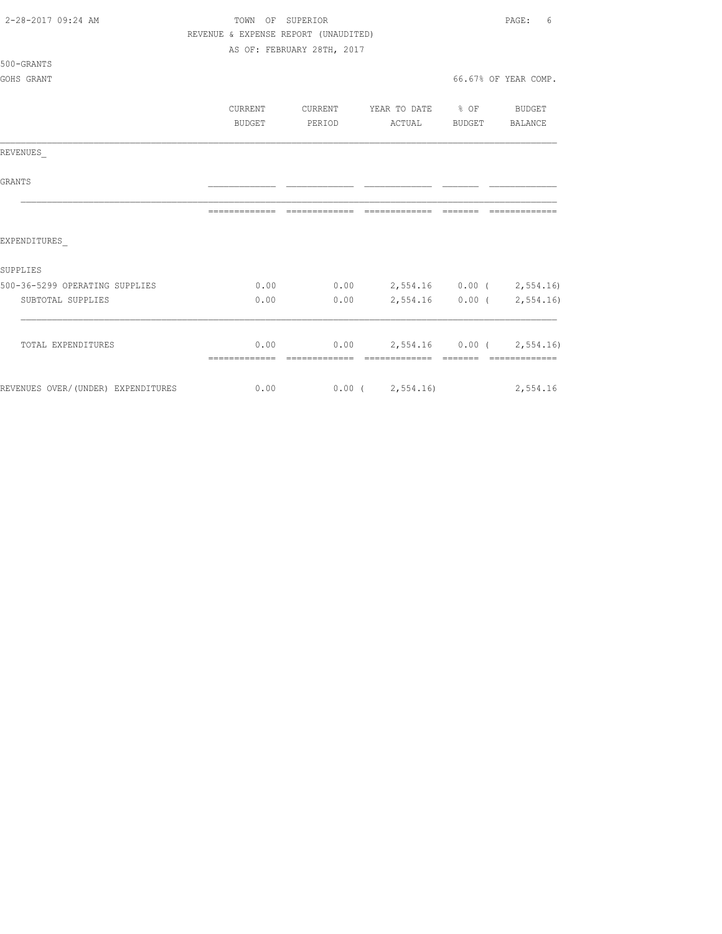| 2-28-2017 09:24 AM                 | TOWN OF SUPERIOR                     |                                       |                                  | PAGE:<br>6           |
|------------------------------------|--------------------------------------|---------------------------------------|----------------------------------|----------------------|
|                                    | REVENUE & EXPENSE REPORT (UNAUDITED) |                                       |                                  |                      |
|                                    |                                      | AS OF: FEBRUARY 28TH, 2017            |                                  |                      |
| 500-GRANTS                         |                                      |                                       |                                  |                      |
| GOHS GRANT                         |                                      |                                       |                                  | 66.67% OF YEAR COMP. |
|                                    | CURRENT                              | CURRENT                               | YEAR TO DATE % OF BUDGET         |                      |
|                                    | <b>BUDGET</b>                        | PERIOD                                | ACTUAL BUDGET BALANCE            |                      |
|                                    |                                      |                                       |                                  |                      |
| REVENUES                           |                                      |                                       |                                  |                      |
| GRANTS                             |                                      |                                       |                                  |                      |
|                                    |                                      |                                       |                                  | -------------        |
| EXPENDITURES                       |                                      |                                       |                                  |                      |
| SUPPLIES                           |                                      |                                       |                                  |                      |
| 500-36-5299 OPERATING SUPPLIES     | 0.00                                 | $0.00$ $2,554.16$ $0.00$ $(2,554.16)$ |                                  |                      |
| SUBTOTAL SUPPLIES                  | 0.00                                 | 0.00                                  | 2,554.16 0.00 (2,554.16)         |                      |
| TOTAL EXPENDITURES                 |                                      | 0.00                                  | $0.00$ 2,554.16 0.00 ( 2,554.16) |                      |
|                                    |                                      |                                       |                                  |                      |
| REVENUES OVER/(UNDER) EXPENDITURES | 0.00                                 | $0.00$ ( $2,554.16$ ) 2,554.16        |                                  |                      |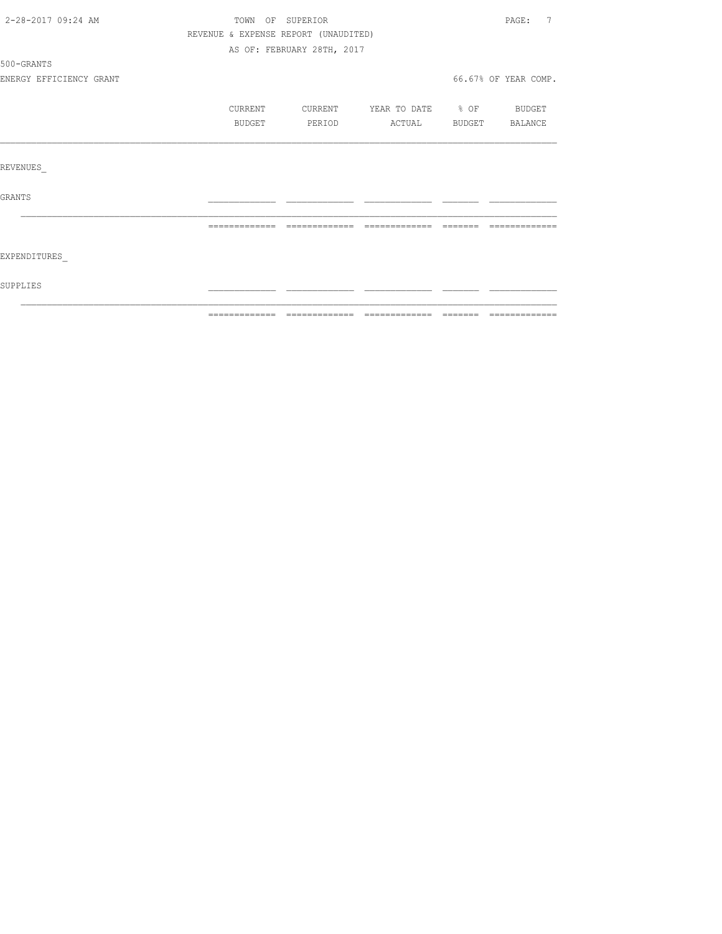| 2-28-2017 09:24 AM      | TOWN OF SUPERIOR                     |                            |                   |          | 7<br>PAGE:           |  |
|-------------------------|--------------------------------------|----------------------------|-------------------|----------|----------------------|--|
|                         | REVENUE & EXPENSE REPORT (UNAUDITED) |                            |                   |          |                      |  |
|                         |                                      | AS OF: FEBRUARY 28TH, 2017 |                   |          |                      |  |
| 500-GRANTS              |                                      |                            |                   |          |                      |  |
| ENERGY EFFICIENCY GRANT |                                      |                            |                   |          | 66.67% OF YEAR COMP. |  |
|                         | CURRENT                              | CURRENT                    | YEAR TO DATE % OF |          | BUDGET               |  |
|                         | BUDGET                               | PERIOD                     | ACTUAL            | BUDGET   | BALANCE              |  |
|                         |                                      |                            |                   |          |                      |  |
| REVENUES                |                                      |                            |                   |          |                      |  |
| GRANTS                  |                                      |                            |                   |          |                      |  |
|                         | =============                        | =============              | ______________    | -------- | --------------       |  |
|                         |                                      |                            |                   |          |                      |  |
| EXPENDITURES            |                                      |                            |                   |          |                      |  |
| SUPPLIES                |                                      |                            |                   |          |                      |  |
|                         |                                      |                            |                   |          |                      |  |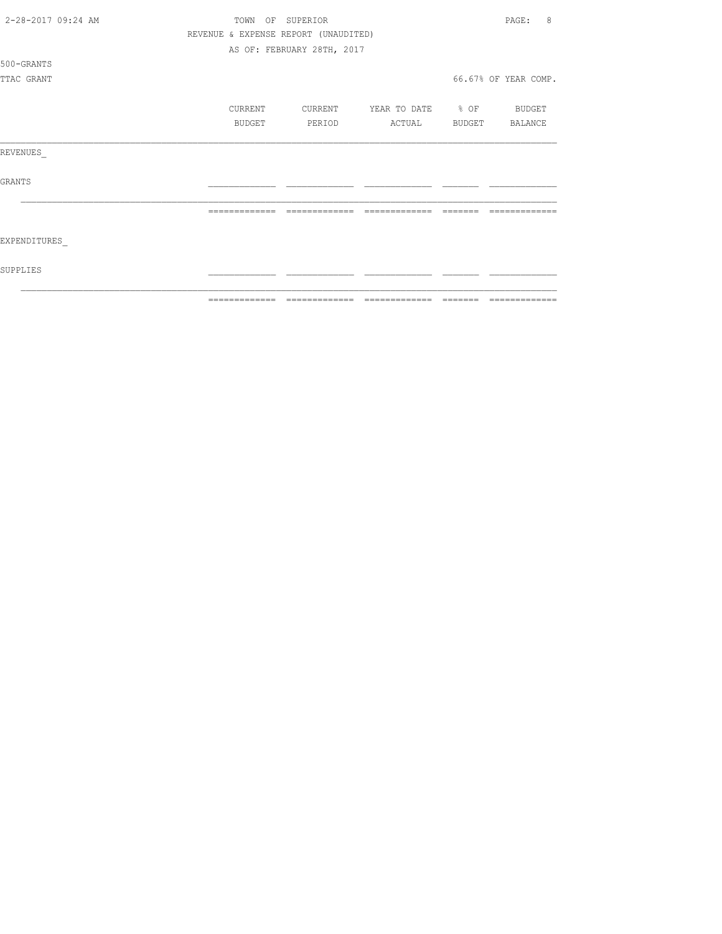| 2-28-2017 09:24 AM | TOWN OF SUPERIOR |                                      |                                                          |        | 8<br>PAGE:           |
|--------------------|------------------|--------------------------------------|----------------------------------------------------------|--------|----------------------|
|                    |                  | REVENUE & EXPENSE REPORT (UNAUDITED) |                                                          |        |                      |
|                    |                  | AS OF: FEBRUARY 28TH, 2017           |                                                          |        |                      |
| 500-GRANTS         |                  |                                      |                                                          |        |                      |
| TTAC GRANT         |                  |                                      |                                                          |        | 66.67% OF YEAR COMP. |
|                    |                  |                                      |                                                          |        |                      |
|                    | CURRENT          | CURRENT                              | YEAR TO DATE % OF BUDGET                                 |        |                      |
|                    | <b>BUDGET</b>    | PERIOD                               | ACTUAL                                                   | BUDGET | BALANCE              |
|                    |                  |                                      |                                                          |        |                      |
| REVENUES           |                  |                                      |                                                          |        |                      |
|                    |                  |                                      |                                                          |        |                      |
| <b>GRANTS</b>      |                  |                                      |                                                          |        |                      |
|                    |                  |                                      |                                                          |        |                      |
|                    |                  |                                      |                                                          |        |                      |
|                    |                  |                                      |                                                          |        |                      |
| EXPENDITURES       |                  |                                      |                                                          |        |                      |
|                    |                  |                                      |                                                          |        |                      |
| SUPPLIES           |                  |                                      |                                                          |        |                      |
|                    |                  |                                      |                                                          |        |                      |
|                    | =============    | ======                               | $\qquad \qquad = \qquad \qquad = \qquad \qquad = \qquad$ |        | ======               |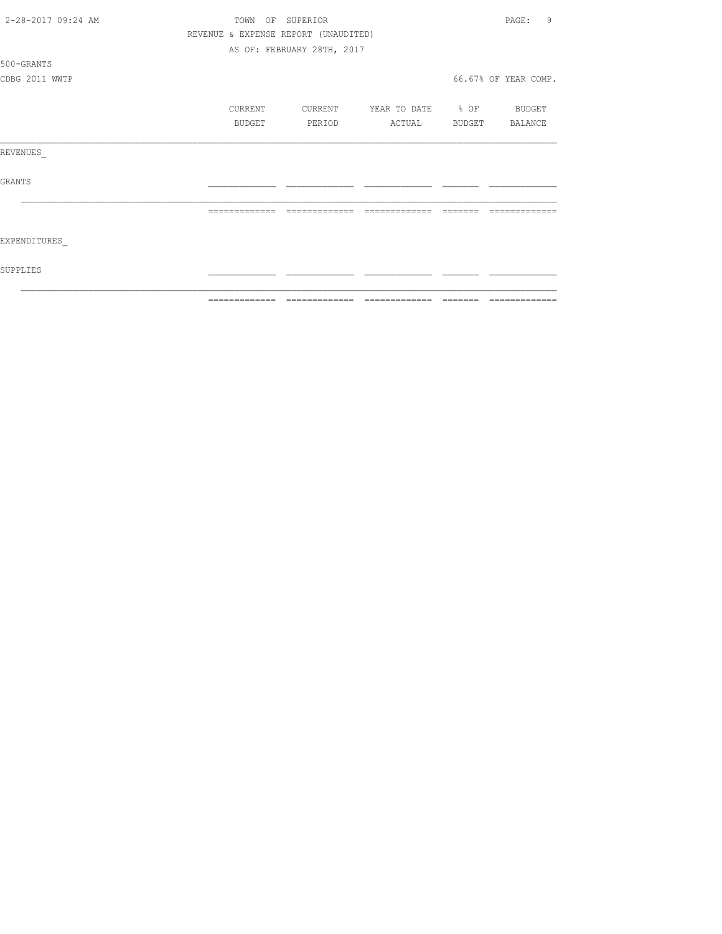| 2-28-2017 09:24 AM | TOWN OF SUPERIOR |                                      |                       |          | 9<br>PAGE:           |
|--------------------|------------------|--------------------------------------|-----------------------|----------|----------------------|
|                    |                  | REVENUE & EXPENSE REPORT (UNAUDITED) |                       |          |                      |
|                    |                  | AS OF: FEBRUARY 28TH, 2017           |                       |          |                      |
| 500-GRANTS         |                  |                                      |                       |          |                      |
| CDBG 2011 WWTP     |                  |                                      |                       |          | 66.67% OF YEAR COMP. |
|                    | CURRENT          | CURRENT                              | YEAR TO DATE % OF     |          | BUDGET               |
|                    | BUDGET           | PERIOD                               | ACTUAL BUDGET BALANCE |          |                      |
| REVENUES           |                  |                                      |                       |          |                      |
| GRANTS             |                  |                                      |                       |          |                      |
|                    | =============    | =============                        | =============         |          |                      |
| EXPENDITURES       |                  |                                      |                       |          |                      |
| SUPPLIES           |                  |                                      |                       |          |                      |
|                    | --------------   |                                      |                       | -------- |                      |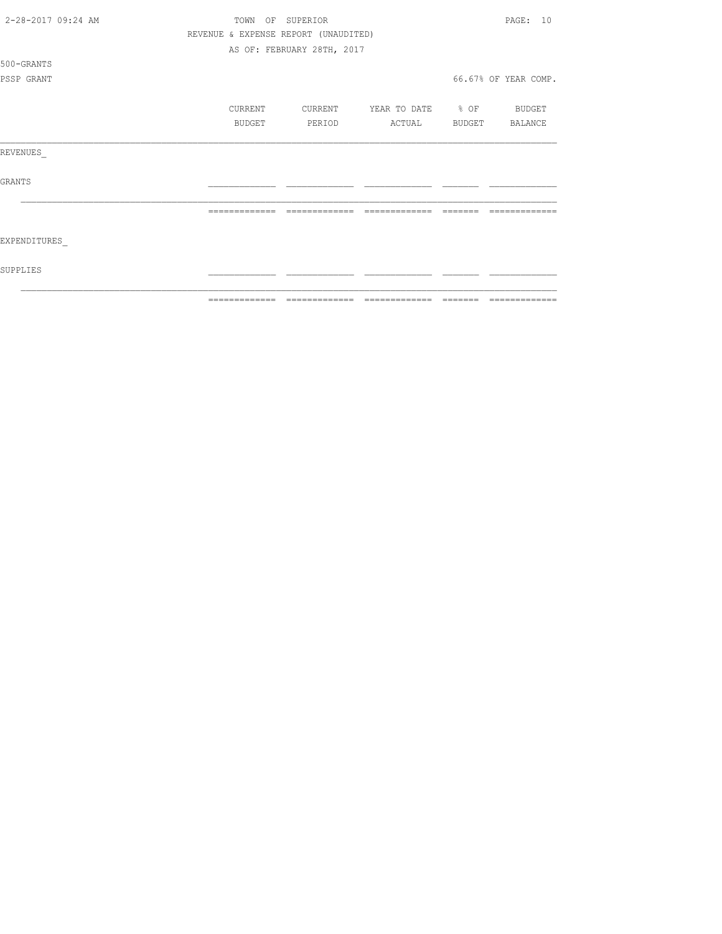|                    | ============= | ======                               | $\qquad \qquad = \qquad \qquad = \qquad \qquad = \qquad \qquad = \qquad \qquad = \qquad \qquad = \qquad \qquad = \qquad \qquad = \qquad \qquad = \qquad \qquad = \qquad \qquad = \qquad \qquad = \qquad \qquad = \qquad \qquad = \qquad \qquad = \qquad \qquad = \qquad \qquad = \qquad \qquad = \qquad \qquad = \qquad \qquad = \qquad \qquad = \qquad \qquad = \qquad \qquad = \qquad \qquad = \qquad \qquad = \qquad \qquad = \qquad \qquad = \qquad \qquad = \qquad \qquad = \qquad \qquad = \qquad \qquad = \qquad$ |        |                      |
|--------------------|---------------|--------------------------------------|--------------------------------------------------------------------------------------------------------------------------------------------------------------------------------------------------------------------------------------------------------------------------------------------------------------------------------------------------------------------------------------------------------------------------------------------------------------------------------------------------------------------------|--------|----------------------|
| SUPPLIES           |               |                                      |                                                                                                                                                                                                                                                                                                                                                                                                                                                                                                                          |        |                      |
| EXPENDITURES       |               |                                      |                                                                                                                                                                                                                                                                                                                                                                                                                                                                                                                          |        |                      |
|                    |               |                                      |                                                                                                                                                                                                                                                                                                                                                                                                                                                                                                                          |        |                      |
| <b>GRANTS</b>      |               |                                      |                                                                                                                                                                                                                                                                                                                                                                                                                                                                                                                          |        |                      |
| REVENUES           |               |                                      |                                                                                                                                                                                                                                                                                                                                                                                                                                                                                                                          |        |                      |
|                    | BUDGET        | PERIOD                               | ACTUAL                                                                                                                                                                                                                                                                                                                                                                                                                                                                                                                   | BUDGET | BALANCE              |
|                    | CURRENT       | CURRENT                              | YEAR TO DATE % OF                                                                                                                                                                                                                                                                                                                                                                                                                                                                                                        |        | BUDGET               |
| PSSP GRANT         |               |                                      |                                                                                                                                                                                                                                                                                                                                                                                                                                                                                                                          |        | 66.67% OF YEAR COMP. |
| 500-GRANTS         |               |                                      |                                                                                                                                                                                                                                                                                                                                                                                                                                                                                                                          |        |                      |
|                    |               | AS OF: FEBRUARY 28TH, 2017           |                                                                                                                                                                                                                                                                                                                                                                                                                                                                                                                          |        |                      |
|                    |               | REVENUE & EXPENSE REPORT (UNAUDITED) |                                                                                                                                                                                                                                                                                                                                                                                                                                                                                                                          |        |                      |
| 2-28-2017 09:24 AM | TOWN          | OF SUPERIOR                          |                                                                                                                                                                                                                                                                                                                                                                                                                                                                                                                          |        | PAGF: 10             |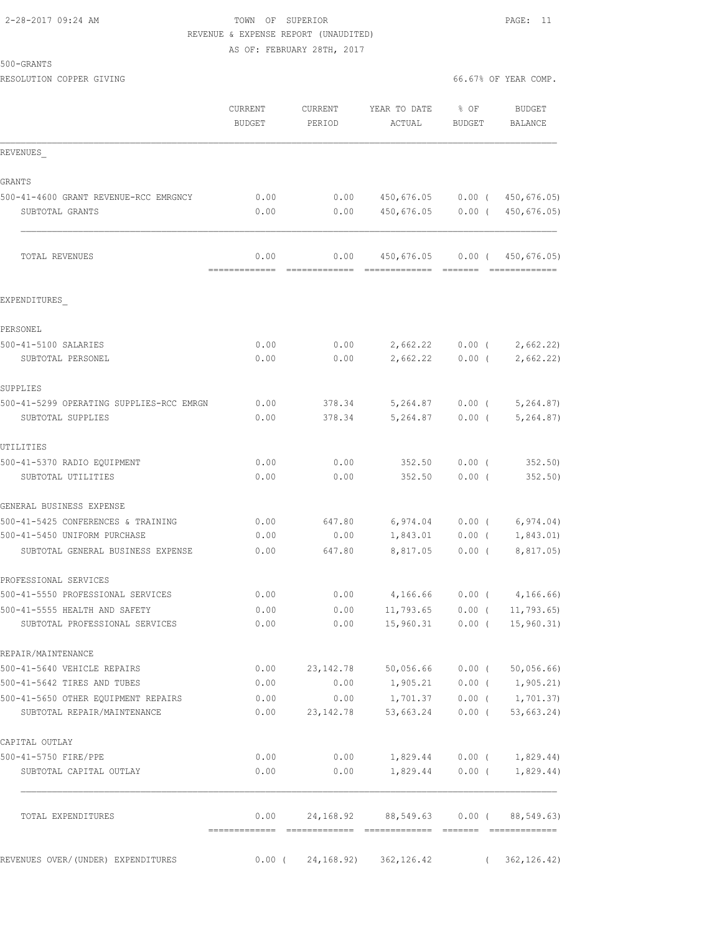# 2-28-2017 09:24 AM TOWN OF SUPERIOR PAGE: 11 REVENUE & EXPENSE REPORT (UNAUDITED)

AS OF: FEBRUARY 28TH, 2017

| 500-GRANTS |  |
|------------|--|
|------------|--|

| RESOLUTION COPPER GIVING                                           |                          |                     |                                      |                       | 66.67% OF YEAR COMP.            |
|--------------------------------------------------------------------|--------------------------|---------------------|--------------------------------------|-----------------------|---------------------------------|
|                                                                    | CURRENT<br><b>BUDGET</b> | CURRENT<br>PERIOD   | YEAR TO DATE<br>ACTUAL               | % OF<br><b>BUDGET</b> | <b>BUDGET</b><br><b>BALANCE</b> |
| REVENUES                                                           |                          |                     |                                      |                       |                                 |
| GRANTS                                                             |                          |                     |                                      |                       |                                 |
| 500-41-4600 GRANT REVENUE-RCC EMRGNCY                              | 0.00                     | 0.00                |                                      |                       | 450,676.05 0.00 (450,676.05)    |
| SUBTOTAL GRANTS                                                    | 0.00                     | 0.00                |                                      |                       | 450,676.05 0.00 ( 450,676.05)   |
| TOTAL REVENUES                                                     | 0.00<br>-------------    | 0.00                | 450,676.05 0.00 (450,676.05)         |                       | --------------                  |
| EXPENDITURES                                                       |                          |                     |                                      |                       |                                 |
| PERSONEL                                                           |                          |                     |                                      |                       |                                 |
| 500-41-5100 SALARIES                                               | 0.00                     | 0.00                | $2,662.22$ 0.00 (                    |                       | 2,662.22)                       |
| SUBTOTAL PERSONEL                                                  | 0.00                     | 0.00                | 2,662.22                             | $0.00$ (              | 2,662.22)                       |
| SUPPLIES                                                           |                          |                     |                                      |                       |                                 |
| 500-41-5299 OPERATING SUPPLIES-RCC EMRGN                           | 0.00                     | 378.34              | 5,264.87 0.00 (                      |                       | 5,264.87)                       |
| SUBTOTAL SUPPLIES                                                  | 0.00                     | 378.34              | 5,264.87                             | $0.00$ (              | 5, 264.87                       |
| UTILITIES                                                          |                          |                     |                                      |                       |                                 |
| 500-41-5370 RADIO EQUIPMENT                                        | 0.00                     | 0.00                | 352.50                               | $0.00$ (              | 352.50                          |
| SUBTOTAL UTILITIES                                                 | 0.00                     | 0.00                | 352.50                               | 0.00(                 | 352.50)                         |
| GENERAL BUSINESS EXPENSE                                           |                          |                     |                                      |                       |                                 |
| 500-41-5425 CONFERENCES & TRAINING                                 | 0.00                     | 647.80              | 6,974.04                             | $0.00$ (              | 6,974.04)                       |
| 500-41-5450 UNIFORM PURCHASE                                       | 0.00                     | 0.00                | 1,843.01                             | $0.00$ (              | 1,843.01)                       |
| SUBTOTAL GENERAL BUSINESS EXPENSE                                  | 0.00                     | 647.80              | 8,817.05                             | $0.00$ (              | 8,817.05)                       |
| PROFESSIONAL SERVICES                                              |                          |                     |                                      |                       |                                 |
| 500-41-5550 PROFESSIONAL SERVICES                                  | 0.00                     | 0.00                | 4,166.66                             | $0.00$ (              | 4, 166.66)                      |
| 500-41-5555 HEALTH AND SAFETY                                      | 0.00                     | 0.00                | $11,793.65$ 0.00 (                   |                       | 11,793.65                       |
| SUBTOTAL PROFESSIONAL SERVICES                                     | 0.00                     | 0.00                | $15,960.31$ 0.00 (                   |                       | 15,960.31)                      |
| REPAIR/MAINTENANCE                                                 |                          |                     |                                      |                       |                                 |
| 500-41-5640 VEHICLE REPAIRS                                        | 0.00                     | 23, 142. 78         | 50,056.66 0.00 (                     |                       | 50,056.66                       |
| 500-41-5642 TIRES AND TUBES                                        | 0.00                     | 0.00                |                                      |                       | $1,905.21$ 0.00 ( 1,905.21)     |
| 500-41-5650 OTHER EQUIPMENT REPAIRS<br>SUBTOTAL REPAIR/MAINTENANCE | 0.00<br>0.00             | 0.00<br>23, 142. 78 | 1,701.37<br>53,663.24                | $0.00$ (<br>$0.00$ (  | 1,701.37)<br>53,663.24)         |
| CAPITAL OUTLAY                                                     |                          |                     |                                      |                       |                                 |
| 500-41-5750 FIRE/PPE                                               | 0.00                     | 0.00                |                                      |                       | $1,829.44$ 0.00 ( 1,829.44)     |
| SUBTOTAL CAPITAL OUTLAY                                            | 0.00                     | 0.00                |                                      |                       | $1,829.44$ 0.00 ( 1,829.44)     |
| TOTAL EXPENDITURES                                                 | 0.00                     |                     | 24,168.92 88,549.63 0.00 (88,549.63) |                       |                                 |
|                                                                    |                          |                     |                                      |                       |                                 |
| REVENUES OVER/(UNDER) EXPENDITURES                                 | $0.00$ (                 | 24,168.92)          | 362, 126.42                          |                       | 362, 126.42)<br>$\left($        |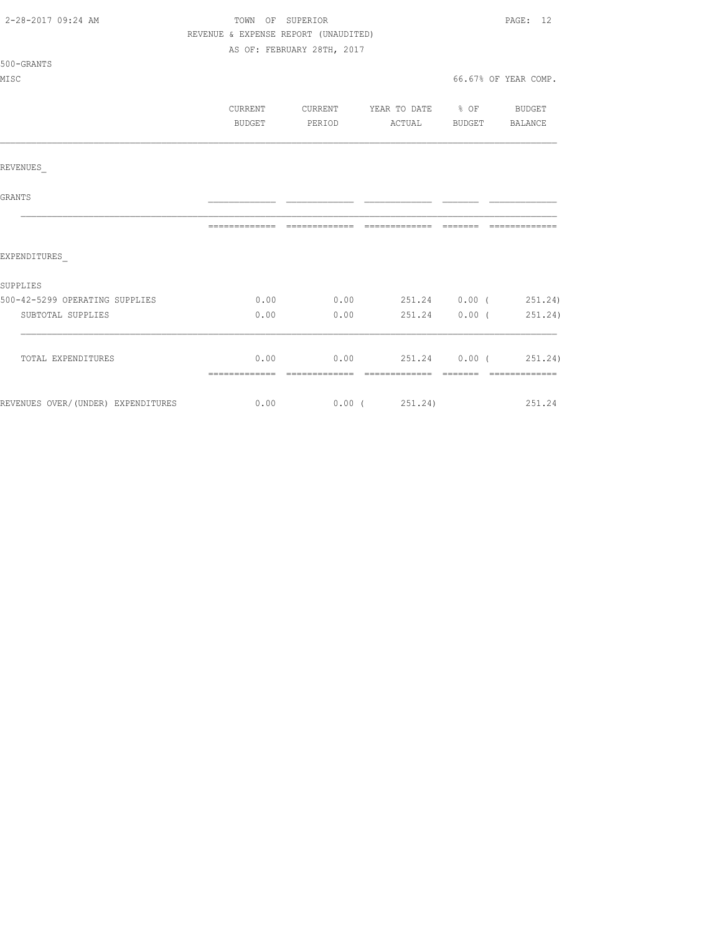| 2-28-2017 09:24 AM                 | TOWN OF SUPERIOR                     |                                          |                                |  | PAGE: 12             |  |  |
|------------------------------------|--------------------------------------|------------------------------------------|--------------------------------|--|----------------------|--|--|
|                                    | REVENUE & EXPENSE REPORT (UNAUDITED) |                                          |                                |  |                      |  |  |
|                                    |                                      | AS OF: FEBRUARY 28TH, 2017               |                                |  |                      |  |  |
| 500-GRANTS                         |                                      |                                          |                                |  |                      |  |  |
| MISC                               |                                      |                                          |                                |  | 66.67% OF YEAR COMP. |  |  |
|                                    |                                      |                                          |                                |  |                      |  |  |
|                                    | CURRENT                              | CURRENT YEAR TO DATE % OF BUDGET         |                                |  |                      |  |  |
|                                    | BUDGET                               | PERIOD                                   | ACTUAL BUDGET BALANCE          |  |                      |  |  |
|                                    |                                      |                                          |                                |  |                      |  |  |
| REVENUES                           |                                      |                                          |                                |  |                      |  |  |
| <b>GRANTS</b>                      |                                      |                                          |                                |  |                      |  |  |
|                                    |                                      |                                          |                                |  |                      |  |  |
| EXPENDITURES                       |                                      |                                          |                                |  |                      |  |  |
| SUPPLIES                           |                                      |                                          |                                |  |                      |  |  |
| 500-42-5299 OPERATING SUPPLIES     |                                      | $0.00$ $0.00$ $251.24$ $0.00$ $(251.24)$ |                                |  |                      |  |  |
| SUBTOTAL SUPPLIES                  | 0.00                                 |                                          | $0.00$ 251.24 $0.00$ ( 251.24) |  |                      |  |  |
| TOTAL EXPENDITURES                 |                                      | $0.00$ $0.00$ $251.24$ $0.00$ $251.24$   |                                |  |                      |  |  |
|                                    |                                      |                                          |                                |  |                      |  |  |
| REVENUES OVER/(UNDER) EXPENDITURES | $0.00$ $0.00$ $0.251.24$ $251.24$    |                                          |                                |  |                      |  |  |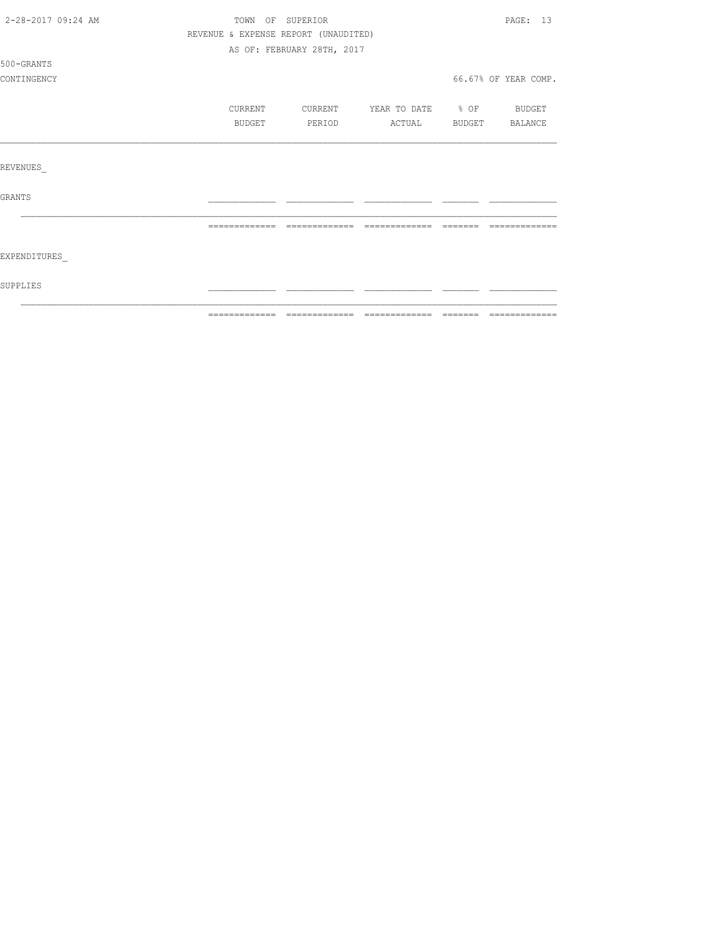| 2-28-2017 09:24 AM |               | TOWN OF SUPERIOR                     |                                                                                                                                                                                                                                                                                                                                                                                                                                                                                        |          | PAGE: 13             |
|--------------------|---------------|--------------------------------------|----------------------------------------------------------------------------------------------------------------------------------------------------------------------------------------------------------------------------------------------------------------------------------------------------------------------------------------------------------------------------------------------------------------------------------------------------------------------------------------|----------|----------------------|
|                    |               | REVENUE & EXPENSE REPORT (UNAUDITED) |                                                                                                                                                                                                                                                                                                                                                                                                                                                                                        |          |                      |
|                    |               | AS OF: FEBRUARY 28TH, 2017           |                                                                                                                                                                                                                                                                                                                                                                                                                                                                                        |          |                      |
| 500-GRANTS         |               |                                      |                                                                                                                                                                                                                                                                                                                                                                                                                                                                                        |          |                      |
| CONTINGENCY        |               |                                      |                                                                                                                                                                                                                                                                                                                                                                                                                                                                                        |          | 66.67% OF YEAR COMP. |
|                    | CURRENT       | CURRENT                              | YEAR TO DATE % OF                                                                                                                                                                                                                                                                                                                                                                                                                                                                      |          | <b>BUDGET</b>        |
|                    | BUDGET        | PERIOD                               | ACTUAL                                                                                                                                                                                                                                                                                                                                                                                                                                                                                 |          | BUDGET BALANCE       |
|                    |               |                                      |                                                                                                                                                                                                                                                                                                                                                                                                                                                                                        |          |                      |
| REVENUES           |               |                                      |                                                                                                                                                                                                                                                                                                                                                                                                                                                                                        |          |                      |
| GRANTS             |               |                                      |                                                                                                                                                                                                                                                                                                                                                                                                                                                                                        |          |                      |
|                    | ============= | -------------                        | $\begin{array}{cccccccccc} \multicolumn{2}{c}{} & \multicolumn{2}{c}{} & \multicolumn{2}{c}{} & \multicolumn{2}{c}{} & \multicolumn{2}{c}{} & \multicolumn{2}{c}{} & \multicolumn{2}{c}{} & \multicolumn{2}{c}{} & \multicolumn{2}{c}{} & \multicolumn{2}{c}{} & \multicolumn{2}{c}{} & \multicolumn{2}{c}{} & \multicolumn{2}{c}{} & \multicolumn{2}{c}{} & \multicolumn{2}{c}{} & \multicolumn{2}{c}{} & \multicolumn{2}{c}{} & \multicolumn{2}{c}{} & \multicolumn{2}{c}{} & \mult$ | -------- |                      |
| EXPENDITURES       |               |                                      |                                                                                                                                                                                                                                                                                                                                                                                                                                                                                        |          |                      |
| SUPPLIES           |               |                                      |                                                                                                                                                                                                                                                                                                                                                                                                                                                                                        |          |                      |
|                    |               |                                      |                                                                                                                                                                                                                                                                                                                                                                                                                                                                                        |          |                      |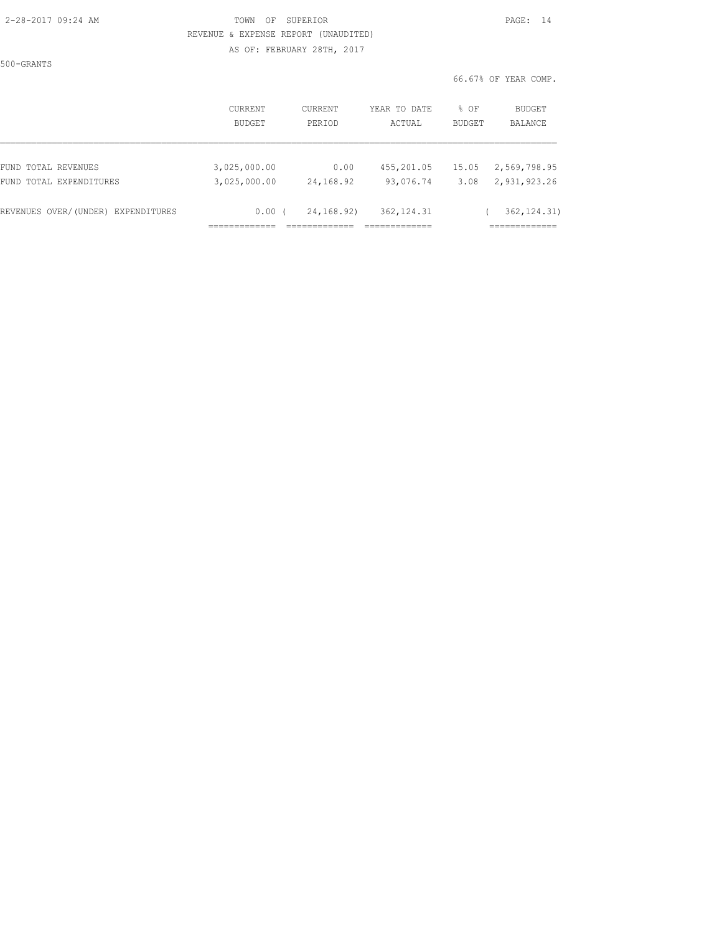#### 2-28-2017 09:24 AM TOWN OF SUPERIOR PAGE: 14 REVENUE & EXPENSE REPORT (UNAUDITED) AS OF: FEBRUARY 28TH, 2017

500-GRANTS

|                                    | <b>CURRENT</b> | CURRENT    | YEAR TO DATE | % OF          | BUDGET       |
|------------------------------------|----------------|------------|--------------|---------------|--------------|
|                                    | <b>BUDGET</b>  | PERIOD     | ACTUAL       | <b>BUDGET</b> | BALANCE      |
| FUND TOTAL REVENUES                | 3,025,000.00   | 0.00       | 455,201.05   | 15.05         | 2,569,798.95 |
| FUND TOTAL EXPENDITURES            | 3,025,000.00   | 24,168.92  | 93,076.74    | 3.08          | 2,931,923.26 |
| REVENUES OVER/(UNDER) EXPENDITURES | 0.00           | 24,168.92) | 362, 124.31  |               | 362, 124.31) |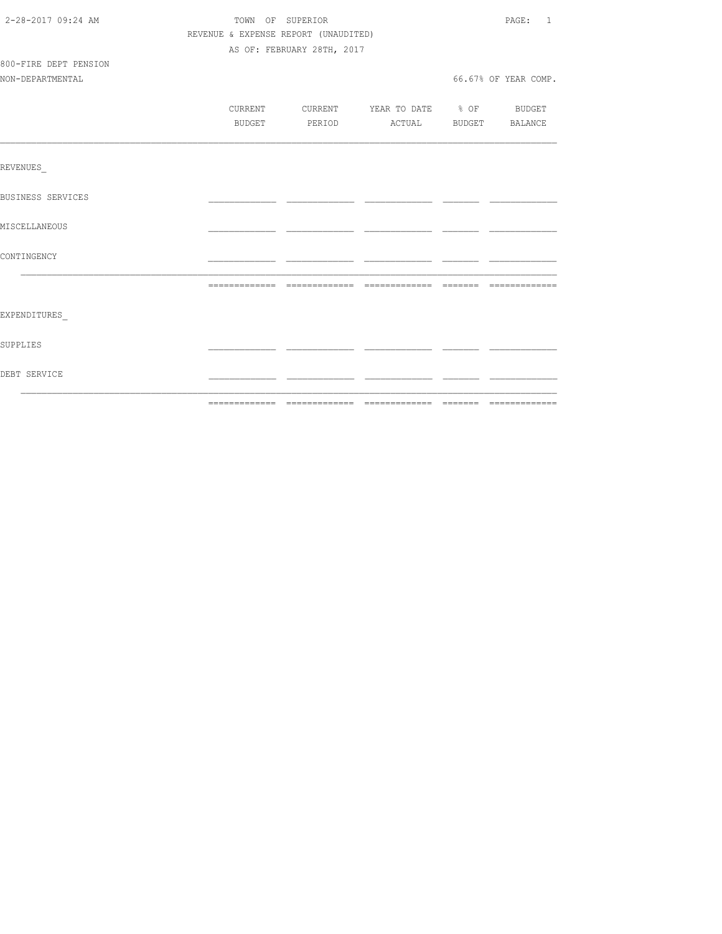| 2-28-2017 09:24 AM       | TOWN OF SUPERIOR<br>REVENUE & EXPENSE REPORT (UNAUDITED) |                            |                                          |  |                      |
|--------------------------|----------------------------------------------------------|----------------------------|------------------------------------------|--|----------------------|
|                          |                                                          |                            |                                          |  |                      |
|                          |                                                          | AS OF: FEBRUARY 28TH, 2017 |                                          |  |                      |
| 800-FIRE DEPT PENSION    |                                                          |                            |                                          |  |                      |
| NON-DEPARTMENTAL         |                                                          |                            |                                          |  | 66.67% OF YEAR COMP. |
|                          |                                                          |                            |                                          |  |                      |
|                          |                                                          |                            | CURRENT CURRENT YEAR TO DATE % OF BUDGET |  |                      |
|                          | BUDGET                                                   |                            | PERIOD ACTUAL BUDGET BALANCE             |  |                      |
|                          |                                                          |                            |                                          |  |                      |
| REVENUES                 |                                                          |                            |                                          |  |                      |
| <b>BUSINESS SERVICES</b> |                                                          |                            |                                          |  |                      |
| MISCELLANEOUS            |                                                          |                            |                                          |  |                      |
| CONTINGENCY              |                                                          |                            |                                          |  |                      |
|                          |                                                          |                            |                                          |  |                      |
|                          |                                                          |                            |                                          |  |                      |
| EXPENDITURES             |                                                          |                            |                                          |  |                      |
| SUPPLIES                 |                                                          |                            |                                          |  |                      |
| DEBT SERVICE             |                                                          |                            |                                          |  |                      |
|                          |                                                          |                            |                                          |  |                      |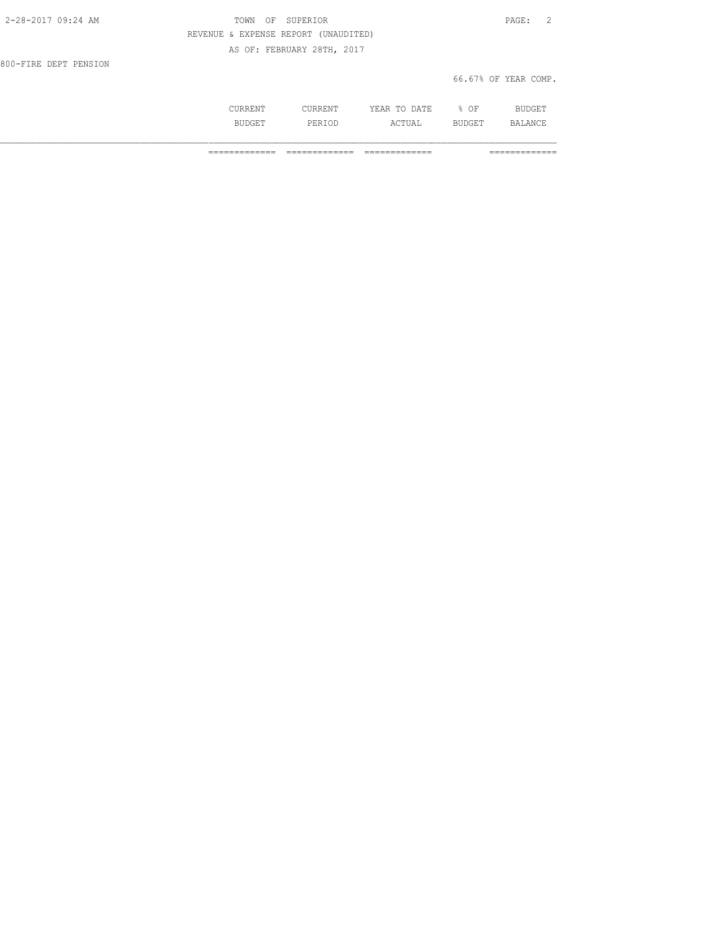| 2-28-2017 09:24 AM    | OF SUPERIOR<br>TOWN                  | PAGE: 2              |
|-----------------------|--------------------------------------|----------------------|
|                       | REVENUE & EXPENSE REPORT (UNAUDITED) |                      |
|                       | AS OF: FEBRUARY 28TH, 2017           |                      |
| 800-FIRE DEPT PENSION |                                      |                      |
|                       |                                      | 66.67% OF YEAR COMP. |

| $\frac{1}{2} \left( \frac{1}{2} \right) \left( \frac{1}{2} \right) \left( \frac{1}{2} \right) \left( \frac{1}{2} \right) \left( \frac{1}{2} \right) \left( \frac{1}{2} \right) \left( \frac{1}{2} \right) \left( \frac{1}{2} \right) \left( \frac{1}{2} \right) \left( \frac{1}{2} \right) \left( \frac{1}{2} \right) \left( \frac{1}{2} \right) \left( \frac{1}{2} \right) \left( \frac{1}{2} \right) \left( \frac{1}{2} \right) \left( \frac{1}{2} \right) \left( \frac$ | -44<br>----<br>$\sim$ | ∩ஈ<br>ັ<br>$\sim$ $\sim$ |   |
|----------------------------------------------------------------------------------------------------------------------------------------------------------------------------------------------------------------------------------------------------------------------------------------------------------------------------------------------------------------------------------------------------------------------------------------------------------------------------|-----------------------|--------------------------|---|
|                                                                                                                                                                                                                                                                                                                                                                                                                                                                            | .                     |                          | ◡ |

============= ============= ============= =============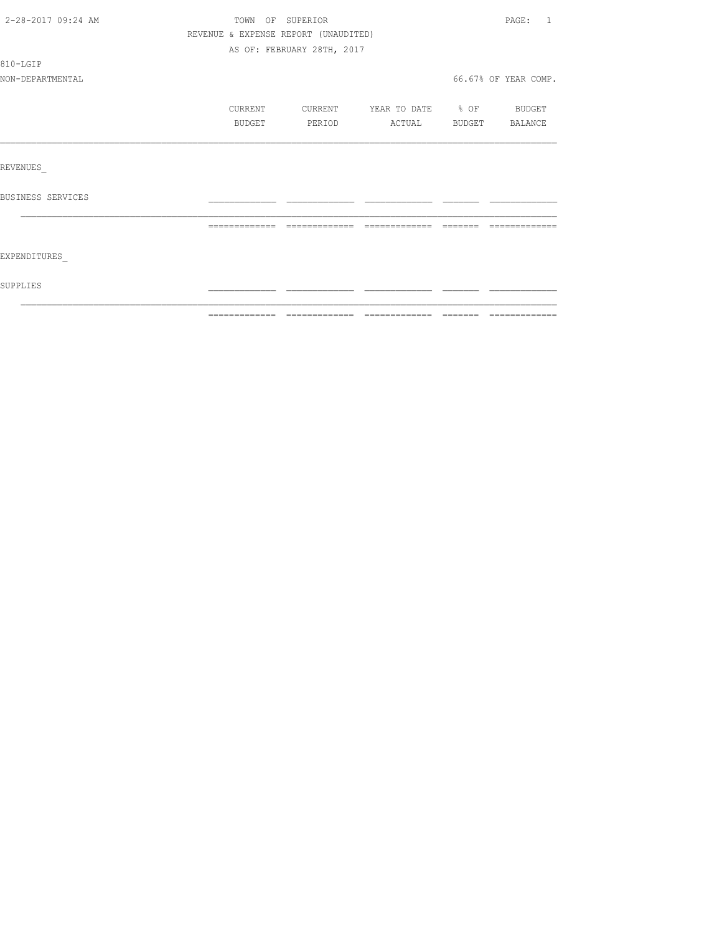| 2-28-2017 09:24 AM | TOWN OF SUPERIOR                     |                            |                   |                                                                                                                                                                                                                                                                                                                                                                                                                                                                                            | PAGE: 1              |
|--------------------|--------------------------------------|----------------------------|-------------------|--------------------------------------------------------------------------------------------------------------------------------------------------------------------------------------------------------------------------------------------------------------------------------------------------------------------------------------------------------------------------------------------------------------------------------------------------------------------------------------------|----------------------|
|                    | REVENUE & EXPENSE REPORT (UNAUDITED) |                            |                   |                                                                                                                                                                                                                                                                                                                                                                                                                                                                                            |                      |
|                    |                                      | AS OF: FEBRUARY 28TH, 2017 |                   |                                                                                                                                                                                                                                                                                                                                                                                                                                                                                            |                      |
| 810-LGIP           |                                      |                            |                   |                                                                                                                                                                                                                                                                                                                                                                                                                                                                                            |                      |
| NON-DEPARTMENTAL   |                                      |                            |                   |                                                                                                                                                                                                                                                                                                                                                                                                                                                                                            | 66.67% OF YEAR COMP. |
|                    | CURRENT                              | CURRENT                    | YEAR TO DATE % OF |                                                                                                                                                                                                                                                                                                                                                                                                                                                                                            | BUDGET               |
|                    | BUDGET                               | PERIOD                     | ACTUAL BUDGET     |                                                                                                                                                                                                                                                                                                                                                                                                                                                                                            | BALANCE              |
|                    |                                      |                            |                   |                                                                                                                                                                                                                                                                                                                                                                                                                                                                                            |                      |
| REVENUES           |                                      |                            |                   |                                                                                                                                                                                                                                                                                                                                                                                                                                                                                            |                      |
| BUSINESS SERVICES  |                                      |                            |                   |                                                                                                                                                                                                                                                                                                                                                                                                                                                                                            |                      |
|                    | =============                        | essessessesse              |                   | $\qquad \qquad \qquad =\qquad \qquad =\qquad \qquad =\qquad \qquad =\qquad \qquad =\qquad \qquad =\qquad \qquad =\qquad \qquad =\qquad \qquad =\qquad \qquad =\qquad \qquad =\qquad \qquad =\qquad \qquad =\qquad \qquad =\qquad \qquad =\qquad \qquad =\qquad \qquad =\qquad \qquad =\qquad \qquad =\qquad \qquad =\qquad \qquad =\qquad \qquad =\qquad \qquad =\qquad \qquad =\qquad \qquad =\qquad \qquad =\qquad \qquad =\qquad \qquad =\qquad \qquad =\qquad \qquad =\qquad \qquad =$ | =============        |
| EXPENDITURES       |                                      |                            |                   |                                                                                                                                                                                                                                                                                                                                                                                                                                                                                            |                      |
| SUPPLIES           |                                      |                            |                   |                                                                                                                                                                                                                                                                                                                                                                                                                                                                                            |                      |
|                    |                                      |                            |                   |                                                                                                                                                                                                                                                                                                                                                                                                                                                                                            |                      |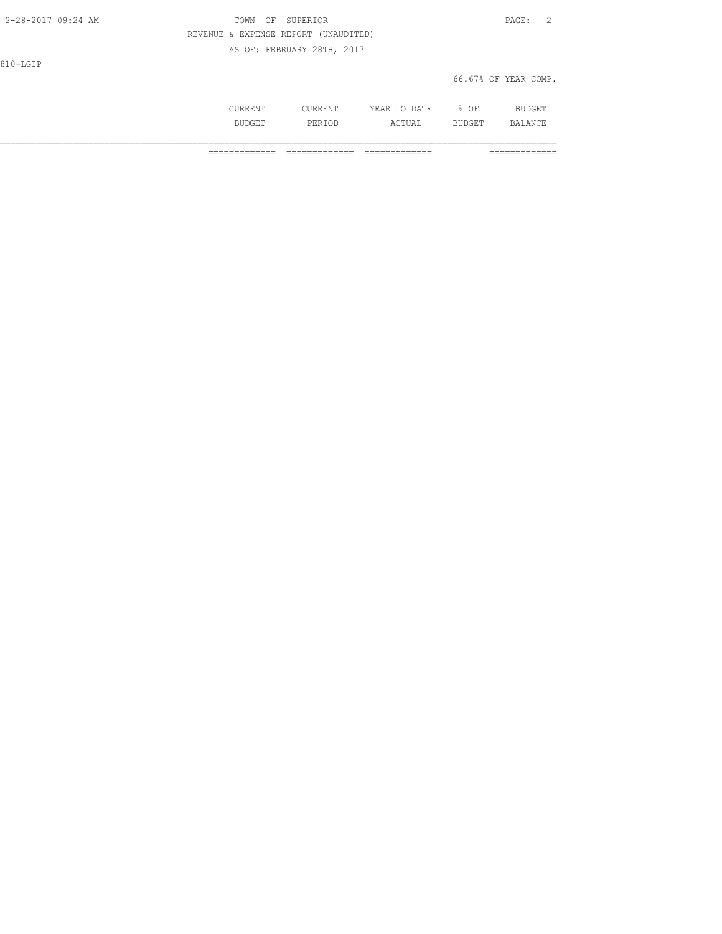| 2-28-2017 09:24 AM | OF SUPERIOR<br>TOWN                  | PAGE: 2              |
|--------------------|--------------------------------------|----------------------|
|                    | REVENUE & EXPENSE REPORT (UNAUDITED) |                      |
|                    | AS OF: FEBRUARY 28TH, 2017           |                      |
| 810-LGIP           |                                      |                      |
|                    |                                      | 66.67% OF YEAR COMP. |
|                    |                                      |                      |

 CURRENT CURRENT YEAR TO DATE % OF BUDGET BUDGET PERIOD ACTUAL BUDGET BALANCE

============= ============= ============= =============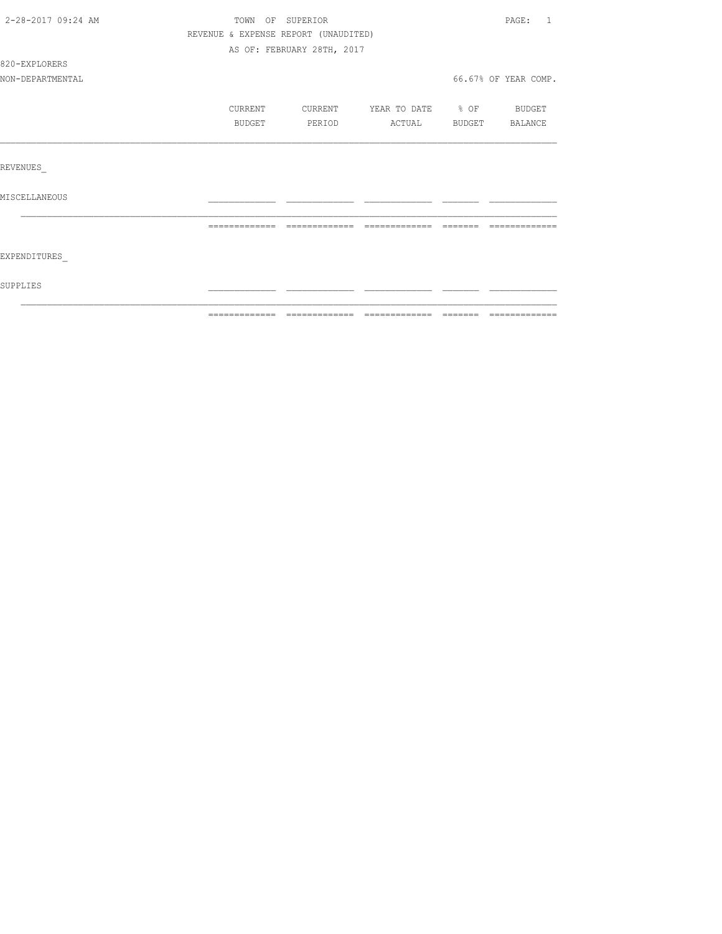| 2-28-2017 09:24 AM | TOWN OF SUPERIOR                     |                            |                   |           | PAGE:<br>$\overline{1}$ |
|--------------------|--------------------------------------|----------------------------|-------------------|-----------|-------------------------|
|                    | REVENUE & EXPENSE REPORT (UNAUDITED) |                            |                   |           |                         |
|                    |                                      | AS OF: FEBRUARY 28TH, 2017 |                   |           |                         |
| 820-EXPLORERS      |                                      |                            |                   |           |                         |
| NON-DEPARTMENTAL   |                                      |                            |                   |           | 66.67% OF YEAR COMP.    |
|                    | CURRENT                              | CURRENT                    | YEAR TO DATE % OF |           | <b>BUDGET</b>           |
|                    | BUDGET                               | PERIOD                     | ACTUAL            |           | BUDGET BALANCE          |
|                    |                                      |                            |                   |           |                         |
| REVENUES           |                                      |                            |                   |           |                         |
| MISCELLANEOUS      |                                      |                            |                   |           |                         |
|                    | =============                        | - =============            | -------------     | - ======= |                         |
|                    |                                      |                            |                   |           |                         |
| EXPENDITURES       |                                      |                            |                   |           |                         |
| SUPPLIES           |                                      |                            |                   |           |                         |
|                    |                                      |                            |                   |           |                         |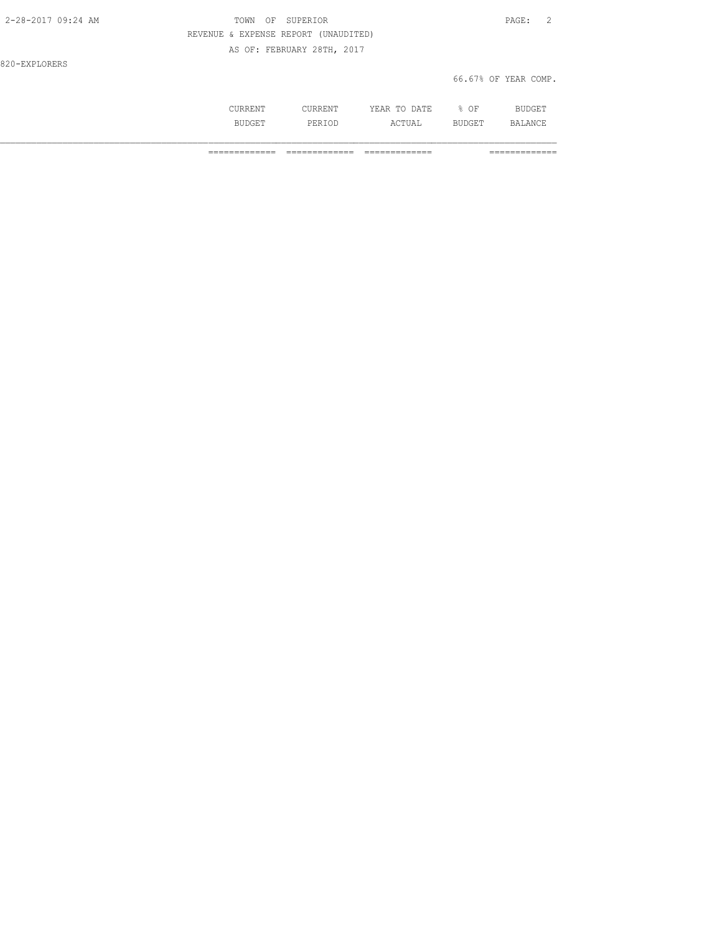| 2-28-2017 09:24 AM | OF SUPERIOR<br>TOWN                  | PAGE: 2              |
|--------------------|--------------------------------------|----------------------|
|                    | REVENUE & EXPENSE REPORT (UNAUDITED) |                      |
|                    | AS OF: FEBRUARY 28TH, 2017           |                      |
| 820-EXPLORERS      |                                      |                      |
|                    |                                      | 66.67% OF YEAR COMP. |

| ⊥∖⊥∖∟⊥∖⊥ | .     | .<br>$\pi$ m $\pi$<br>∸<br>-----<br>----- | OF<br>◡ | $ -$<br>-             |
|----------|-------|-------------------------------------------|---------|-----------------------|
| .<br>--- | <br>. | $\sim$ m.<br>⊥∪ ∆⊔                        | ـ ـ ـ   | $\mathbb{R}$ $\Delta$ |

============= ============= ============= =============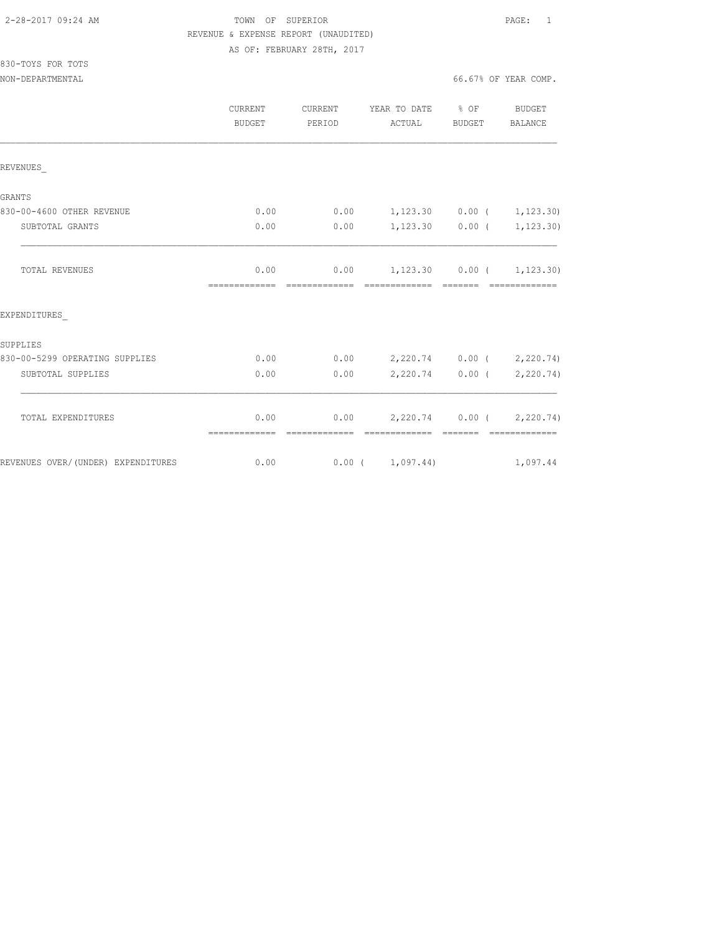830-TOYS FOR TOTS

## TOWN OF SUPERIOR **PAGE:** 1 REVENUE & EXPENSE REPORT (UNAUDITED) AS OF: FEBRUARY 28TH, 2017

NON-DEPARTMENTAL 66.67% OF YEAR COMP.

|                                    | <b>CURRENT</b><br><b>BUDGET</b> | CURRENT<br>PERIOD      | YEAR TO DATE % OF<br>ACTUAL                        | <b>BUDGET</b>                                                                                                                                                                                                                                                                                                                                                                                                                                                                        | <b>BUDGET</b><br><b>BALANCE</b>            |
|------------------------------------|---------------------------------|------------------------|----------------------------------------------------|--------------------------------------------------------------------------------------------------------------------------------------------------------------------------------------------------------------------------------------------------------------------------------------------------------------------------------------------------------------------------------------------------------------------------------------------------------------------------------------|--------------------------------------------|
| REVENUES                           |                                 |                        |                                                    |                                                                                                                                                                                                                                                                                                                                                                                                                                                                                      |                                            |
| <b>GRANTS</b>                      |                                 |                        |                                                    |                                                                                                                                                                                                                                                                                                                                                                                                                                                                                      |                                            |
| 830-00-4600 OTHER REVENUE          | 0.00                            | 0.00                   | $1,123.30$ 0.00 ( 1,123.30)                        |                                                                                                                                                                                                                                                                                                                                                                                                                                                                                      |                                            |
| SUBTOTAL GRANTS                    | 0.00                            | 0.00                   | $1,123.30$ 0.00 (                                  |                                                                                                                                                                                                                                                                                                                                                                                                                                                                                      | 1,123.30)                                  |
| <b>TOTAL REVENUES</b>              | 0.00<br>--------------          | 0.00<br>-------------- | $1,123.30$ $0.00$ ( $1,123.30$ )<br>-------------- | $\begin{array}{cccccc} \multicolumn{2}{c}{} & \multicolumn{2}{c}{} & \multicolumn{2}{c}{} & \multicolumn{2}{c}{} & \multicolumn{2}{c}{} & \multicolumn{2}{c}{} & \multicolumn{2}{c}{} & \multicolumn{2}{c}{} & \multicolumn{2}{c}{} & \multicolumn{2}{c}{} & \multicolumn{2}{c}{} & \multicolumn{2}{c}{} & \multicolumn{2}{c}{} & \multicolumn{2}{c}{} & \multicolumn{2}{c}{} & \multicolumn{2}{c}{} & \multicolumn{2}{c}{} & \multicolumn{2}{c}{} & \multicolumn{2}{c}{} & \multic$ | -------------                              |
| EXPENDITURES                       |                                 |                        |                                                    |                                                                                                                                                                                                                                                                                                                                                                                                                                                                                      |                                            |
| SUPPLIES                           |                                 |                        |                                                    |                                                                                                                                                                                                                                                                                                                                                                                                                                                                                      |                                            |
| 830-00-5299 OPERATING SUPPLIES     | 0.00                            | 0.00                   | 2,220.74 0.00 ( 2,220.74)                          |                                                                                                                                                                                                                                                                                                                                                                                                                                                                                      |                                            |
| SUBTOTAL SUPPLIES                  | 0.00                            | 0.00                   |                                                    |                                                                                                                                                                                                                                                                                                                                                                                                                                                                                      | 2,220.74 0.00 ( 2,220.74)                  |
| TOTAL EXPENDITURES                 | 0.00<br>=============           | 0.00                   | =============                                      |                                                                                                                                                                                                                                                                                                                                                                                                                                                                                      | 2,220.74 0.00 ( 2,220.74)<br>============= |
| REVENUES OVER/(UNDER) EXPENDITURES | 0.00                            |                        | 0.00(1,097.44)                                     |                                                                                                                                                                                                                                                                                                                                                                                                                                                                                      | 1,097.44                                   |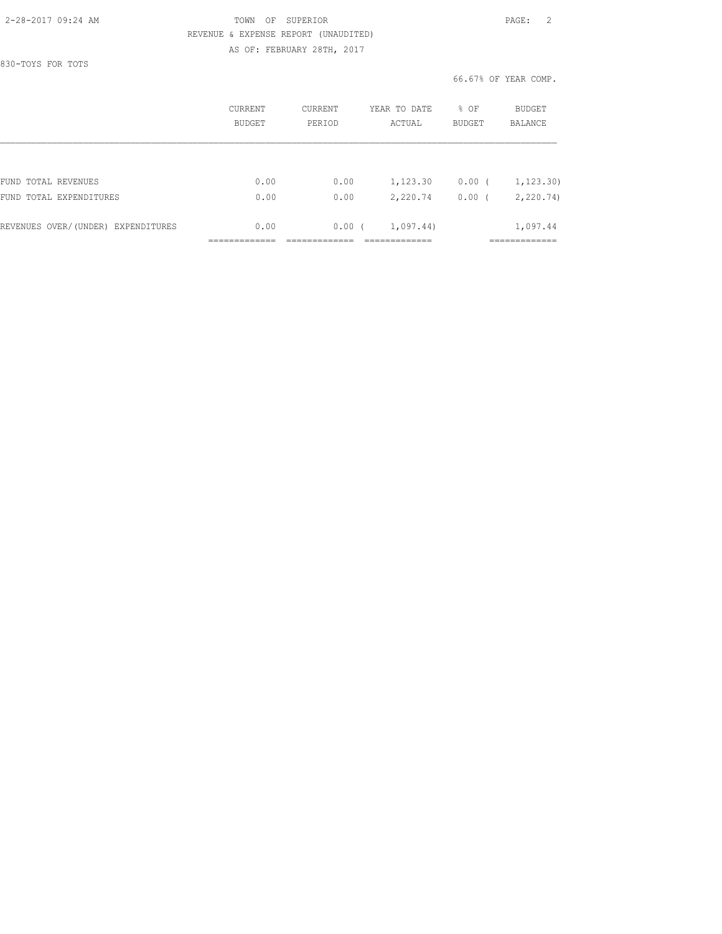830-TOYS FOR TOTS

## 2-28-2017 09:24 AM TOWN OF SUPERIOR PAGE: 2 REVENUE & EXPENSE REPORT (UNAUDITED) AS OF: FEBRUARY 28TH, 2017

66.67% OF YEAR COMP.

|                                    | CURRENT<br><b>BUDGET</b> | <b>CURRENT</b><br>PERIOD | YEAR TO DATE<br>ACTUAL | % OF<br>BUDGET | BUDGET<br>BALANCE |
|------------------------------------|--------------------------|--------------------------|------------------------|----------------|-------------------|
|                                    |                          |                          |                        |                |                   |
| FUND TOTAL REVENUES                | 0.00                     | 0.00                     | 1,123.30               | $0.00$ (       | 1, 123.30)        |
| FUND<br>TOTAL EXPENDITURES         | 0.00                     | 0.00                     | 2,220.74               | 0.00           | 2, 220.74         |
| REVENUES OVER/(UNDER) EXPENDITURES | 0.00                     | 0.00(                    | 1,097.44)              |                | 1,097.44          |
|                                    |                          |                          |                        |                | __________        |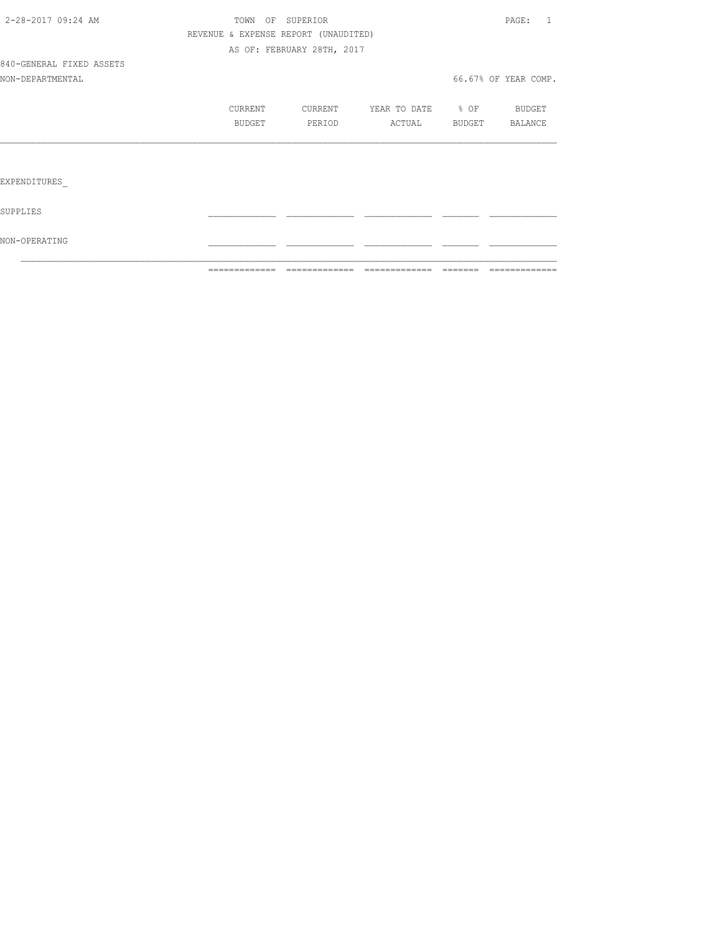|                          | ============= | =============                        |                                  | =============        |
|--------------------------|---------------|--------------------------------------|----------------------------------|----------------------|
| NON-OPERATING            |               |                                      |                                  |                      |
| SUPPLIES                 |               |                                      |                                  |                      |
| EXPENDITURES             |               |                                      |                                  |                      |
|                          |               |                                      |                                  |                      |
|                          | BUDGET        | PERIOD                               | ACTUAL BUDGET                    | BALANCE              |
|                          | CURRENT       |                                      | CURRENT YEAR TO DATE % OF BUDGET |                      |
| NON-DEPARTMENTAL         |               |                                      |                                  | 66.67% OF YEAR COMP. |
| 840-GENERAL FIXED ASSETS |               |                                      |                                  |                      |
|                          |               | AS OF: FEBRUARY 28TH, 2017           |                                  |                      |
|                          |               | REVENUE & EXPENSE REPORT (UNAUDITED) |                                  |                      |
| 2-28-2017 09:24 AM       |               | TOWN OF SUPERIOR                     |                                  | PAGE: 1              |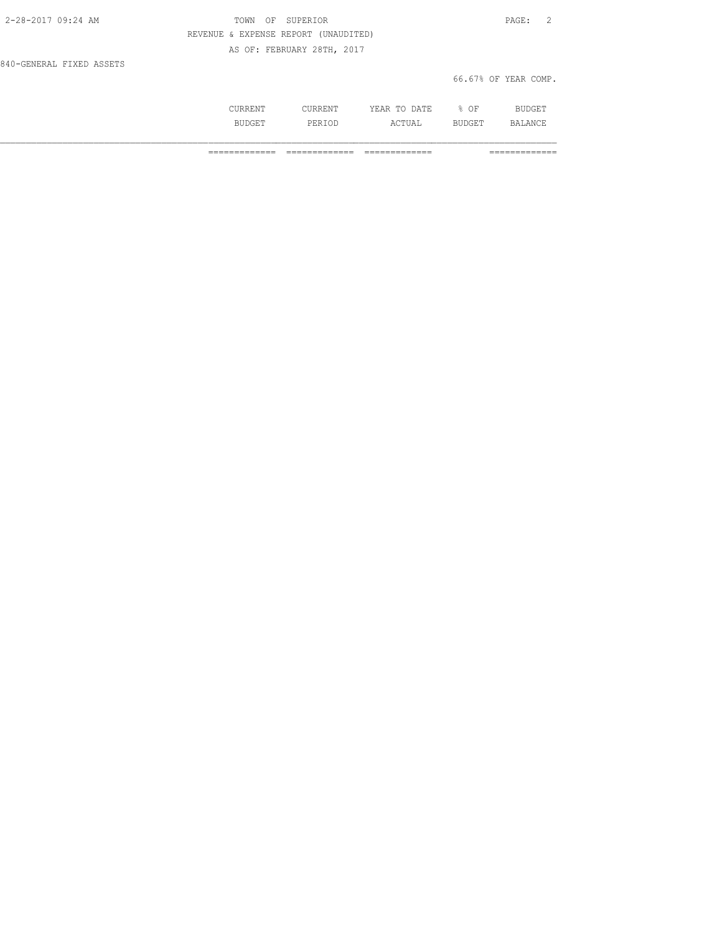| 2-28-2017 09:24 AM       | TOWN OF SUPERIOR                     | PAGE: 2              |  |
|--------------------------|--------------------------------------|----------------------|--|
|                          | REVENUE & EXPENSE REPORT (UNAUDITED) |                      |  |
|                          | AS OF: FEBRUARY 28TH, 2017           |                      |  |
| 840-GENERAL FIXED ASSETS |                                      |                      |  |
|                          |                                      | 66.67% OF YEAR COMP. |  |

| $\frac{1}{2} \left( \frac{1}{2} \right) \left( \frac{1}{2} \right) \left( \frac{1}{2} \right) \left( \frac{1}{2} \right) \left( \frac{1}{2} \right) \left( \frac{1}{2} \right) \left( \frac{1}{2} \right) \left( \frac{1}{2} \right) \left( \frac{1}{2} \right) \left( \frac{1}{2} \right) \left( \frac{1}{2} \right) \left( \frac{1}{2} \right) \left( \frac{1}{2} \right) \left( \frac{1}{2} \right) \left( \frac{1}{2} \right) \left( \frac{1}{2} \right) \left( \frac$ |         | :A T F<br>. .<br>. .<br>---- | ΟF         |  |
|----------------------------------------------------------------------------------------------------------------------------------------------------------------------------------------------------------------------------------------------------------------------------------------------------------------------------------------------------------------------------------------------------------------------------------------------------------------------------|---------|------------------------------|------------|--|
|                                                                                                                                                                                                                                                                                                                                                                                                                                                                            | י ים כ∟ | -------<br>---               | - -<br>--- |  |

============= ============= ============= =============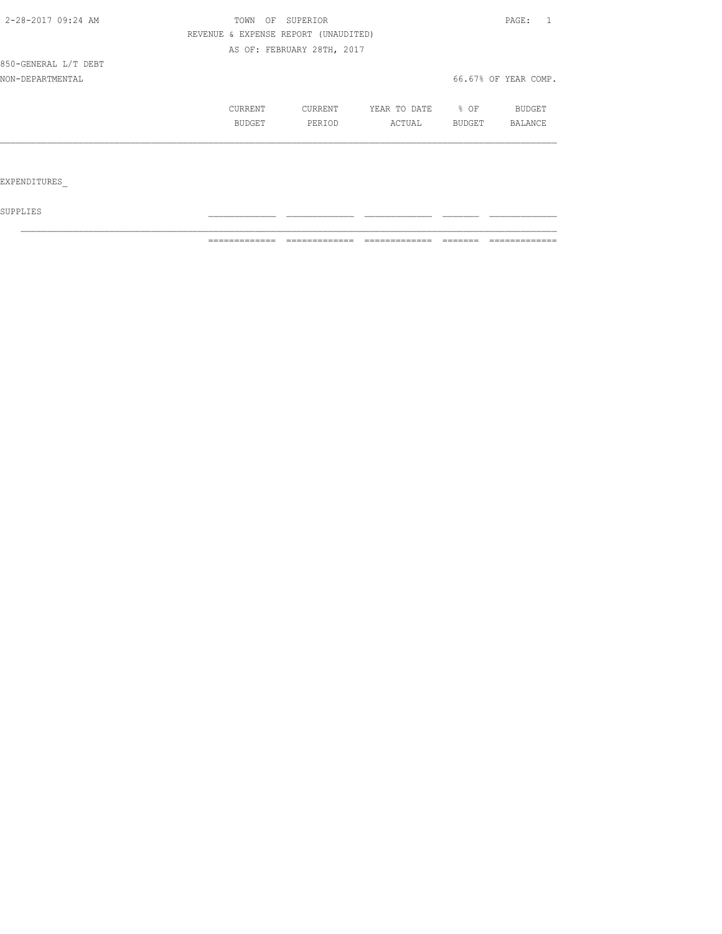| 2-28-2017 09:24 AM   | TOWN<br>OF | SUPERIOR                             |              |                  | PAGE:<br>- 1         |
|----------------------|------------|--------------------------------------|--------------|------------------|----------------------|
|                      |            | REVENUE & EXPENSE REPORT (UNAUDITED) |              |                  |                      |
|                      |            | AS OF: FEBRUARY 28TH, 2017           |              |                  |                      |
| 850-GENERAL L/T DEBT |            |                                      |              |                  |                      |
| NON-DEPARTMENTAL     |            |                                      |              |                  | 66.67% OF YEAR COMP. |
|                      | CURRENT    | CURRENT                              | YEAR TO DATE | $\frac{8}{6}$ OF | BUDGET               |
|                      | BUDGET     | PERIOD                               | ACTUAL       | BUDGET           | BALANCE              |
|                      |            |                                      |              |                  |                      |
|                      |            |                                      |              |                  |                      |
| EXPENDITURES         |            |                                      |              |                  |                      |
|                      |            |                                      |              |                  |                      |

 ${\tt SUPPLIES}$ 

============= ============= ============= ======= =============